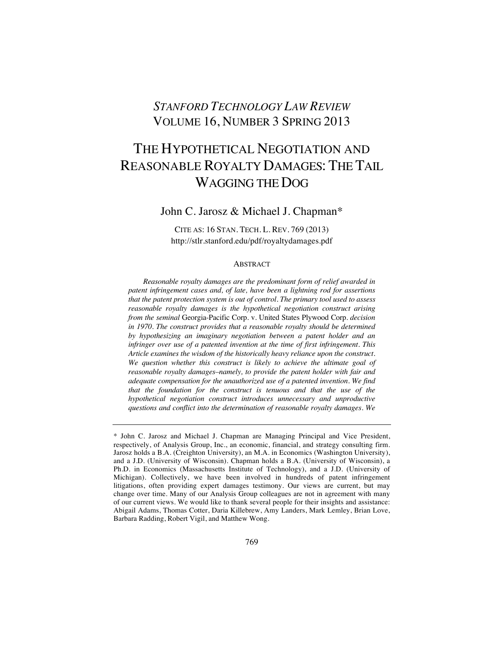## *STANFORD TECHNOLOGY LAW REVIEW* VOLUME 16, NUMBER 3 SPRING 2013

# THE HYPOTHETICAL NEGOTIATION AND REASONABLE ROYALTY DAMAGES: THE TAIL WAGGING THE DOG

John C. Jarosz & Michael J. Chapman\*

CITE AS: 16 STAN. TECH. L. REV. 769 (2013) http://stlr.stanford.edu/pdf/royaltydamages.pdf

## **ABSTRACT**

*Reasonable royalty damages are the predominant form of relief awarded in patent infringement cases and, of late, have been a lightning rod for assertions that the patent protection system is out of control. The primary tool used to assess reasonable royalty damages is the hypothetical negotiation construct arising from the seminal* Georgia-Pacific Corp. v. United States Plywood Corp. *decision*  in 1970. The construct provides that a reasonable royalty should be determined *by hypothesizing an imaginary negotiation between a patent holder and an infringer over use of a patented invention at the time of first infringement. This Article examines the wisdom of the historically heavy reliance upon the construct. We question whether this construct is likely to achieve the ultimate goal of reasonable royalty damages–namely, to provide the patent holder with fair and adequate compensation for the unauthorized use of a patented invention. We find that the foundation for the construct is tenuous and that the use of the hypothetical negotiation construct introduces unnecessary and unproductive questions and conflict into the determination of reasonable royalty damages. We* 

<sup>\*</sup> John C. Jarosz and Michael J. Chapman are Managing Principal and Vice President, respectively, of Analysis Group, Inc., an economic, financial, and strategy consulting firm. Jarosz holds a B.A. (Creighton University), an M.A. in Economics (Washington University), and a J.D. (University of Wisconsin). Chapman holds a B.A. (University of Wisconsin), a Ph.D. in Economics (Massachusetts Institute of Technology), and a J.D. (University of Michigan). Collectively, we have been involved in hundreds of patent infringement litigations, often providing expert damages testimony. Our views are current, but may change over time. Many of our Analysis Group colleagues are not in agreement with many of our current views. We would like to thank several people for their insights and assistance: Abigail Adams, Thomas Cotter, Daria Killebrew, Amy Landers, Mark Lemley, Brian Love, Barbara Radding, Robert Vigil, and Matthew Wong.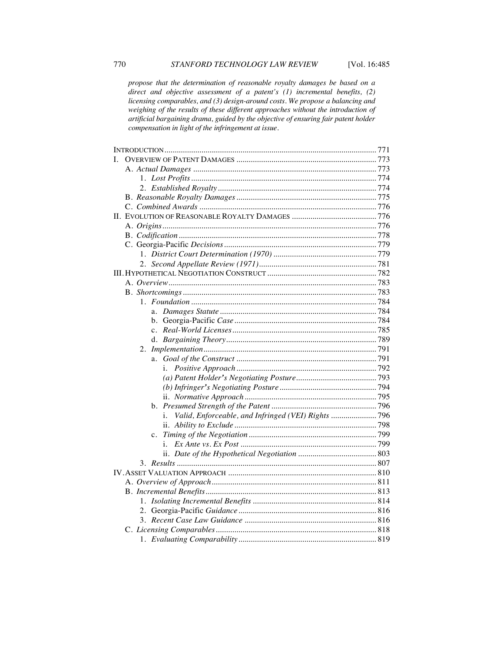*propose that the determination of reasonable royalty damages be based on a direct and objective assessment of a patent's (1) incremental benefits, (2) licensing comparables, and (3) design-around costs. We propose a balancing and weighing of the results of these different approaches without the introduction of artificial bargaining drama, guided by the objective of ensuring fair patent holder compensation in light of the infringement at issue.*

| L.          |  |
|-------------|--|
|             |  |
|             |  |
|             |  |
|             |  |
|             |  |
|             |  |
|             |  |
|             |  |
|             |  |
|             |  |
|             |  |
|             |  |
|             |  |
|             |  |
|             |  |
|             |  |
|             |  |
|             |  |
|             |  |
|             |  |
| a.          |  |
| i.          |  |
|             |  |
|             |  |
|             |  |
|             |  |
| i.          |  |
|             |  |
| $c_{\cdot}$ |  |
|             |  |
|             |  |
|             |  |
|             |  |
|             |  |
|             |  |
|             |  |
|             |  |
|             |  |
|             |  |
|             |  |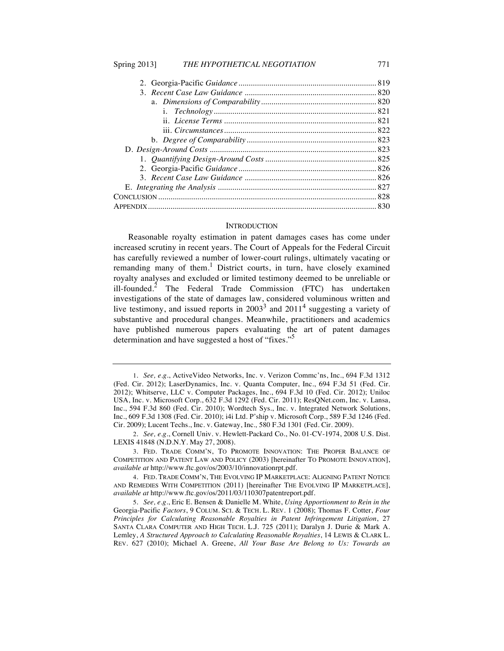#### **INTRODUCTION**

Reasonable royalty estimation in patent damages cases has come under increased scrutiny in recent years. The Court of Appeals for the Federal Circuit has carefully reviewed a number of lower-court rulings, ultimately vacating or remanding many of them.<sup>1</sup> District courts, in turn, have closely examined royalty analyses and excluded or limited testimony deemed to be unreliable or ill-founded.<sup>2</sup> The Federal Trade Commission (FTC) has undertaken investigations of the state of damages law, considered voluminous written and live testimony, and issued reports in  $2003<sup>3</sup>$  and  $2011<sup>4</sup>$  suggesting a variety of substantive and procedural changes. Meanwhile, practitioners and academics have published numerous papers evaluating the art of patent damages determination and have suggested a host of "fixes."<sup>5</sup>

<sup>1.</sup> *See, e.g.*, ActiveVideo Networks, Inc. v. Verizon Commc'ns, Inc., 694 F.3d 1312 (Fed. Cir. 2012); LaserDynamics, Inc. v. Quanta Computer, Inc., 694 F.3d 51 (Fed. Cir. 2012); Whitserve, LLC v. Computer Packages, Inc., 694 F.3d 10 (Fed. Cir. 2012); Uniloc USA, Inc. v. Microsoft Corp., 632 F.3d 1292 (Fed. Cir. 2011); ResQNet.com, Inc. v. Lansa, Inc., 594 F.3d 860 (Fed. Cir. 2010); Wordtech Sys., Inc. v. Integrated Network Solutions, Inc., 609 F.3d 1308 (Fed. Cir. 2010); i4i Ltd. P'ship v. Microsoft Corp., 589 F.3d 1246 (Fed. Cir. 2009); Lucent Techs., Inc. v. Gateway, Inc.*,* 580 F.3d 1301 (Fed. Cir. 2009).

<sup>2.</sup> *See, e.g.*, Cornell Univ. v. Hewlett-Packard Co., No. 01-CV-1974, 2008 U.S. Dist. LEXIS 41848 (N.D.N.Y. May 27, 2008).

<sup>3.</sup> FED. TRADE COMM'N, TO PROMOTE INNOVATION: THE PROPER BALANCE OF COMPETITION AND PATENT LAW AND POLICY (2003) [hereinafter TO PROMOTE INNOVATION], *available at* http://www.ftc.gov/os/2003/10/innovationrpt.pdf.

<sup>4.</sup> FED. TRADE COMM'N, THE EVOLVING IP MARKETPLACE: ALIGNING PATENT NOTICE AND REMEDIES WITH COMPETITION (2011) [hereinafter THE EVOLVING IP MARKETPLACE], *available at* http://www.ftc.gov/os/2011/03/110307patentreport.pdf.

<sup>5.</sup> *See, e.g.*, Eric E. Bensen & Danielle M. White, *Using Apportionment to Rein in the*  Georgia-Pacific *Factors*, 9 COLUM. SCI. & TECH. L. REV. 1 (2008); Thomas F. Cotter, *Four Principles for Calculating Reasonable Royalties in Patent Infringement Litigation*, 27 SANTA CLARA COMPUTER AND HIGH TECH. L.J. 725 (2011); Daralyn J. Durie & Mark A. Lemley, *A Structured Approach to Calculating Reasonable Royalties*, 14 LEWIS & CLARK L. REV. 627 (2010); Michael A. Greene, *All Your Base Are Belong to Us: Towards an*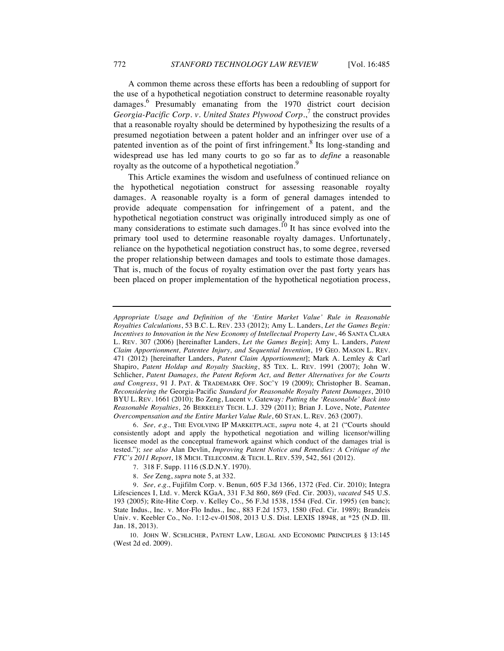A common theme across these efforts has been a redoubling of support for the use of a hypothetical negotiation construct to determine reasonable royalty damages.<sup>6</sup> Presumably emanating from the 1970 district court decision *Georgia-Pacific Corp. v. United States Plywood Corp.*, <sup>7</sup> the construct provides that a reasonable royalty should be determined by hypothesizing the results of a presumed negotiation between a patent holder and an infringer over use of a patented invention as of the point of first infringement.<sup>8</sup> Its long-standing and widespread use has led many courts to go so far as to *define* a reasonable royalty as the outcome of a hypothetical negotiation.<sup>9</sup>

This Article examines the wisdom and usefulness of continued reliance on the hypothetical negotiation construct for assessing reasonable royalty damages. A reasonable royalty is a form of general damages intended to provide adequate compensation for infringement of a patent, and the hypothetical negotiation construct was originally introduced simply as one of many considerations to estimate such damages.<sup>10</sup> It has since evolved into the primary tool used to determine reasonable royalty damages. Unfortunately, reliance on the hypothetical negotiation construct has, to some degree, reversed the proper relationship between damages and tools to estimate those damages. That is, much of the focus of royalty estimation over the past forty years has been placed on proper implementation of the hypothetical negotiation process,

*Appropriate Usage and Definition of the 'Entire Market Value' Rule in Reasonable Royalties Calculations*, 53 B.C. L. REV. 233 (2012); Amy L. Landers, *Let the Games Begin: Incentives to Innovation in the New Economy of Intellectual Property Law*, 46 SANTA CLARA L. REV. 307 (2006) [hereinafter Landers, *Let the Games Begin*]; Amy L. Landers, *Patent Claim Apportionment, Patentee Injury, and Sequential Invention*, 19 GEO. MASON L. REV. 471 (2012) [hereinafter Landers, *Patent Claim Apportionment*]; Mark A. Lemley & Carl Shapiro, *Patent Holdup and Royalty Stacking*, 85 TEX. L. REV. 1991 (2007); John W. Schlicher, *Patent Damages, the Patent Reform Act, and Better Alternatives for the Courts and Congress*, 91 J. PAT. & TRADEMARK OFF. SOC'Y 19 (2009); Christopher B. Seaman, *Reconsidering the* Georgia-Pacific *Standard for Reasonable Royalty Patent Damages*, 2010 BYU L. REV. 1661 (2010); Bo Zeng, Lucent v. Gateway*: Putting the 'Reasonable' Back into Reasonable Royalties*, 26 BERKELEY TECH. L.J. 329 (2011); Brian J. Love, Note, *Patentee Overcompensation and the Entire Market Value Rule*, 60 STAN. L. REV. 263 (2007).

<sup>6.</sup> *See, e.g.*, THE EVOLVING IP MARKETPLACE, *supra* note 4, at 21 ("Courts should consistently adopt and apply the hypothetical negotiation and willing licensor/willing licensee model as the conceptual framework against which conduct of the damages trial is tested."); *see also* Alan Devlin, *Improving Patent Notice and Remedies: A Critique of the FTC's 2011 Report*, 18 MICH. TELECOMM. & TECH. L. REV. 539, 542, 561 (2012).

<sup>7.</sup> 318 F. Supp. 1116 (S.D.N.Y. 1970).

<sup>8.</sup> *See* Zeng, *supra* note 5, at 332.

<sup>9.</sup> *See, e.g*., Fujifilm Corp. v. Benun, 605 F.3d 1366, 1372 (Fed. Cir. 2010); Integra Lifesciences I, Ltd. v. Merck KGaA, 331 F.3d 860, 869 (Fed. Cir. 2003), *vacated* 545 U.S. 193 (2005); Rite-Hite Corp. v. Kelley Co., 56 F.3d 1538, 1554 (Fed. Cir. 1995) (en banc); State Indus., Inc. v. Mor-Flo Indus., Inc., 883 F.2d 1573, 1580 (Fed. Cir. 1989); Brandeis Univ. v. Keebler Co., No. 1:12-cv-01508, 2013 U.S. Dist. LEXIS 18948, at \*25 (N.D. Ill. Jan. 18, 2013).

<sup>10.</sup> JOHN W. SCHLICHER, PATENT LAW, LEGAL AND ECONOMIC PRINCIPLES § 13:145 (West 2d ed. 2009).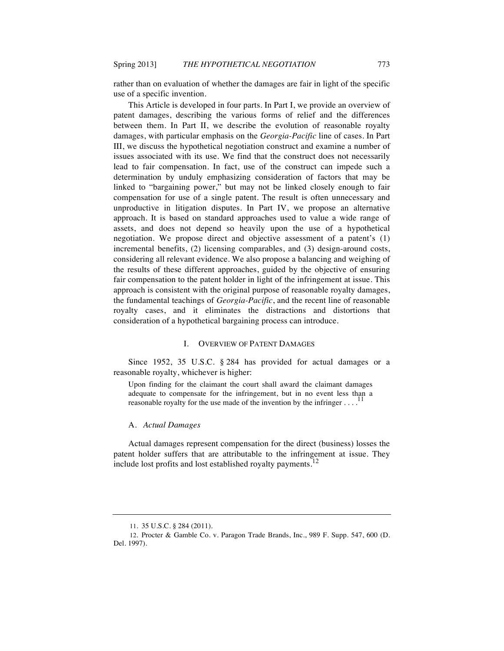rather than on evaluation of whether the damages are fair in light of the specific use of a specific invention.

This Article is developed in four parts. In Part I, we provide an overview of patent damages, describing the various forms of relief and the differences between them. In Part II, we describe the evolution of reasonable royalty damages, with particular emphasis on the *Georgia-Pacific* line of cases. In Part III, we discuss the hypothetical negotiation construct and examine a number of issues associated with its use. We find that the construct does not necessarily lead to fair compensation. In fact, use of the construct can impede such a determination by unduly emphasizing consideration of factors that may be linked to "bargaining power," but may not be linked closely enough to fair compensation for use of a single patent. The result is often unnecessary and unproductive in litigation disputes. In Part IV, we propose an alternative approach. It is based on standard approaches used to value a wide range of assets, and does not depend so heavily upon the use of a hypothetical negotiation. We propose direct and objective assessment of a patent's (1) incremental benefits, (2) licensing comparables, and (3) design-around costs, considering all relevant evidence. We also propose a balancing and weighing of the results of these different approaches, guided by the objective of ensuring fair compensation to the patent holder in light of the infringement at issue. This approach is consistent with the original purpose of reasonable royalty damages, the fundamental teachings of *Georgia-Pacific*, and the recent line of reasonable royalty cases, and it eliminates the distractions and distortions that consideration of a hypothetical bargaining process can introduce.

## I. OVERVIEW OF PATENT DAMAGES

Since 1952, 35 U.S.C. § 284 has provided for actual damages or a reasonable royalty, whichever is higher:

Upon finding for the claimant the court shall award the claimant damages adequate to compensate for the infringement, but in no event less than a reasonable royalty for the use made of the invention by the infringer  $\dots$ <sup>11</sup>

#### A. *Actual Damages*

Actual damages represent compensation for the direct (business) losses the patent holder suffers that are attributable to the infringement at issue. They include lost profits and lost established royalty payments.<sup>12</sup>

<sup>11.</sup> 35 U.S.C. § 284 (2011).

<sup>12</sup>*.* Procter & Gamble Co. v. Paragon Trade Brands, Inc., 989 F. Supp. 547, 600 (D. Del. 1997).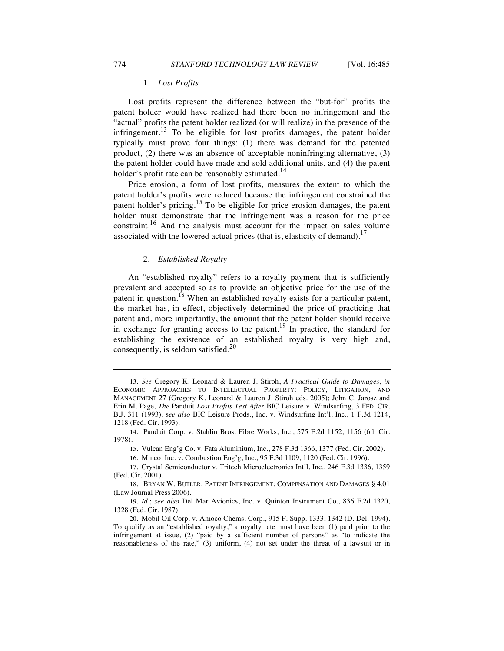## 1. *Lost Profits*

Lost profits represent the difference between the "but-for" profits the patent holder would have realized had there been no infringement and the "actual" profits the patent holder realized (or will realize) in the presence of the infringement.<sup>13</sup> To be eligible for lost profits damages, the patent holder typically must prove four things: (1) there was demand for the patented product, (2) there was an absence of acceptable noninfringing alternative, (3) the patent holder could have made and sold additional units, and (4) the patent holder's profit rate can be reasonably estimated.<sup>14</sup>

Price erosion, a form of lost profits, measures the extent to which the patent holder's profits were reduced because the infringement constrained the patent holder's pricing.<sup>15</sup> To be eligible for price erosion damages, the patent holder must demonstrate that the infringement was a reason for the price constraint.<sup>16</sup> And the analysis must account for the impact on sales volume associated with the lowered actual prices (that is, elasticity of demand).<sup>17</sup>

#### 2. *Established Royalty*

An "established royalty" refers to a royalty payment that is sufficiently prevalent and accepted so as to provide an objective price for the use of the patent in question.<sup>18</sup> When an established royalty exists for a particular patent, the market has, in effect, objectively determined the price of practicing that patent and, more importantly, the amount that the patent holder should receive in exchange for granting access to the patent.<sup>19</sup> In practice, the standard for establishing the existence of an established royalty is very high and, consequently, is seldom satisfied.<sup>20</sup>

<sup>13.</sup> *See* Gregory K. Leonard & Lauren J. Stiroh, *A Practical Guide to Damages*, *in* ECONOMIC APPROACHES TO INTELLECTUAL PROPERTY: POLICY, LITIGATION, AND MANAGEMENT 27 (Gregory K. Leonard & Lauren J. Stiroh eds. 2005); John C. Jarosz and Erin M. Page, *The* Panduit *Lost Profits Test After* BIC Leisure v. Windsurfing, 3 FED. CIR. B.J. 311 (1993); s*ee also* BIC Leisure Prods., Inc. v. Windsurfing Int'l, Inc., 1 F.3d 1214, 1218 (Fed. Cir. 1993).

<sup>14.</sup> Panduit Corp. v. Stahlin Bros. Fibre Works, Inc., 575 F.2d 1152, 1156 (6th Cir. 1978).

<sup>15.</sup> Vulcan Eng'g Co. v. Fata Aluminium, Inc., 278 F.3d 1366, 1377 (Fed. Cir. 2002).

<sup>16.</sup> Minco, Inc. v. Combustion Eng'g, Inc., 95 F.3d 1109, 1120 (Fed. Cir. 1996).

<sup>17.</sup> Crystal Semiconductor v. Tritech Microelectronics Int'l, Inc., 246 F.3d 1336, 1359 (Fed. Cir. 2001).

<sup>18.</sup> BRYAN W. BUTLER, PATENT INFRINGEMENT: COMPENSATION AND DAMAGES § 4.01 (Law Journal Press 2006).

<sup>19.</sup> *Id.*; *see also* Del Mar Avionics, Inc. v. Quinton Instrument Co., 836 F.2d 1320, 1328 (Fed. Cir. 1987).

<sup>20.</sup> Mobil Oil Corp. v. Amoco Chems. Corp., 915 F. Supp. 1333, 1342 (D. Del. 1994). To qualify as an "established royalty," a royalty rate must have been (1) paid prior to the infringement at issue, (2) "paid by a sufficient number of persons" as "to indicate the reasonableness of the rate," (3) uniform, (4) not set under the threat of a lawsuit or in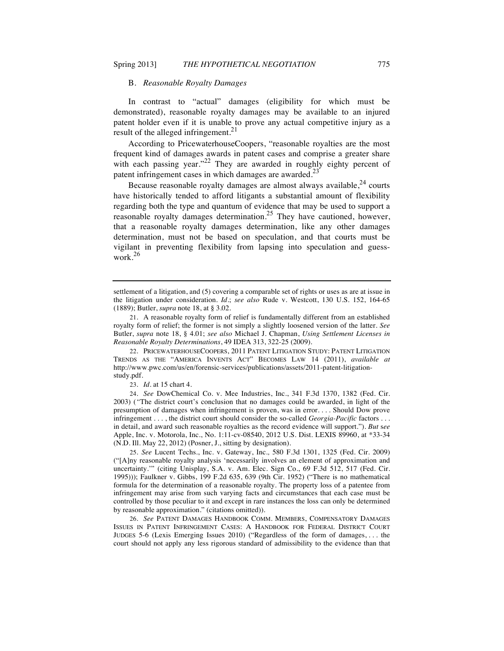### B. *Reasonable Royalty Damages*

In contrast to "actual" damages (eligibility for which must be demonstrated), reasonable royalty damages may be available to an injured patent holder even if it is unable to prove any actual competitive injury as a result of the alleged infringement.<sup>21</sup>

According to PricewaterhouseCoopers, "reasonable royalties are the most frequent kind of damages awards in patent cases and comprise a greater share with each passing year."<sup>22</sup> They are awarded in roughly eighty percent of patent infringement cases in which damages are awarded.<sup>23</sup>

Because reasonable royalty damages are almost always available, $24$  courts have historically tended to afford litigants a substantial amount of flexibility regarding both the type and quantum of evidence that may be used to support a reasonable royalty damages determination.<sup>25</sup> They have cautioned, however, that a reasonable royalty damages determination, like any other damages determination, must not be based on speculation, and that courts must be vigilant in preventing flexibility from lapsing into speculation and guesswork.<sup>26</sup>

22. PRICEWATERHOUSECOOPERS, 2011 PATENT LITIGATION STUDY: PATENT LITIGATION TRENDS AS THE "AMERICA INVENTS ACT" BECOMES LAW 14 (2011), *available at* http://www.pwc.com/us/en/forensic-services/publications/assets/2011-patent-litigationstudy.pdf.

23. *Id.* at 15 chart 4.

24. *See* DowChemical Co. v. Mee Industries, Inc., 341 F.3d 1370, 1382 (Fed. Cir. 2003) (*"*The district court's conclusion that no damages could be awarded, in light of the presumption of damages when infringement is proven, was in error. . . . Should Dow prove infringement . . . , the district court should consider the so-called *Georgia-Pacific* factors . . . in detail, and award such reasonable royalties as the record evidence will support."). *But* s*ee* Apple, Inc. v. Motorola, Inc., No. 1:11-cv-08540, 2012 U.S. Dist. LEXIS 89960, at \*33-34 (N.D. Ill. May 22, 2012) (Posner, J., sitting by designation).

25. *See* Lucent Techs., Inc. v. Gateway, Inc.*,* 580 F.3d 1301, 1325 (Fed. Cir. 2009) ("[A]ny reasonable royalty analysis 'necessarily involves an element of approximation and uncertainty.'" (citing Unisplay, S.A. v. Am. Elec. Sign Co., 69 F.3d 512, 517 (Fed. Cir. 1995))); Faulkner v. Gibbs, 199 F.2d 635, 639 (9th Cir. 1952) ("There is no mathematical formula for the determination of a reasonable royalty. The property loss of a patentee from infringement may arise from such varying facts and circumstances that each case must be controlled by those peculiar to it and except in rare instances the loss can only be determined by reasonable approximation." (citations omitted)).

26. *See* PATENT DAMAGES HANDBOOK COMM. MEMBERS, COMPENSATORY DAMAGES ISSUES IN PATENT INFRINGEMENT CASES: A HANDBOOK FOR FEDERAL DISTRICT COURT JUDGES 5-6 (Lexis Emerging Issues 2010) ("Regardless of the form of damages, . . . the court should not apply any less rigorous standard of admissibility to the evidence than that

settlement of a litigation, and (5) covering a comparable set of rights or uses as are at issue in the litigation under consideration. *Id.*; *see also* Rude v. Westcott, 130 U.S. 152, 164-65 (1889); Butler, *supra* note 18, at § 3.02.

<sup>21.</sup> A reasonable royalty form of relief is fundamentally different from an established royalty form of relief; the former is not simply a slightly loosened version of the latter. *See*  Butler, *supra* note 18, § 4.01; *see also* Michael J. Chapman, *Using Settlement Licenses in Reasonable Royalty Determinations*, 49 IDEA 313, 322-25 (2009).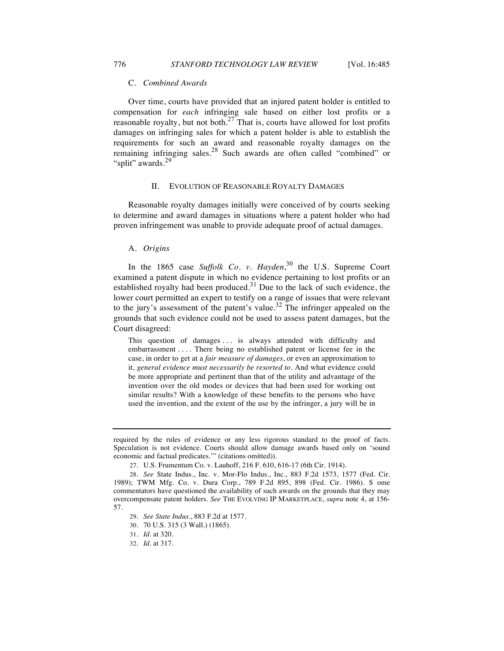#### C. *Combined Awards*

Over time, courts have provided that an injured patent holder is entitled to compensation for *each* infringing sale based on either lost profits or a reasonable royalty, but not both.<sup>27</sup> That is, courts have allowed for lost profits damages on infringing sales for which a patent holder is able to establish the requirements for such an award and reasonable royalty damages on the remaining infringing sales.<sup>28</sup> Such awards are often called "combined" or "split" awards.<sup>29</sup>

#### II. EVOLUTION OF REASONABLE ROYALTY DAMAGES

Reasonable royalty damages initially were conceived of by courts seeking to determine and award damages in situations where a patent holder who had proven infringement was unable to provide adequate proof of actual damages.

## A. *Origins*

In the 1865 case *Suffolk Co. v. Hayden*, <sup>30</sup> the U.S. Supreme Court examined a patent dispute in which no evidence pertaining to lost profits or an established royalty had been produced.<sup>31</sup> Due to the lack of such evidence, the lower court permitted an expert to testify on a range of issues that were relevant to the jury's assessment of the patent's value.<sup>32</sup> The infringer appealed on the grounds that such evidence could not be used to assess patent damages, but the Court disagreed:

This question of damages . . . is always attended with difficulty and embarrassment . . . . There being no established patent or license fee in the case, in order to get at a *fair measure of damages*, or even an approximation to it, *general evidence must necessarily be resorted to*. And what evidence could be more appropriate and pertinent than that of the utility and advantage of the invention over the old modes or devices that had been used for working out similar results? With a knowledge of these benefits to the persons who have used the invention, and the extent of the use by the infringer, a jury will be in

32. *Id.* at 317.

required by the rules of evidence or any less rigorous standard to the proof of facts. Speculation is not evidence. Courts should allow damage awards based only on 'sound economic and factual predicates.'" (citations omitted)).

<sup>27.</sup> U.S. Frumentum Co. v. Lauhoff, 216 F. 610, 616-17 (6th Cir. 1914).

<sup>28.</sup> *See* State Indus., Inc. v. Mor-Flo Indus., Inc., 883 F.2d 1573, 1577 (Fed. Cir. 1989); TWM Mfg. Co. v. Dura Corp., 789 F.2d 895, 898 (Fed. Cir. 1986). S ome commentators have questioned the availability of such awards on the grounds that they may overcompensate patent holders. *See* THE EVOLVING IP MARKETPLACE, *supra* note 4, at 156- 57.

<sup>29.</sup> *See State Indus.*, 883 F.2d at 1577.

<sup>30.</sup> 70 U.S. 315 (3 Wall.) (1865).

<sup>31.</sup> *Id.* at 320.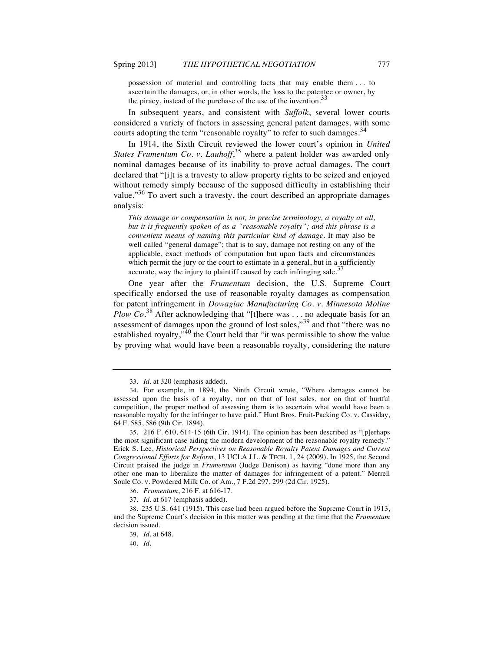possession of material and controlling facts that may enable them . . . to ascertain the damages, or, in other words, the loss to the patentee or owner, by the piracy, instead of the purchase of the use of the invention.<sup>33</sup>

In subsequent years, and consistent with *Suffolk*, several lower courts considered a variety of factors in assessing general patent damages, with some courts adopting the term "reasonable royalty" to refer to such damages.<sup>34</sup>

In 1914, the Sixth Circuit reviewed the lower court's opinion in *United*  States Frumentum Co. v. Lauhoff,<sup>35</sup> where a patent holder was awarded only nominal damages because of its inability to prove actual damages. The court declared that "[i]t is a travesty to allow property rights to be seized and enjoyed without remedy simply because of the supposed difficulty in establishing their value."<sup>36</sup> To avert such a travesty, the court described an appropriate damages analysis:

*This damage or compensation is not, in precise terminology, a royalty at all, but it is frequently spoken of as a "reasonable royalty"; and this phrase is a convenient means of naming this particular kind of damage.* It may also be well called "general damage"; that is to say, damage not resting on any of the applicable, exact methods of computation but upon facts and circumstances which permit the jury or the court to estimate in a general, but in a sufficiently accurate, way the injury to plaintiff caused by each infringing sale.<sup>37</sup>

One year after the *Frumentum* decision, the U.S. Supreme Court specifically endorsed the use of reasonable royalty damages as compensation for patent infringement in *Dowagiac Manufacturing Co. v. Minnesota Moline Plow Co.*<sup>38</sup> After acknowledging that "[t]here was . . . no adequate basis for an assessment of damages upon the ground of lost sales,"<sup>39</sup> and that "there was no established royalty,"<sup>40</sup> the Court held that "it was permissible to show the value by proving what would have been a reasonable royalty, considering the nature

<sup>33.</sup> *Id*. at 320 (emphasis added).

<sup>34.</sup> For example, in 1894, the Ninth Circuit wrote, "Where damages cannot be assessed upon the basis of a royalty, nor on that of lost sales, nor on that of hurtful competition, the proper method of assessing them is to ascertain what would have been a reasonable royalty for the infringer to have paid." Hunt Bros. Fruit-Packing Co. v. Cassiday, 64 F. 585, 586 (9th Cir. 1894).

<sup>35.</sup> 216 F. 610, 614-15 (6th Cir. 1914). The opinion has been described as "[p]erhaps the most significant case aiding the modern development of the reasonable royalty remedy." Erick S. Lee, *Historical Perspectives on Reasonable Royalty Patent Damages and Current Congressional Efforts for Reform*, 13 UCLA J.L. & TECH. 1, 24 (2009). In 1925, the Second Circuit praised the judge in *Frumentum* (Judge Denison) as having "done more than any other one man to liberalize the matter of damages for infringement of a patent." Merrell Soule Co. v. Powdered Milk Co. of Am., 7 F.2d 297, 299 (2d Cir. 1925).

<sup>36.</sup> *Frumentum*, 216 F. at 616-17.

<sup>37.</sup> *Id*. at 617 (emphasis added).

<sup>38.</sup> 235 U.S. 641 (1915). This case had been argued before the Supreme Court in 1913, and the Supreme Court's decision in this matter was pending at the time that the *Frumentum* decision issued.

<sup>39.</sup> *Id*. at 648.

<sup>40.</sup> *Id*.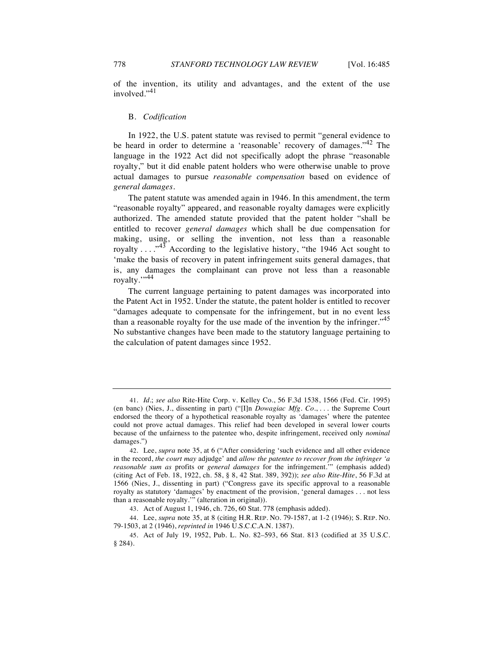of the invention, its utility and advantages, and the extent of the use involved."<sup>41</sup>

#### B. *Codification*

In 1922, the U.S. patent statute was revised to permit "general evidence to be heard in order to determine a 'reasonable' recovery of damages."<sup>42</sup> The language in the 1922 Act did not specifically adopt the phrase "reasonable royalty," but it did enable patent holders who were otherwise unable to prove actual damages to pursue *reasonable compensation* based on evidence of *general damages*.

The patent statute was amended again in 1946. In this amendment, the term "reasonable royalty" appeared, and reasonable royalty damages were explicitly authorized. The amended statute provided that the patent holder "shall be entitled to recover *general damages* which shall be due compensation for making, using, or selling the invention, not less than a reasonable royalty  $\dots$ <sup>43</sup> According to the legislative history, "the 1946 Act sought to 'make the basis of recovery in patent infringement suits general damages, that is, any damages the complainant can prove not less than a reasonable royalty."<sup>44</sup>

The current language pertaining to patent damages was incorporated into the Patent Act in 1952. Under the statute, the patent holder is entitled to recover "damages adequate to compensate for the infringement, but in no event less than a reasonable royalty for the use made of the invention by the infringer."<sup>45</sup> No substantive changes have been made to the statutory language pertaining to the calculation of patent damages since 1952.

<sup>41.</sup> *Id.*; *see also* Rite-Hite Corp. v. Kelley Co., 56 F.3d 1538, 1566 (Fed. Cir. 1995) (en banc) (Nies, J., dissenting in part) ("[I]n *Dowagiac Mfg. Co*., . . . the Supreme Court endorsed the theory of a hypothetical reasonable royalty as 'damages' where the patentee could not prove actual damages. This relief had been developed in several lower courts because of the unfairness to the patentee who, despite infringement, received only *nominal* damages.")

<sup>42.</sup> Lee, *supra* note 35, at 6 ("After considering 'such evidence and all other evidence in the record, *the court may* adjudge' and *allow the patentee to recover from the infringer 'a reasonable sum as* profits or *general damages* for the infringement.'" (emphasis added) (citing Act of Feb. 18, 1922, ch. 58, § 8, 42 Stat. 389, 392)); *see also Rite-Hite*, 56 F.3d at 1566 (Nies, J., dissenting in part) ("Congress gave its specific approval to a reasonable royalty as statutory 'damages' by enactment of the provision, 'general damages . . . not less than a reasonable royalty.'" (alteration in original)).

<sup>43.</sup> Act of August 1, 1946, ch. 726, 60 Stat. 778 (emphasis added).

<sup>44.</sup> Lee, *supra* note 35, at 8 (citing H.R. REP. NO. 79-1587, at 1-2 (1946); S. REP. NO. 79-1503, at 2 (1946), *reprinted in* 1946 U.S.C.C.A.N. 1387).

<sup>45.</sup> Act of July 19, 1952, Pub. L. No. 82–593, 66 Stat. 813 (codified at 35 U.S.C. § 284).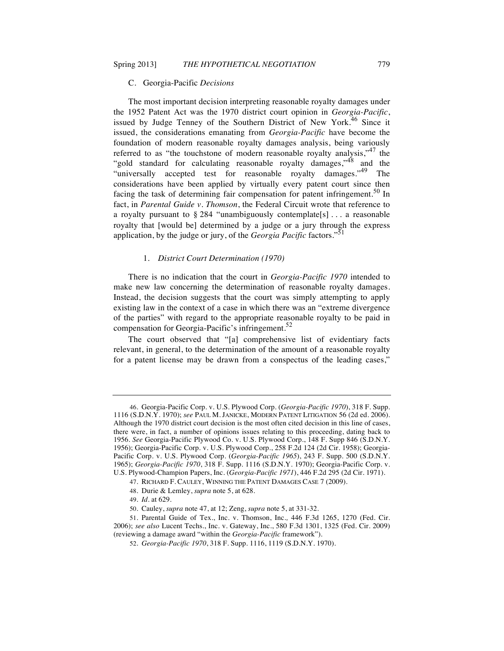#### C. Georgia-Pacific *Decisions*

The most important decision interpreting reasonable royalty damages under the 1952 Patent Act was the 1970 district court opinion in *Georgia-Pacific*, issued by Judge Tenney of the Southern District of New York.<sup>46</sup> Since it issued, the considerations emanating from *Georgia-Pacific* have become the foundation of modern reasonable royalty damages analysis, being variously referred to as "the touchstone of modern reasonable royalty analysis," $47$  the "gold standard for calculating reasonable royalty damages,"<sup>48</sup> and the "universally accepted test for reasonable royalty damages."<sup>49</sup> The considerations have been applied by virtually every patent court since then facing the task of determining fair compensation for patent infringement.<sup>50</sup> In fact, in *Parental Guide v. Thomson*, the Federal Circuit wrote that reference to a royalty pursuant to  $\S 284$  "unambiguously contemplate  $[s]$ ... a reasonable royalty that [would be] determined by a judge or a jury through the express application, by the judge or jury, of the *Georgia Pacific* factors."<sup>51</sup>

#### 1. *District Court Determination (1970)*

There is no indication that the court in *Georgia-Pacific 1970* intended to make new law concerning the determination of reasonable royalty damages. Instead, the decision suggests that the court was simply attempting to apply existing law in the context of a case in which there was an "extreme divergence of the parties" with regard to the appropriate reasonable royalty to be paid in compensation for Georgia-Pacific's infringement. $52$ 

The court observed that "[a] comprehensive list of evidentiary facts relevant, in general, to the determination of the amount of a reasonable royalty for a patent license may be drawn from a conspectus of the leading cases,"

<sup>46.</sup> Georgia-Pacific Corp. v. U.S. Plywood Corp. (*Georgia-Pacific 1970*), 318 F. Supp. 1116 (S.D.N.Y. 1970); *see* PAUL M. JANICKE, MODERN PATENT LITIGATION 56 (2d ed. 2006). Although the 1970 district court decision is the most often cited decision in this line of cases, there were, in fact, a number of opinions issues relating to this proceeding, dating back to 1956. *See* Georgia-Pacific Plywood Co. v. U.S. Plywood Corp., 148 F. Supp 846 (S.D.N.Y. 1956); Georgia-Pacific Corp. v. U.S. Plywood Corp., 258 F.2d 124 (2d Cir. 1958); Georgia-Pacific Corp. v. U.S. Plywood Corp. (*Georgia-Pacific 1965*), 243 F. Supp. 500 (S.D.N.Y. 1965); *Georgia-Pacific 1970*, 318 F. Supp. 1116 (S.D.N.Y. 1970); Georgia-Pacific Corp. v. U.S. Plywood-Champion Papers, Inc. (*Georgia-Pacific 1971*), 446 F.2d 295 (2d Cir. 1971).

<sup>47.</sup> RICHARD F. CAULEY, WINNING THE PATENT DAMAGES CASE 7 (2009).

<sup>48.</sup> Durie & Lemley, *supra* note 5, at 628.

<sup>49.</sup> *Id*. at 629.

<sup>50.</sup> Cauley, *supra* note 47, at 12; Zeng, *supra* note 5, at 331-32.

<sup>51.</sup> Parental Guide of Tex., Inc. v. Thomson, Inc.*,* 446 F.3d 1265, 1270 (Fed. Cir. 2006); *see also* Lucent Techs., Inc. v. Gateway, Inc., 580 F.3d 1301, 1325 (Fed. Cir. 2009) (reviewing a damage award "within the *Georgia-Pacific* framework").

<sup>52.</sup> *Georgia-Pacific 1970*, 318 F. Supp. 1116, 1119 (S.D.N.Y. 1970).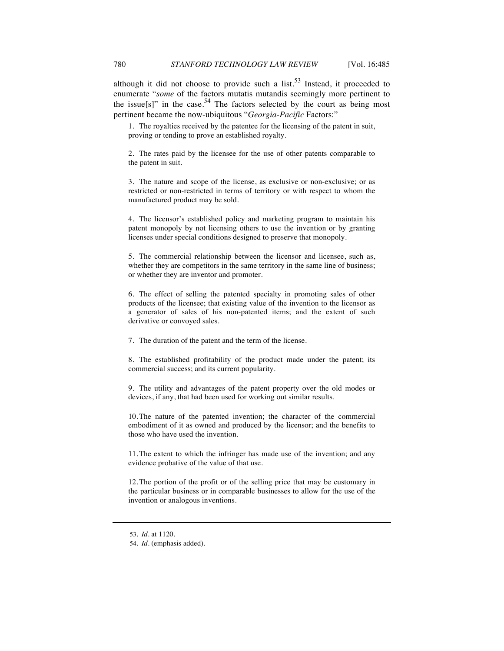although it did not choose to provide such a  $list.^{53}$  Instead, it proceeded to enumerate "*some* of the factors mutatis mutandis seemingly more pertinent to the issue[s]" in the case.<sup>54</sup> The factors selected by the court as being most pertinent became the now-ubiquitous "*Georgia-Pacific* Factors:"

1. The royalties received by the patentee for the licensing of the patent in suit, proving or tending to prove an established royalty.

2. The rates paid by the licensee for the use of other patents comparable to the patent in suit.

3. The nature and scope of the license, as exclusive or non-exclusive; or as restricted or non-restricted in terms of territory or with respect to whom the manufactured product may be sold.

4. The licensor's established policy and marketing program to maintain his patent monopoly by not licensing others to use the invention or by granting licenses under special conditions designed to preserve that monopoly.

5. The commercial relationship between the licensor and licensee, such as, whether they are competitors in the same territory in the same line of business; or whether they are inventor and promoter.

6. The effect of selling the patented specialty in promoting sales of other products of the licensee; that existing value of the invention to the licensor as a generator of sales of his non-patented items; and the extent of such derivative or convoyed sales.

7. The duration of the patent and the term of the license.

8. The established profitability of the product made under the patent; its commercial success; and its current popularity.

9. The utility and advantages of the patent property over the old modes or devices, if any, that had been used for working out similar results.

10.The nature of the patented invention; the character of the commercial embodiment of it as owned and produced by the licensor; and the benefits to those who have used the invention.

11.The extent to which the infringer has made use of the invention; and any evidence probative of the value of that use.

12.The portion of the profit or of the selling price that may be customary in the particular business or in comparable businesses to allow for the use of the invention or analogous inventions.

<sup>53.</sup> *Id.* at 1120.

<sup>54.</sup> *Id.* (emphasis added).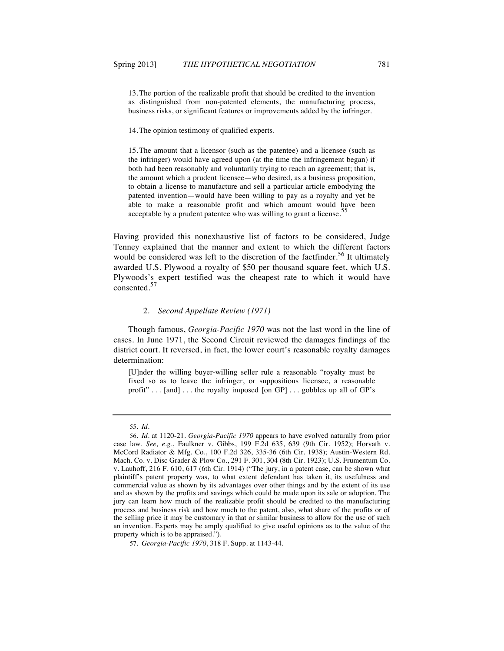13.The portion of the realizable profit that should be credited to the invention as distinguished from non-patented elements, the manufacturing process, business risks, or significant features or improvements added by the infringer.

14.The opinion testimony of qualified experts.

15.The amount that a licensor (such as the patentee) and a licensee (such as the infringer) would have agreed upon (at the time the infringement began) if both had been reasonably and voluntarily trying to reach an agreement; that is, the amount which a prudent licensee—who desired, as a business proposition, to obtain a license to manufacture and sell a particular article embodying the patented invention—would have been willing to pay as a royalty and yet be able to make a reasonable profit and which amount would have been acceptable by a prudent patentee who was willing to grant a license. $\frac{5}{5}$ 

Having provided this nonexhaustive list of factors to be considered, Judge Tenney explained that the manner and extent to which the different factors would be considered was left to the discretion of the factfinder.<sup>56</sup> It ultimately awarded U.S. Plywood a royalty of \$50 per thousand square feet, which U.S. Plywoods's expert testified was the cheapest rate to which it would have consented.<sup>57</sup>

#### 2. *Second Appellate Review (1971)*

Though famous, *Georgia-Pacific 1970* was not the last word in the line of cases. In June 1971, the Second Circuit reviewed the damages findings of the district court. It reversed, in fact, the lower court's reasonable royalty damages determination:

[U]nder the willing buyer-willing seller rule a reasonable "royalty must be fixed so as to leave the infringer, or suppositious licensee, a reasonable profit"... [and]... the royalty imposed [on GP]... gobbles up all of GP's

<sup>55.</sup> *Id*.

<sup>56.</sup> *Id.* at 1120-21. *Georgia-Pacific 1970* appears to have evolved naturally from prior case law. *See, e.g.*, Faulkner v. Gibbs, 199 F.2d 635, 639 (9th Cir. 1952); Horvath v. McCord Radiator & Mfg. Co., 100 F.2d 326, 335-36 (6th Cir. 1938); Austin-Western Rd. Mach. Co. v. Disc Grader & Plow Co., 291 F. 301, 304 (8th Cir. 1923); U.S. Frumentum Co. v. Lauhoff, 216 F. 610, 617 (6th Cir. 1914) ("The jury, in a patent case, can be shown what plaintiff's patent property was, to what extent defendant has taken it, its usefulness and commercial value as shown by its advantages over other things and by the extent of its use and as shown by the profits and savings which could be made upon its sale or adoption. The jury can learn how much of the realizable profit should be credited to the manufacturing process and business risk and how much to the patent, also, what share of the profits or of the selling price it may be customary in that or similar business to allow for the use of such an invention. Experts may be amply qualified to give useful opinions as to the value of the property which is to be appraised.").

<sup>57.</sup> *Georgia-Pacific 1970*, 318 F. Supp. at 1143-44.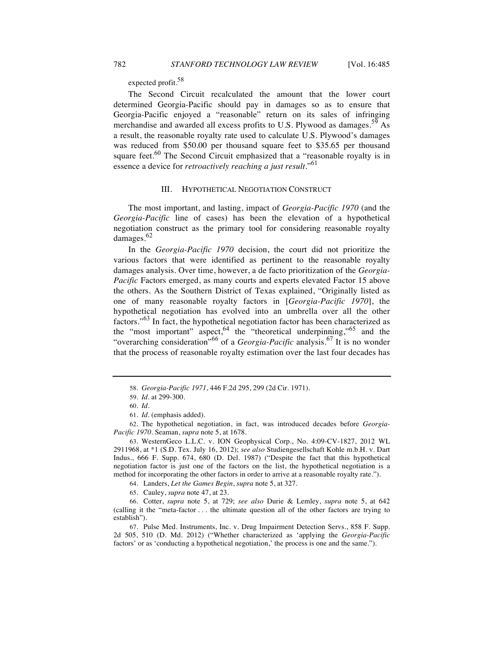expected profit.<sup>58</sup>

The Second Circuit recalculated the amount that the lower court determined Georgia-Pacific should pay in damages so as to ensure that Georgia-Pacific enjoyed a "reasonable" return on its sales of infringing merchandise and awarded all excess profits to U.S. Plywood as damages.<sup>59</sup> As a result, the reasonable royalty rate used to calculate U.S. Plywood's damages was reduced from \$50.00 per thousand square feet to \$35.65 per thousand square feet. $60$  The Second Circuit emphasized that a "reasonable royalty is in essence a device for *retroactively reaching a just result*."<sup>61</sup>

## III. HYPOTHETICAL NEGOTIATION CONSTRUCT

The most important, and lasting, impact of *Georgia-Pacific 1970* (and the *Georgia-Pacific* line of cases) has been the elevation of a hypothetical negotiation construct as the primary tool for considering reasonable royalty damages.<sup>62</sup>

In the *Georgia-Pacific 1970* decision, the court did not prioritize the various factors that were identified as pertinent to the reasonable royalty damages analysis. Over time, however, a de facto prioritization of the *Georgia-Pacific* Factors emerged, as many courts and experts elevated Factor 15 above the others. As the Southern District of Texas explained, "Originally listed as one of many reasonable royalty factors in [*Georgia-Pacific 1970*], the hypothetical negotiation has evolved into an umbrella over all the other factors."<sup>63</sup> In fact, the hypothetical negotiation factor has been characterized as the "most important" aspect,<sup>64</sup> the "theoretical underpinning,"<sup>65</sup> and the "overarching consideration<sup>"66</sup> of a *Georgia-Pacific* analysis.<sup>67</sup> It is no wonder that the process of reasonable royalty estimation over the last four decades has

62. The hypothetical negotiation, in fact, was introduced decades before *Georgia-Pacific 1970*. Seaman, *supra* note 5, at 1678.

64. Landers, *Let the Games Begin*, *supra* note 5, at 327.

65. Cauley, *supra* note 47, at 23.

66. Cotter, *supra* note 5, at 729; *see also* Durie & Lemley, *supra* note 5, at 642 (calling it the "meta-factor . . . the ultimate question all of the other factors are trying to establish").

67. Pulse Med. Instruments, Inc. v. Drug Impairment Detection Servs., 858 F. Supp. 2d 505, 510 (D. Md. 2012) ("Whether characterized as 'applying the *Georgia-Pacific* factors' or as 'conducting a hypothetical negotiation,' the process is one and the same.").

<sup>58.</sup> *Georgia-Pacific 1971*, 446 F.2d 295, 299 (2d Cir. 1971).

<sup>59.</sup> *Id*. at 299-300.

<sup>60.</sup> *Id.*

<sup>61.</sup> *Id*. (emphasis added).

<sup>63.</sup> WesternGeco L.L.C. v. ION Geophysical Corp., No. 4:09-CV-1827, 2012 WL 2911968, at \*1 (S.D. Tex. July 16, 2012); *see also* Studiengesellschaft Kohle m.b.H. v. Dart Indus., 666 F. Supp. 674, 680 (D. Del. 1987) ("Despite the fact that this hypothetical negotiation factor is just one of the factors on the list, the hypothetical negotiation is a method for incorporating the other factors in order to arrive at a reasonable royalty rate.").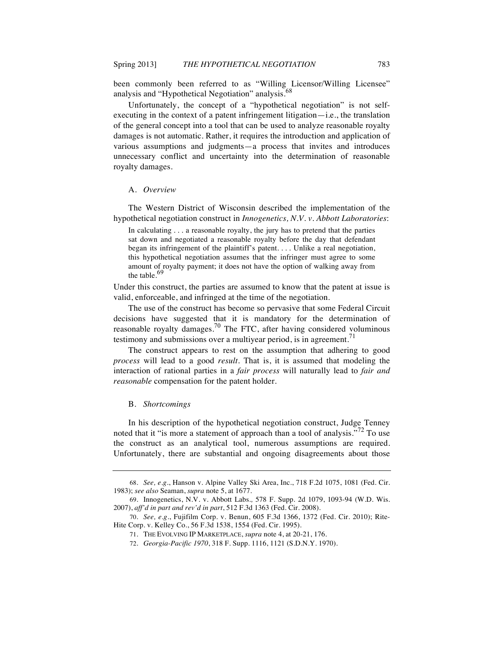been commonly been referred to as "Willing Licensor/Willing Licensee" analysis and "Hypothetical Negotiation" analysis.<sup>68</sup>

Unfortunately, the concept of a "hypothetical negotiation" is not selfexecuting in the context of a patent infringement litigation—i.e., the translation of the general concept into a tool that can be used to analyze reasonable royalty damages is not automatic. Rather, it requires the introduction and application of various assumptions and judgments—a process that invites and introduces unnecessary conflict and uncertainty into the determination of reasonable royalty damages.

## A. *Overview*

The Western District of Wisconsin described the implementation of the hypothetical negotiation construct in *Innogenetics, N.V. v. Abbott Laboratories*:

In calculating . . . a reasonable royalty, the jury has to pretend that the parties sat down and negotiated a reasonable royalty before the day that defendant began its infringement of the plaintiff's patent. . . . Unlike a real negotiation, this hypothetical negotiation assumes that the infringer must agree to some amount of royalty payment; it does not have the option of walking away from the table. $69$ 

Under this construct, the parties are assumed to know that the patent at issue is valid, enforceable, and infringed at the time of the negotiation.

The use of the construct has become so pervasive that some Federal Circuit decisions have suggested that it is mandatory for the determination of reasonable royalty damages.<sup>70</sup> The FTC, after having considered voluminous testimony and submissions over a multiyear period, is in agreement.<sup>71</sup>

The construct appears to rest on the assumption that adhering to good *process* will lead to a good *result*. That is, it is assumed that modeling the interaction of rational parties in a *fair process* will naturally lead to *fair and reasonable* compensation for the patent holder.

#### B. *Shortcomings*

In his description of the hypothetical negotiation construct, Judge Tenney noted that it "is more a statement of approach than a tool of analysis."<sup>72</sup> To use the construct as an analytical tool, numerous assumptions are required. Unfortunately, there are substantial and ongoing disagreements about those

<sup>68.</sup> *See, e.g.*, Hanson v. Alpine Valley Ski Area, Inc., 718 F.2d 1075, 1081 (Fed. Cir. 1983); *see also* Seaman, *supra* note 5, at 1677.

<sup>69.</sup> Innogenetics, N.V. v. Abbott Labs.*,* 578 F. Supp. 2d 1079, 1093-94 (W.D. Wis. 2007), *aff'd in part and rev'd in part*, 512 F.3d 1363 (Fed. Cir. 2008).

<sup>70.</sup> *See, e.g.*, Fujifilm Corp. v. Benun, 605 F.3d 1366, 1372 (Fed. Cir. 2010); Rite-Hite Corp. v. Kelley Co., 56 F.3d 1538, 1554 (Fed. Cir. 1995).

<sup>71.</sup> THE EVOLVING IP MARKETPLACE, *supra* note 4, at 20-21, 176.

<sup>72.</sup> *Georgia-Pacific 1970*, 318 F. Supp. 1116, 1121 (S.D.N.Y. 1970).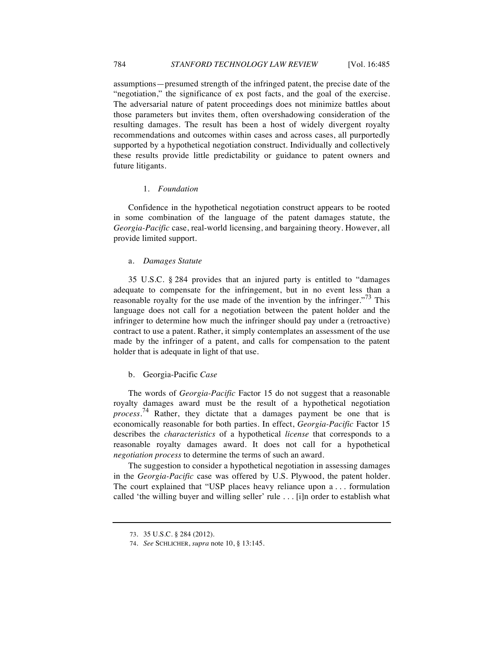assumptions—presumed strength of the infringed patent, the precise date of the "negotiation," the significance of ex post facts, and the goal of the exercise. The adversarial nature of patent proceedings does not minimize battles about those parameters but invites them, often overshadowing consideration of the resulting damages. The result has been a host of widely divergent royalty recommendations and outcomes within cases and across cases, all purportedly supported by a hypothetical negotiation construct. Individually and collectively these results provide little predictability or guidance to patent owners and future litigants.

#### 1. *Foundation*

Confidence in the hypothetical negotiation construct appears to be rooted in some combination of the language of the patent damages statute, the *Georgia-Pacific* case, real-world licensing, and bargaining theory. However, all provide limited support.

#### a. *Damages Statute*

35 U.S.C. § 284 provides that an injured party is entitled to "damages adequate to compensate for the infringement, but in no event less than a reasonable royalty for the use made of the invention by the infringer.<sup> $373$ </sup> This language does not call for a negotiation between the patent holder and the infringer to determine how much the infringer should pay under a (retroactive) contract to use a patent. Rather, it simply contemplates an assessment of the use made by the infringer of a patent, and calls for compensation to the patent holder that is adequate in light of that use.

#### b. Georgia-Pacific *Case*

The words of *Georgia-Pacific* Factor 15 do not suggest that a reasonable royalty damages award must be the result of a hypothetical negotiation *process*.<sup>74</sup> Rather, they dictate that a damages payment be one that is economically reasonable for both parties. In effect, *Georgia-Pacific* Factor 15 describes the *characteristics* of a hypothetical *license* that corresponds to a reasonable royalty damages award. It does not call for a hypothetical *negotiation process* to determine the terms of such an award.

The suggestion to consider a hypothetical negotiation in assessing damages in the *Georgia-Pacific* case was offered by U.S. Plywood, the patent holder. The court explained that "USP places heavy reliance upon a . . . formulation called 'the willing buyer and willing seller' rule . . . [i]n order to establish what

<sup>73.</sup> 35 U.S.C. § 284 (2012).

<sup>74.</sup> *See* SCHLICHER, *supra* note 10, § 13:145.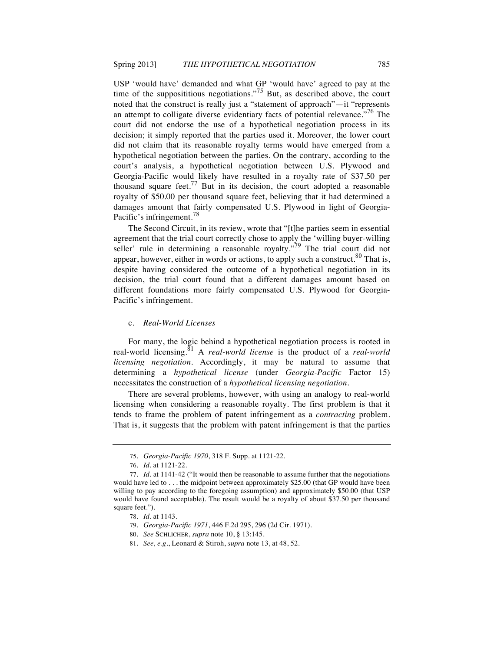USP 'would have' demanded and what GP 'would have' agreed to pay at the time of the supposititious negotiations."<sup>75</sup> But, as described above, the court noted that the construct is really just a "statement of approach"—it "represents an attempt to colligate diverse evidentiary facts of potential relevance.<sup>76</sup> The court did not endorse the use of a hypothetical negotiation process in its decision; it simply reported that the parties used it. Moreover, the lower court did not claim that its reasonable royalty terms would have emerged from a hypothetical negotiation between the parties. On the contrary, according to the court's analysis, a hypothetical negotiation between U.S. Plywood and Georgia-Pacific would likely have resulted in a royalty rate of \$37.50 per thousand square feet.<sup>77</sup> But in its decision, the court adopted a reasonable royalty of \$50.00 per thousand square feet, believing that it had determined a damages amount that fairly compensated U.S. Plywood in light of Georgia-Pacific's infringement.<sup>78</sup>

The Second Circuit, in its review, wrote that "[t]he parties seem in essential agreement that the trial court correctly chose to apply the 'willing buyer-willing seller' rule in determining a reasonable royalty."<sup>79</sup> The trial court did not appear, however, either in words or actions, to apply such a construct.<sup>80</sup> That is, despite having considered the outcome of a hypothetical negotiation in its decision, the trial court found that a different damages amount based on different foundations more fairly compensated U.S. Plywood for Georgia-Pacific's infringement.

## c. *Real-World Licenses*

For many, the logic behind a hypothetical negotiation process is rooted in real-world licensing.<sup>81</sup> A *real-world license* is the product of a *real-world licensing negotiation*. Accordingly, it may be natural to assume that determining a *hypothetical license* (under *Georgia-Pacific* Factor 15) necessitates the construction of a *hypothetical licensing negotiation*.

There are several problems, however, with using an analogy to real-world licensing when considering a reasonable royalty. The first problem is that it tends to frame the problem of patent infringement as a *contracting* problem. That is, it suggests that the problem with patent infringement is that the parties

<sup>75.</sup> *Georgia-Pacific 1970*, 318 F. Supp. at 1121-22.

<sup>76.</sup> *Id*. at 1121-22.

<sup>77.</sup> *Id*. at 1141-42 ("It would then be reasonable to assume further that the negotiations would have led to . . . the midpoint between approximately \$25.00 (that GP would have been willing to pay according to the foregoing assumption) and approximately \$50.00 (that USP would have found acceptable). The result would be a royalty of about \$37.50 per thousand square feet.").

<sup>78.</sup> *Id.* at 1143.

<sup>79.</sup> *Georgia-Pacific 1971*, 446 F.2d 295, 296 (2d Cir. 1971).

<sup>80.</sup> *See* SCHLICHER, *supra* note 10, § 13:145.

<sup>81.</sup> *See, e.g.*, Leonard & Stiroh, *supra* note 13, at 48, 52.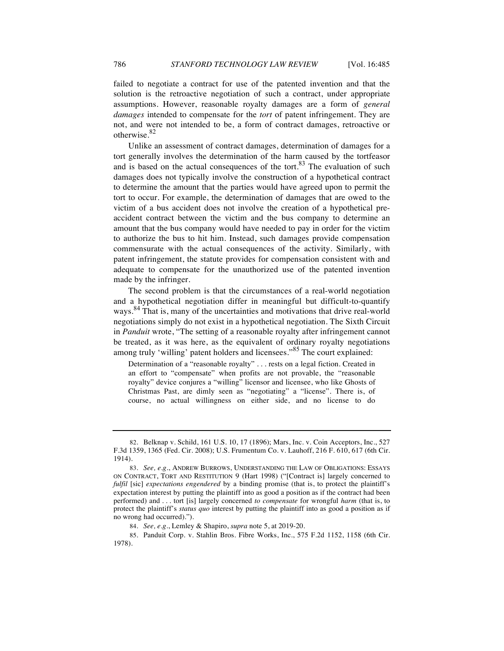failed to negotiate a contract for use of the patented invention and that the solution is the retroactive negotiation of such a contract, under appropriate assumptions. However, reasonable royalty damages are a form of *general damages* intended to compensate for the *tort* of patent infringement. They are not, and were not intended to be, a form of contract damages, retroactive or otherwise.<sup>82</sup>

Unlike an assessment of contract damages, determination of damages for a tort generally involves the determination of the harm caused by the tortfeasor and is based on the actual consequences of the tort. $83$  The evaluation of such damages does not typically involve the construction of a hypothetical contract to determine the amount that the parties would have agreed upon to permit the tort to occur. For example, the determination of damages that are owed to the victim of a bus accident does not involve the creation of a hypothetical preaccident contract between the victim and the bus company to determine an amount that the bus company would have needed to pay in order for the victim to authorize the bus to hit him. Instead, such damages provide compensation commensurate with the actual consequences of the activity. Similarly, with patent infringement, the statute provides for compensation consistent with and adequate to compensate for the unauthorized use of the patented invention made by the infringer.

The second problem is that the circumstances of a real-world negotiation and a hypothetical negotiation differ in meaningful but difficult-to-quantify ways.<sup>84</sup> That is, many of the uncertainties and motivations that drive real-world negotiations simply do not exist in a hypothetical negotiation. The Sixth Circuit in *Panduit* wrote, "The setting of a reasonable royalty after infringement cannot be treated, as it was here, as the equivalent of ordinary royalty negotiations among truly 'willing' patent holders and licensees."<sup>85</sup> The court explained:

Determination of a "reasonable royalty" . . . rests on a legal fiction. Created in an effort to "compensate" when profits are not provable, the "reasonable royalty" device conjures a "willing" licensor and licensee, who like Ghosts of Christmas Past, are dimly seen as "negotiating" a "license". There is, of course, no actual willingness on either side, and no license to do

<sup>82.</sup> Belknap v. Schild, 161 U.S. 10, 17 (1896); Mars, Inc. v. Coin Acceptors, Inc., 527 F.3d 1359, 1365 (Fed. Cir. 2008); U.S. Frumentum Co. v. Lauhoff, 216 F. 610, 617 (6th Cir. 1914).

<sup>83.</sup> *See, e.g.*, ANDREW BURROWS, UNDERSTANDING THE LAW OF OBLIGATIONS: ESSAYS ON CONTRACT, TORT AND RESTITUTION 9 (Hart 1998) ("[Contract is] largely concerned to *fulfil* [sic] *expectations engendered* by a binding promise (that is, to protect the plaintiff's expectation interest by putting the plaintiff into as good a position as if the contract had been performed) and . . . tort [is] largely concerned *to compensate* for wrongful *harm* (that is, to protect the plaintiff's *status quo* interest by putting the plaintiff into as good a position as if no wrong had occurred).").

<sup>84.</sup> *See, e.g*., Lemley & Shapiro, *supra* note 5, at 2019-20.

<sup>85.</sup> Panduit Corp. v. Stahlin Bros. Fibre Works, Inc., 575 F.2d 1152, 1158 (6th Cir. 1978).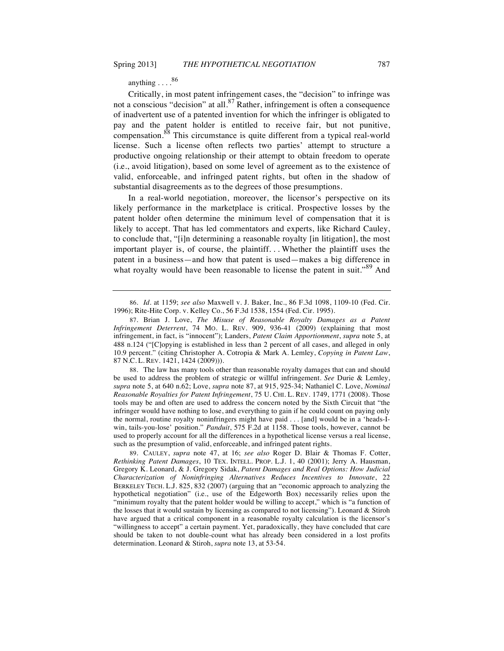anything . . . .<sup>86</sup>

Critically, in most patent infringement cases, the "decision" to infringe was not a conscious "decision" at all. $87$  Rather, infringement is often a consequence of inadvertent use of a patented invention for which the infringer is obligated to pay and the patent holder is entitled to receive fair, but not punitive, compensation.<sup>88</sup> This circumstance is quite different from a typical real-world license. Such a license often reflects two parties' attempt to structure a productive ongoing relationship or their attempt to obtain freedom to operate (i.e., avoid litigation), based on some level of agreement as to the existence of valid, enforceable, and infringed patent rights, but often in the shadow of substantial disagreements as to the degrees of those presumptions.

In a real-world negotiation, moreover, the licensor's perspective on its likely performance in the marketplace is critical. Prospective losses by the patent holder often determine the minimum level of compensation that it is likely to accept. That has led commentators and experts, like Richard Cauley, to conclude that, "[i]n determining a reasonable royalty [in litigation], the most important player is, of course, the plaintiff. . . Whether the plaintiff uses the patent in a business—and how that patent is used—makes a big difference in what royalty would have been reasonable to license the patent in suit.<sup>89</sup> And

88. The law has many tools other than reasonable royalty damages that can and should be used to address the problem of strategic or willful infringement. *See* Durie & Lemley, *supra* note 5, at 640 n.62; Love, *supra* note 87, at 915, 925-34; Nathaniel C. Love, *Nominal Reasonable Royalties for Patent Infringement*, 75 U. CHI. L. REV. 1749, 1771 (2008). Those tools may be and often are used to address the concern noted by the Sixth Circuit that "the infringer would have nothing to lose, and everything to gain if he could count on paying only the normal, routine royalty noninfringers might have paid . . . [and] would be in a 'heads-Iwin, tails-you-lose' position." *Panduit*, 575 F.2d at 1158. Those tools, however, cannot be used to properly account for all the differences in a hypothetical license versus a real license, such as the presumption of valid, enforceable, and infringed patent rights.

89. CAULEY, *supra* note 47, at 16; *see also* Roger D. Blair & Thomas F. Cotter, *Rethinking Patent Damages*, 10 TEX. INTELL. PROP. L.J. 1, 40 (2001); Jerry A. Hausman, Gregory K. Leonard, & J. Gregory Sidak, *Patent Damages and Real Options: How Judicial Characterization of Noninfringing Alternatives Reduces Incentives to Innovate*, 22 BERKELEY TECH. L.J. 825, 832 (2007) (arguing that an "economic approach to analyzing the hypothetical negotiation" (i.e., use of the Edgeworth Box) necessarily relies upon the "minimum royalty that the patent holder would be willing to accept," which is "a function of the losses that it would sustain by licensing as compared to not licensing"). Leonard & Stiroh have argued that a critical component in a reasonable royalty calculation is the licensor's "willingness to accept" a certain payment. Yet, paradoxically, they have concluded that care should be taken to not double-count what has already been considered in a lost profits determination. Leonard & Stiroh, *supra* note 13, at 53-54.

<sup>86.</sup> *Id.* at 1159; *see also* Maxwell v. J. Baker, Inc., 86 F.3d 1098, 1109-10 (Fed. Cir. 1996); Rite-Hite Corp. v. Kelley Co., 56 F.3d 1538, 1554 (Fed. Cir. 1995).

<sup>87.</sup> Brian J. Love, *The Misuse of Reasonable Royalty Damages as a Patent Infringement Deterrent*, 74 MO. L. REV. 909, 936-41 (2009) (explaining that most infringement, in fact, is "innocent"); Landers, *Patent Claim Apportionment*, *supra* note 5, at 488 n.124 ("[C]opying is established in less than 2 percent of all cases, and alleged in only 10.9 percent." (citing Christopher A. Cotropia & Mark A. Lemley, *Copying in Patent Law*, 87 N.C. L. REV. 1421, 1424 (2009)).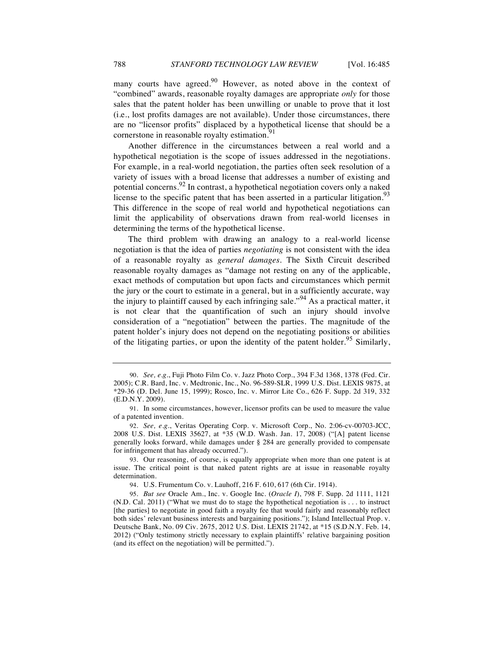many courts have agreed. $90$  However, as noted above in the context of "combined" awards, reasonable royalty damages are appropriate *only* for those sales that the patent holder has been unwilling or unable to prove that it lost (i.e., lost profits damages are not available). Under those circumstances, there are no "licensor profits" displaced by a hypothetical license that should be a cornerstone in reasonable royalty estimation.<sup>91</sup>

Another difference in the circumstances between a real world and a hypothetical negotiation is the scope of issues addressed in the negotiations. For example, in a real-world negotiation, the parties often seek resolution of a variety of issues with a broad license that addresses a number of existing and potential concerns.  $92$  In contrast, a hypothetical negotiation covers only a naked license to the specific patent that has been asserted in a particular litigation.<sup>93</sup> This difference in the scope of real world and hypothetical negotiations can limit the applicability of observations drawn from real-world licenses in determining the terms of the hypothetical license.

The third problem with drawing an analogy to a real-world license negotiation is that the idea of parties *negotiating* is not consistent with the idea of a reasonable royalty as *general damages*. The Sixth Circuit described reasonable royalty damages as "damage not resting on any of the applicable, exact methods of computation but upon facts and circumstances which permit the jury or the court to estimate in a general, but in a sufficiently accurate, way the injury to plaintiff caused by each infringing sale.<sup> $.94$ </sup> As a practical matter, it is not clear that the quantification of such an injury should involve consideration of a "negotiation" between the parties. The magnitude of the patent holder's injury does not depend on the negotiating positions or abilities of the litigating parties, or upon the identity of the patent holder.<sup>95</sup> Similarly,

<sup>90.</sup> *See, e.g.*, Fuji Photo Film Co. v. Jazz Photo Corp., 394 F.3d 1368, 1378 (Fed. Cir. 2005); C.R. Bard, Inc. v. Medtronic, Inc., No. 96-589-SLR, 1999 U.S. Dist. LEXIS 9875, at \*29-36 (D. Del. June 15, 1999); Rosco, Inc. v. Mirror Lite Co., 626 F. Supp. 2d 319, 332 (E.D.N.Y. 2009).

<sup>91.</sup> In some circumstances, however, licensor profits can be used to measure the value of a patented invention.

<sup>92.</sup> *See, e.g.*, Veritas Operating Corp. v. Microsoft Corp., No. 2:06-cv-00703-JCC, 2008 U.S. Dist. LEXIS 35627, at \*35 (W.D. Wash. Jan. 17, 2008) ("[A] patent license generally looks forward, while damages under § 284 are generally provided to compensate for infringement that has already occurred.").

<sup>93.</sup> Our reasoning, of course, is equally appropriate when more than one patent is at issue. The critical point is that naked patent rights are at issue in reasonable royalty determination.

<sup>94.</sup> U.S. Frumentum Co. v. Lauhoff, 216 F. 610, 617 (6th Cir. 1914).

<sup>95.</sup> *But see* Oracle Am., Inc. v. Google Inc. (*Oracle I*), 798 F. Supp. 2d 1111, 1121 (N.D. Cal. 2011) ("What we must do to stage the hypothetical negotiation is . . . to instruct [the parties] to negotiate in good faith a royalty fee that would fairly and reasonably reflect both sides' relevant business interests and bargaining positions."); Island Intellectual Prop. v. Deutsche Bank, No. 09 Civ. 2675, 2012 U.S. Dist. LEXIS 21742, at \*15 (S.D.N.Y. Feb. 14, 2012) ("Only testimony strictly necessary to explain plaintiffs' relative bargaining position (and its effect on the negotiation) will be permitted.").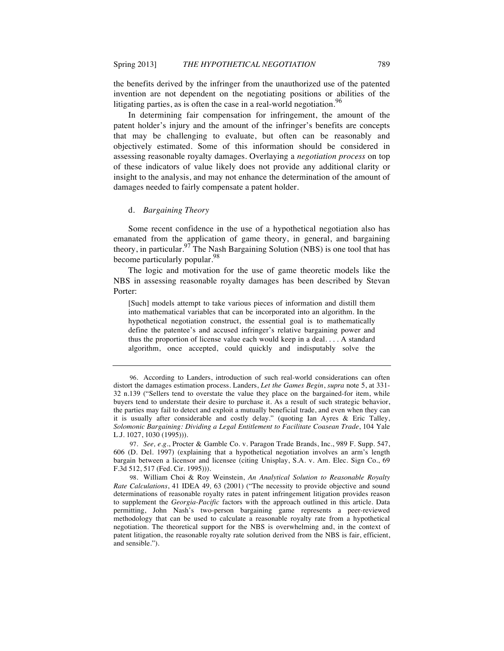the benefits derived by the infringer from the unauthorized use of the patented invention are not dependent on the negotiating positions or abilities of the litigating parties, as is often the case in a real-world negotiation.<sup>96</sup>

In determining fair compensation for infringement, the amount of the patent holder's injury and the amount of the infringer's benefits are concepts that may be challenging to evaluate, but often can be reasonably and objectively estimated. Some of this information should be considered in assessing reasonable royalty damages. Overlaying a *negotiation process* on top of these indicators of value likely does not provide any additional clarity or insight to the analysis, and may not enhance the determination of the amount of damages needed to fairly compensate a patent holder.

#### d. *Bargaining Theory*

Some recent confidence in the use of a hypothetical negotiation also has emanated from the application of game theory, in general, and bargaining theory, in particular.<sup>97</sup> The Nash Bargaining Solution (NBS) is one tool that has become particularly popular.<sup>98</sup>

The logic and motivation for the use of game theoretic models like the NBS in assessing reasonable royalty damages has been described by Stevan Porter:

[Such] models attempt to take various pieces of information and distill them into mathematical variables that can be incorporated into an algorithm. In the hypothetical negotiation construct, the essential goal is to mathematically define the patentee's and accused infringer's relative bargaining power and thus the proportion of license value each would keep in a deal. . . . A standard algorithm, once accepted, could quickly and indisputably solve the

<sup>96.</sup> According to Landers, introduction of such real-world considerations can often distort the damages estimation process. Landers, *Let the Games Begin*, *supra* note 5, at 331- 32 n.139 ("Sellers tend to overstate the value they place on the bargained-for item, while buyers tend to understate their desire to purchase it. As a result of such strategic behavior, the parties may fail to detect and exploit a mutually beneficial trade, and even when they can it is usually after considerable and costly delay." (quoting Ian Ayres & Eric Talley, *Solomonic Bargaining: Dividing a Legal Entitlement to Facilitate Coasean Trade*, 104 Yale L.J. 1027, 1030 (1995))).

<sup>97.</sup> *See, e.g.*, Procter & Gamble Co. v. Paragon Trade Brands, Inc., 989 F. Supp. 547, 606 (D. Del. 1997) (explaining that a hypothetical negotiation involves an arm's length bargain between a licensor and licensee (citing Unisplay, S.A. v. Am. Elec. Sign Co., 69 F.3d 512, 517 (Fed. Cir. 1995))).

<sup>98.</sup> William Choi & Roy Weinstein, *An Analytical Solution to Reasonable Royalty Rate Calculations*, 41 IDEA 49*,* 63 (2001) ("The necessity to provide objective and sound determinations of reasonable royalty rates in patent infringement litigation provides reason to supplement the *Georgia-Pacific* factors with the approach outlined in this article. Data permitting, John Nash's two-person bargaining game represents a peer-reviewed methodology that can be used to calculate a reasonable royalty rate from a hypothetical negotiation. The theoretical support for the NBS is overwhelming and, in the context of patent litigation, the reasonable royalty rate solution derived from the NBS is fair, efficient, and sensible.")*.*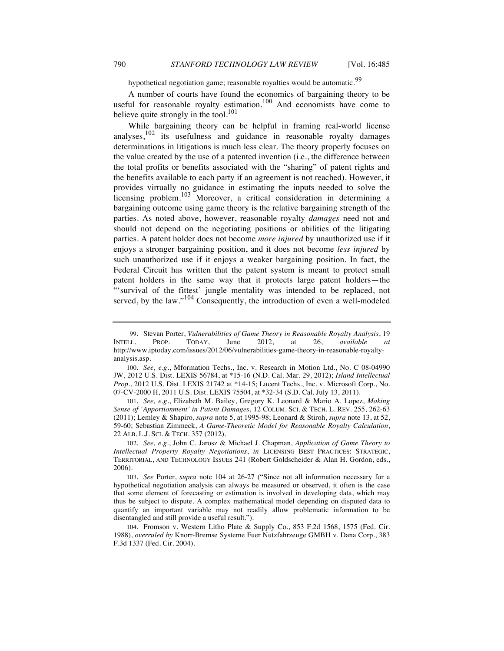hypothetical negotiation game; reasonable royalties would be automatic.<sup>99</sup>

A number of courts have found the economics of bargaining theory to be useful for reasonable royalty estimation.<sup>100</sup> And economists have come to believe quite strongly in the tool.<sup>101</sup>

While bargaining theory can be helpful in framing real-world license analyses, $102$  its usefulness and guidance in reasonable royalty damages determinations in litigations is much less clear. The theory properly focuses on the value created by the use of a patented invention (i.e., the difference between the total profits or benefits associated with the "sharing" of patent rights and the benefits available to each party if an agreement is not reached). However, it provides virtually no guidance in estimating the inputs needed to solve the licensing problem.<sup>103</sup> Moreover, a critical consideration in determining a bargaining outcome using game theory is the relative bargaining strength of the parties. As noted above, however, reasonable royalty *damages* need not and should not depend on the negotiating positions or abilities of the litigating parties. A patent holder does not become *more injured* by unauthorized use if it enjoys a stronger bargaining position, and it does not become *less injured* by such unauthorized use if it enjoys a weaker bargaining position. In fact, the Federal Circuit has written that the patent system is meant to protect small patent holders in the same way that it protects large patent holders—the "'survival of the fittest' jungle mentality was intended to be replaced, not served, by the law."<sup>104</sup> Consequently, the introduction of even a well-modeled

<sup>99.</sup> Stevan Porter, *Vulnerabilities of Game Theory in Reasonable Royalty Analysis*, 19 INTELL. PROP. TODAY, June 2012, at 26, *available at* http://www.iptoday.com/issues/2012/06/vulnerabilities-game-theory-in-reasonable-royaltyanalysis.asp*.*

<sup>100.</sup> *See, e.g.*, Mformation Techs., Inc. v. Research in Motion Ltd., No. C 08-04990 JW, 2012 U.S. Dist. LEXIS 56784, at \*15-16 (N.D. Cal. Mar. 29, 2012); *Island Intellectual Prop.*, 2012 U.S. Dist. LEXIS 21742 at \*14-15; Lucent Techs., Inc. v. Microsoft Corp., No. 07-CV-2000 H, 2011 U.S. Dist. LEXIS 75504, at \*32-34 (S.D. Cal. July 13, 2011).

<sup>101.</sup> *See, e.g.*, Elizabeth M. Bailey, Gregory K. Leonard & Mario A. Lopez, *Making Sense of 'Apportionment' in Patent Damages*, 12 COLUM. SCI. & TECH. L. REV. 255, 262-63 (2011); Lemley & Shapiro, *supra* note 5, at 1995-98; Leonard & Stiroh, *supra* note 13, at 52, 59-60; Sebastian Zimmeck, *A Game-Theoretic Model for Reasonable Royalty Calculation*, 22 ALB. L.J. SCI. & TECH. 357 (2012).

<sup>102.</sup> *See, e.g.*, John C. Jarosz & Michael J. Chapman, *Application of Game Theory to Intellectual Property Royalty Negotiations*, *in* LICENSING BEST PRACTICES: STRATEGIC, TERRITORIAL, AND TECHNOLOGY ISSUES 241 (Robert Goldscheider & Alan H. Gordon, eds., 2006).

<sup>103.</sup> *See* Porter, *supra* note 104 at 26-27 ("Since not all information necessary for a hypothetical negotiation analysis can always be measured or observed, it often is the case that some element of forecasting or estimation is involved in developing data, which may thus be subject to dispute. A complex mathematical model depending on disputed data to quantify an important variable may not readily allow problematic information to be disentangled and still provide a useful result.").

<sup>104.</sup> Fromson v. Western Litho Plate & Supply Co., 853 F.2d 1568, 1575 (Fed. Cir. 1988), *overruled by* Knorr-Bremse Systeme Fuer Nutzfahrzeuge GMBH v. Dana Corp., 383 F.3d 1337 (Fed. Cir. 2004).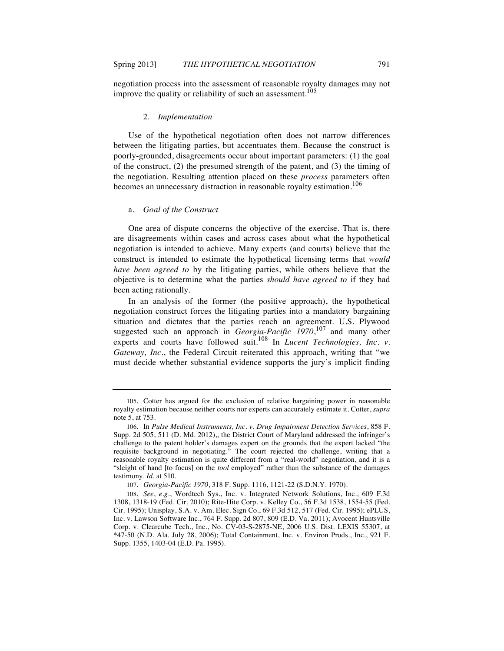negotiation process into the assessment of reasonable royalty damages may not improve the quality or reliability of such an assessment.<sup>105</sup>

#### 2. *Implementation*

Use of the hypothetical negotiation often does not narrow differences between the litigating parties, but accentuates them. Because the construct is poorly-grounded, disagreements occur about important parameters: (1) the goal of the construct, (2) the presumed strength of the patent, and (3) the timing of the negotiation. Resulting attention placed on these *process* parameters often becomes an unnecessary distraction in reasonable royalty estimation.<sup>106</sup>

#### a. *Goal of the Construct*

One area of dispute concerns the objective of the exercise. That is, there are disagreements within cases and across cases about what the hypothetical negotiation is intended to achieve. Many experts (and courts) believe that the construct is intended to estimate the hypothetical licensing terms that *would have been agreed to* by the litigating parties, while others believe that the objective is to determine what the parties *should have agreed to* if they had been acting rationally.

In an analysis of the former (the positive approach), the hypothetical negotiation construct forces the litigating parties into a mandatory bargaining situation and dictates that the parties reach an agreement. U.S. Plywood suggested such an approach in *Georgia-Pacific 1970*, <sup>107</sup> and many other experts and courts have followed suit.<sup>108</sup> In *Lucent Technologies*, *Inc.* v. *Gateway, Inc.*, the Federal Circuit reiterated this approach, writing that "we must decide whether substantial evidence supports the jury's implicit finding

<sup>105.</sup> Cotter has argued for the exclusion of relative bargaining power in reasonable royalty estimation because neither courts nor experts can accurately estimate it. Cotter, *supra* note 5, at 753.

<sup>106.</sup> In *Pulse Medical Instruments, Inc. v. Drug Impairment Detection Services*, 858 F. Supp. 2d 505, 511 (D. Md. 2012),, the District Court of Maryland addressed the infringer's challenge to the patent holder's damages expert on the grounds that the expert lacked "the requisite background in negotiating." The court rejected the challenge, writing that a reasonable royalty estimation is quite different from a "real-world" negotiation, and it is a "sleight of hand [to focus] on the *tool* employed" rather than the substance of the damages testimony. *Id.* at 510.

<sup>107.</sup> *Georgia-Pacific 1970*, 318 F. Supp. 1116, 1121-22 (S.D.N.Y. 1970).

<sup>108.</sup> *See*, *e.g.*, Wordtech Sys., Inc. v. Integrated Network Solutions, Inc., 609 F.3d 1308, 1318-19 (Fed. Cir. 2010); Rite-Hite Corp. v. Kelley Co., 56 F.3d 1538, 1554-55 (Fed. Cir. 1995); Unisplay, S.A. v. Am. Elec. Sign Co., 69 F.3d 512, 517 (Fed. Cir. 1995); ePLUS, Inc. v. Lawson Software Inc., 764 F. Supp. 2d 807, 809 (E.D. Va. 2011); Avocent Huntsville Corp. v. Clearcube Tech., Inc., No. CV-03-S-2875-NE, 2006 U.S. Dist. LEXIS 55307, at \*47-50 (N.D. Ala. July 28, 2006); Total Containment, Inc. v. Environ Prods., Inc., 921 F. Supp. 1355, 1403-04 (E.D. Pa. 1995).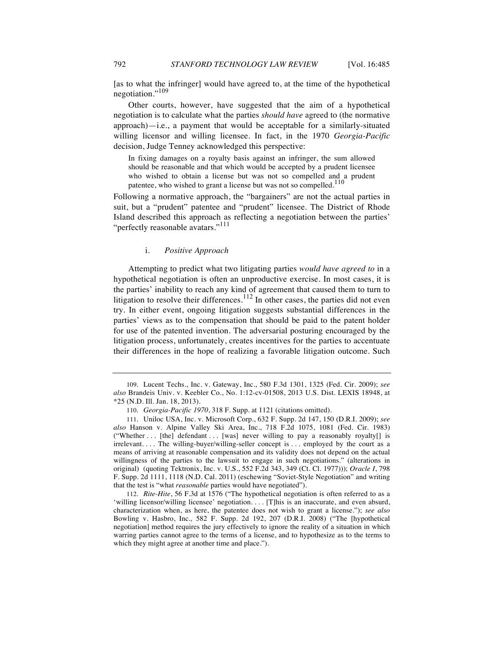[as to what the infringer] would have agreed to, at the time of the hypothetical negotiation."<sup>109</sup>

Other courts, however, have suggested that the aim of a hypothetical negotiation is to calculate what the parties *should have* agreed to (the normative  $approach$ —i.e., a payment that would be acceptable for a similarly-situated willing licensor and willing licensee. In fact, in the 1970 *Georgia-Pacific* decision, Judge Tenney acknowledged this perspective:

In fixing damages on a royalty basis against an infringer, the sum allowed should be reasonable and that which would be accepted by a prudent licensee who wished to obtain a license but was not so compelled and a prudent patentee, who wished to grant a license but was not so compelled.<sup>110</sup>

Following a normative approach, the "bargainers" are not the actual parties in suit, but a "prudent" patentee and "prudent" licensee. The District of Rhode Island described this approach as reflecting a negotiation between the parties' "perfectly reasonable avatars."<sup>111</sup>

#### i. *Positive Approach*

Attempting to predict what two litigating parties *would have agreed to* in a hypothetical negotiation is often an unproductive exercise. In most cases, it is the parties' inability to reach any kind of agreement that caused them to turn to litigation to resolve their differences.<sup>112</sup> In other cases, the parties did not even try. In either event, ongoing litigation suggests substantial differences in the parties' views as to the compensation that should be paid to the patent holder for use of the patented invention. The adversarial posturing encouraged by the litigation process, unfortunately, creates incentives for the parties to accentuate their differences in the hope of realizing a favorable litigation outcome. Such

<sup>109.</sup> Lucent Techs., Inc. v. Gateway, Inc., 580 F.3d 1301, 1325 (Fed. Cir. 2009); *see also* Brandeis Univ. v. Keebler Co., No. 1:12-cv-01508, 2013 U.S. Dist. LEXIS 18948, at \*25 (N.D. Ill. Jan. 18, 2013).

<sup>110.</sup> *Georgia-Pacific 1970*, 318 F. Supp. at 1121 (citations omitted).

<sup>111.</sup> Uniloc USA, Inc. v. Microsoft Corp., 632 F. Supp. 2d 147, 150 (D.R.I. 2009); *see also* Hanson v. Alpine Valley Ski Area, Inc., 718 F.2d 1075, 1081 (Fed. Cir. 1983) ("Whether . . . [the] defendant . . . [was] never willing to pay a reasonably royalty[] is irrelevant. . . . The willing-buyer/willing-seller concept is . . . employed by the court as a means of arriving at reasonable compensation and its validity does not depend on the actual willingness of the parties to the lawsuit to engage in such negotiations." (alterations in original) (quoting Tektronix, Inc. v. U.S., 552 F.2d 343, 349 (Ct. Cl. 1977))); *Oracle I*, 798 F. Supp. 2d 1111, 1118 (N.D. Cal. 2011) (eschewing "Soviet-Style Negotiation" and writing that the test is "what *reasonable* parties would have negotiated").

<sup>112.</sup> *Rite-Hite*, 56 F.3d at 1576 ("The hypothetical negotiation is often referred to as a 'willing licensor/willing licensee' negotiation.... [T]his is an inaccurate, and even absurd, characterization when, as here, the patentee does not wish to grant a license."); *see also* Bowling v. Hasbro, Inc.*,* 582 F. Supp. 2d 192, 207 (D.R.I. 2008) ("The [hypothetical negotiation] method requires the jury effectively to ignore the reality of a situation in which warring parties cannot agree to the terms of a license, and to hypothesize as to the terms to which they might agree at another time and place.").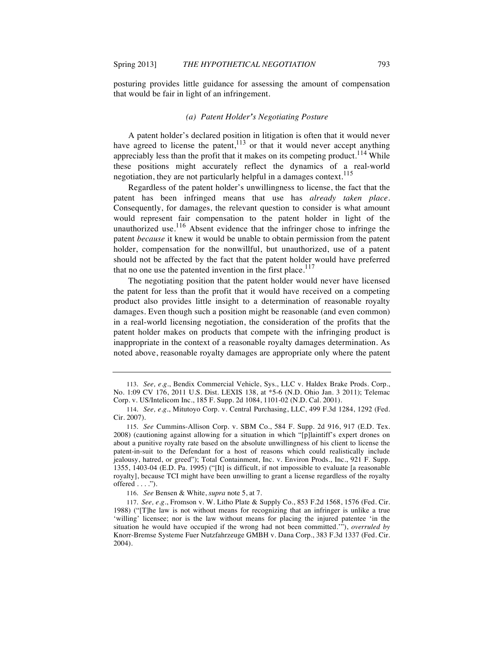posturing provides little guidance for assessing the amount of compensation that would be fair in light of an infringement.

## *(a) Patent Holder's Negotiating Posture*

A patent holder's declared position in litigation is often that it would never have agreed to license the patent,<sup>113</sup> or that it would never accept anything appreciably less than the profit that it makes on its competing product.<sup>114</sup> While these positions might accurately reflect the dynamics of a real-world negotiation, they are not particularly helpful in a damages context.<sup>115</sup>

Regardless of the patent holder's unwillingness to license, the fact that the patent has been infringed means that use has *already taken place*. Consequently, for damages, the relevant question to consider is what amount would represent fair compensation to the patent holder in light of the unauthorized use.<sup>116</sup> Absent evidence that the infringer chose to infringe the patent *because* it knew it would be unable to obtain permission from the patent holder, compensation for the nonwillful, but unauthorized, use of a patent should not be affected by the fact that the patent holder would have preferred that no one use the patented invention in the first place.<sup>117</sup>

The negotiating position that the patent holder would never have licensed the patent for less than the profit that it would have received on a competing product also provides little insight to a determination of reasonable royalty damages. Even though such a position might be reasonable (and even common) in a real-world licensing negotiation, the consideration of the profits that the patent holder makes on products that compete with the infringing product is inappropriate in the context of a reasonable royalty damages determination. As noted above, reasonable royalty damages are appropriate only where the patent

<sup>113.</sup> *See, e.g*., Bendix Commercial Vehicle, Sys., LLC v. Haldex Brake Prods. Corp., No. 1:09 CV 176, 2011 U.S. Dist. LEXIS 138, at \*5-6 (N.D. Ohio Jan. 3 2011); Telemac Corp. v. US/Intelicom Inc., 185 F. Supp. 2d 1084, 1101-02 (N.D. Cal. 2001).

<sup>114.</sup> *See, e.g.*, Mitutoyo Corp. v. Central Purchasing, LLC, 499 F.3d 1284, 1292 (Fed. Cir. 2007).

<sup>115.</sup> *See* Cummins-Allison Corp. v. SBM Co., 584 F. Supp. 2d 916, 917 (E.D. Tex. 2008) (cautioning against allowing for a situation in which "[p]laintiff's expert drones on about a punitive royalty rate based on the absolute unwillingness of his client to license the patent-in-suit to the Defendant for a host of reasons which could realistically include jealousy, hatred, or greed"); Total Containment, Inc. v. Environ Prods., Inc., 921 F. Supp. 1355, 1403-04 (E.D. Pa. 1995) ("[It] is difficult, if not impossible to evaluate [a reasonable royalty], because TCI might have been unwilling to grant a license regardless of the royalty offered . . . .").

<sup>116.</sup> *See* Bensen & White, *supra* note 5, at 7.

<sup>117.</sup> *See, e.g.*, Fromson v. W. Litho Plate & Supply Co., 853 F.2d 1568, 1576 (Fed. Cir. 1988) ("[T]he law is not without means for recognizing that an infringer is unlike a true 'willing' licensee; nor is the law without means for placing the injured patentee 'in the situation he would have occupied if the wrong had not been committed.'"), *overruled by*  Knorr-Bremse Systeme Fuer Nutzfahrzeuge GMBH v. Dana Corp., 383 F.3d 1337 (Fed. Cir. 2004).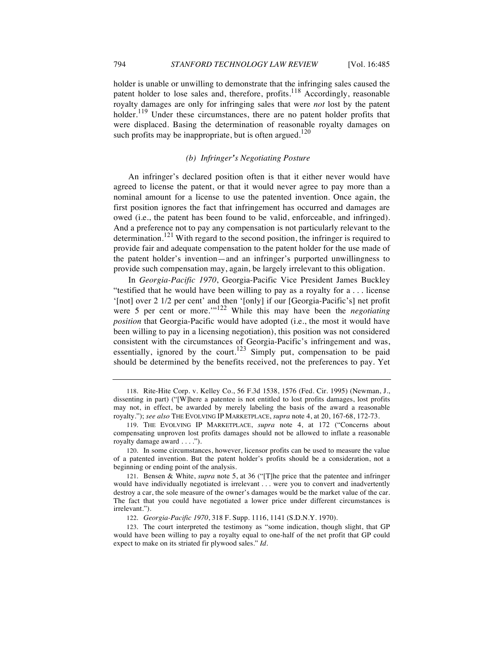holder is unable or unwilling to demonstrate that the infringing sales caused the patent holder to lose sales and, therefore, profits.<sup>118</sup> Accordingly, reasonable royalty damages are only for infringing sales that were *not* lost by the patent holder.<sup>119</sup> Under these circumstances, there are no patent holder profits that were displaced. Basing the determination of reasonable royalty damages on such profits may be inappropriate, but is often argued.<sup>120</sup>

## *(b) Infringer's Negotiating Posture*

An infringer's declared position often is that it either never would have agreed to license the patent, or that it would never agree to pay more than a nominal amount for a license to use the patented invention. Once again, the first position ignores the fact that infringement has occurred and damages are owed (i.e., the patent has been found to be valid, enforceable, and infringed). And a preference not to pay any compensation is not particularly relevant to the determination.<sup>121</sup> With regard to the second position, the infringer is required to provide fair and adequate compensation to the patent holder for the use made of the patent holder's invention—and an infringer's purported unwillingness to provide such compensation may, again, be largely irrelevant to this obligation.

In *Georgia-Pacific 1970*, Georgia-Pacific Vice President James Buckley "testified that he would have been willing to pay as a royalty for a . . . license '[not] over 2 1/2 per cent' and then '[only] if our [Georgia-Pacific's] net profit were 5 per cent or more."<sup>122</sup> While this may have been the *negotiating position* that Georgia-Pacific would have adopted (i.e., the most it would have been willing to pay in a licensing negotiation), this position was not considered consistent with the circumstances of Georgia-Pacific's infringement and was, essentially, ignored by the court.<sup>123</sup> Simply put, compensation to be paid should be determined by the benefits received, not the preferences to pay. Yet

<sup>118.</sup> Rite-Hite Corp. v. Kelley Co., 56 F.3d 1538, 1576 (Fed. Cir. 1995) (Newman, J., dissenting in part) ("[W]here a patentee is not entitled to lost profits damages, lost profits may not, in effect, be awarded by merely labeling the basis of the award a reasonable royalty."); *see also* THE EVOLVING IP MARKETPLACE, *supra* note 4, at 20, 167-68, 172-73.

<sup>119.</sup> THE EVOLVING IP MARKETPLACE, *supra* note 4, at 172 ("Concerns about compensating unproven lost profits damages should not be allowed to inflate a reasonable royalty damage award . . . .").

<sup>120.</sup> In some circumstances, however, licensor profits can be used to measure the value of a patented invention. But the patent holder's profits should be a consideration, not a beginning or ending point of the analysis.

<sup>121.</sup> Bensen & White, *supra* note 5, at 36 ("[T]he price that the patentee and infringer would have individually negotiated is irrelevant . . . were you to convert and inadvertently destroy a car, the sole measure of the owner's damages would be the market value of the car. The fact that you could have negotiated a lower price under different circumstances is irrelevant.").

<sup>122.</sup> *Georgia-Pacific 1970*, 318 F. Supp. 1116, 1141 (S.D.N.Y. 1970).

<sup>123.</sup> The court interpreted the testimony as "some indication, though slight, that GP would have been willing to pay a royalty equal to one-half of the net profit that GP could expect to make on its striated fir plywood sales." *Id.*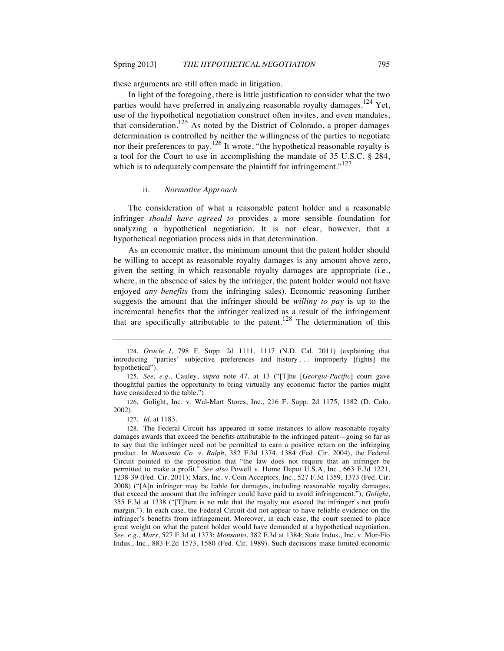these arguments are still often made in litigation.

In light of the foregoing, there is little justification to consider what the two parties would have preferred in analyzing reasonable royalty damages.<sup>124</sup> Yet, use of the hypothetical negotiation construct often invites, and even mandates, that consideration.<sup>125</sup> As noted by the District of Colorado, a proper damages determination is controlled by neither the willingness of the parties to negotiate nor their preferences to pay.<sup>126</sup> It wrote, "the hypothetical reasonable royalty is a tool for the Court to use in accomplishing the mandate of 35 U.S.C. § 284, which is to adequately compensate the plaintiff for infringement." $127$ 

## ii. *Normative Approach*

The consideration of what a reasonable patent holder and a reasonable infringer *should have agreed to* provides a more sensible foundation for analyzing a hypothetical negotiation. It is not clear, however, that a hypothetical negotiation process aids in that determination.

As an economic matter, the minimum amount that the patent holder should be willing to accept as reasonable royalty damages is any amount above zero, given the setting in which reasonable royalty damages are appropriate (i.e., where, in the absence of sales by the infringer, the patent holder would not have enjoyed *any benefits* from the infringing sales). Economic reasoning further suggests the amount that the infringer should be *willing to pay* is up to the incremental benefits that the infringer realized as a result of the infringement that are specifically attributable to the patent.<sup>128</sup> The determination of this

126. Golight, Inc. v. Wal-Mart Stores, Inc., 216 F. Supp. 2d 1175, 1182 (D. Colo. 2002).

<sup>124.</sup> *Oracle I*, 798 F. Supp. 2d 1111, 1117 (N.D. Cal. 2011) (explaining that introducing "parties' subjective preferences and history . . . improperly [fights] the hypothetical").

<sup>125.</sup> *See, e.g.*, Cauley, *supra* note 47, at 13 ("[T]he [*Georgia-Pacific*] court gave thoughtful parties the opportunity to bring virtually any economic factor the parties might have considered to the table.").

<sup>127.</sup> *Id*. at 1183.

<sup>128.</sup> The Federal Circuit has appeared in some instances to allow reasonable royalty damages awards that exceed the benefits attributable to the infringed patent—going so far as to say that the infringer need not be permitted to earn a positive return on the infringing product. In *Monsanto Co. v. Ralph*, 382 F.3d 1374, 1384 (Fed. Cir. 2004), the Federal Circuit pointed to the proposition that "the law does not require that an infringer be permitted to make a profit." *See also* Powell v. Home Depot U.S.A, Inc., 663 F.3d 1221, 1238-39 (Fed. Cir. 2011); Mars, Inc. v. Coin Acceptors, Inc., 527 F.3d 1359, 1373 (Fed. Cir. 2008) ("[A]n infringer may be liable for damages, including reasonable royalty damages, that exceed the amount that the infringer could have paid to avoid infringement."); *Golight*, 355 F.3d at 1338 ("[T]here is no rule that the royalty not exceed the infringer's net profit margin."). In each case, the Federal Circuit did not appear to have reliable evidence on the infringer's benefits from infringement. Moreover, in each case, the court seemed to place great weight on what the patent holder would have demanded at a hypothetical negotiation. *See, e.g*., *Mars*, 527 F.3d at 1373; *Monsanto*, 382 F.3d at 1384; State Indus., Inc, v. Mor-Flo Indus., Inc., 883 F.2d 1573, 1580 (Fed. Cir. 1989). Such decisions make limited economic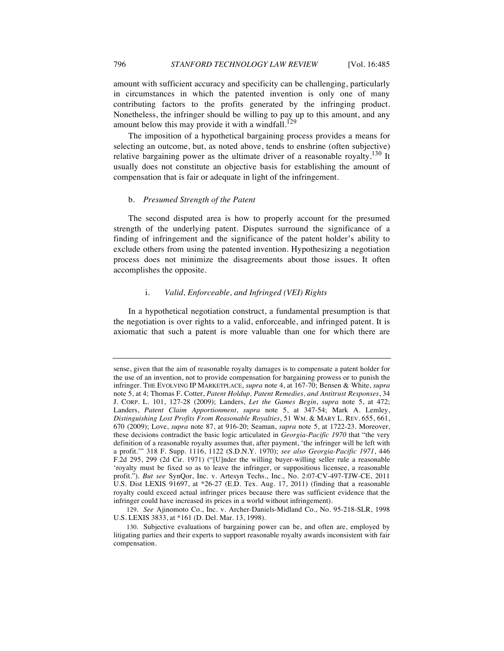amount with sufficient accuracy and specificity can be challenging, particularly in circumstances in which the patented invention is only one of many contributing factors to the profits generated by the infringing product. Nonetheless, the infringer should be willing to pay up to this amount, and any amount below this may provide it with a windfall.<sup>129</sup>

The imposition of a hypothetical bargaining process provides a means for selecting an outcome, but, as noted above, tends to enshrine (often subjective) relative bargaining power as the ultimate driver of a reasonable royalty.<sup>130</sup> It usually does not constitute an objective basis for establishing the amount of compensation that is fair or adequate in light of the infringement.

## b. *Presumed Strength of the Patent*

The second disputed area is how to properly account for the presumed strength of the underlying patent. Disputes surround the significance of a finding of infringement and the significance of the patent holder's ability to exclude others from using the patented invention. Hypothesizing a negotiation process does not minimize the disagreements about those issues. It often accomplishes the opposite.

## i. *Valid, Enforceable, and Infringed (VEI) Rights*

In a hypothetical negotiation construct, a fundamental presumption is that the negotiation is over rights to a valid, enforceable, and infringed patent. It is axiomatic that such a patent is more valuable than one for which there are

sense, given that the aim of reasonable royalty damages is to compensate a patent holder for the use of an invention, not to provide compensation for bargaining prowess or to punish the infringer. THE EVOLVING IP MARKETPLACE, *supra* note 4, at 167-70; Bensen & White, *supra* note 5, at 4; Thomas F. Cotter, *Patent Holdup, Patent Remedies, and Antitrust Responses*, 34 J. CORP. L. 101, 127-28 (2009); Landers, *Let the Games Begin*, *supra* note 5, at 472; Landers, *Patent Claim Apportionment*, *supra* note 5, at 347-54; Mark A. Lemley, *Distinguishing Lost Profits From Reasonable Royalties*, 51 WM. & MARY L. REV. 655, 661, 670 (2009); Love, *supra* note 87, at 916-20; Seaman, *supra* note 5, at 1722-23. Moreover, these decisions contradict the basic logic articulated in *Georgia-Pacific 1970* that "the very definition of a reasonable royalty assumes that, after payment, 'the infringer will be left with a profit.'" 318 F. Supp. 1116, 1122 (S.D.N.Y. 1970); *see also Georgia-Pacific 1971*, 446 F.2d 295, 299 (2d Cir. 1971) ("[U]nder the willing buyer-willing seller rule a reasonable 'royalty must be fixed so as to leave the infringer, or suppositious licensee, a reasonable profit."). *But see* SynQor, Inc. v. Artesyn Techs., Inc., No. 2:07-CV-497-TJW-CE, 2011 U.S. Dist LEXIS 91697, at \*26-27 (E.D. Tex. Aug. 17, 2011) (finding that a reasonable royalty could exceed actual infringer prices because there was sufficient evidence that the infringer could have increased its prices in a world without infringement).

<sup>129.</sup> *See* Ajinomoto Co., Inc. v. Archer-Daniels-Midland Co., No. 95-218-SLR, 1998 U.S. LEXIS 3833, at \*161 (D. Del. Mar. 13, 1998).

<sup>130.</sup> Subjective evaluations of bargaining power can be, and often are, employed by litigating parties and their experts to support reasonable royalty awards inconsistent with fair compensation.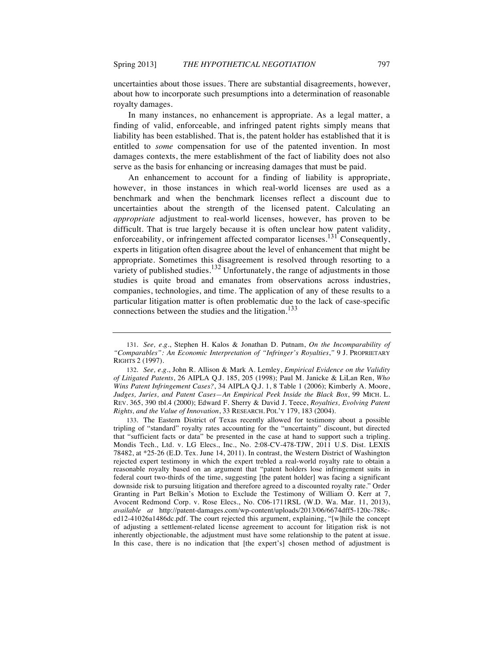uncertainties about those issues. There are substantial disagreements, however, about how to incorporate such presumptions into a determination of reasonable royalty damages.

In many instances, no enhancement is appropriate. As a legal matter, a finding of valid, enforceable, and infringed patent rights simply means that liability has been established. That is, the patent holder has established that it is entitled to *some* compensation for use of the patented invention. In most damages contexts, the mere establishment of the fact of liability does not also serve as the basis for enhancing or increasing damages that must be paid.

An enhancement to account for a finding of liability is appropriate, however, in those instances in which real-world licenses are used as a benchmark and when the benchmark licenses reflect a discount due to uncertainties about the strength of the licensed patent. Calculating an *appropriate* adjustment to real-world licenses, however, has proven to be difficult. That is true largely because it is often unclear how patent validity, enforceability, or infringement affected comparator licenses.<sup>131</sup> Consequently, experts in litigation often disagree about the level of enhancement that might be appropriate. Sometimes this disagreement is resolved through resorting to a variety of published studies.<sup>132</sup> Unfortunately, the range of adjustments in those studies is quite broad and emanates from observations across industries, companies, technologies, and time. The application of any of these results to a particular litigation matter is often problematic due to the lack of case-specific connections between the studies and the litigation.<sup>133</sup>

133. The Eastern District of Texas recently allowed for testimony about a possible tripling of "standard" royalty rates accounting for the "uncertainty" discount, but directed that "sufficient facts or data" be presented in the case at hand to support such a tripling. Mondis Tech., Ltd. v. LG Elecs., Inc., No. 2:08-CV-478-TJW, 2011 U.S. Dist. LEXIS 78482, at \*25-26 (E.D. Tex. June 14, 2011). In contrast, the Western District of Washington rejected expert testimony in which the expert trebled a real-world royalty rate to obtain a reasonable royalty based on an argument that "patent holders lose infringement suits in federal court two-thirds of the time, suggesting [the patent holder] was facing a significant downside risk to pursuing litigation and therefore agreed to a discounted royalty rate." Order Granting in Part Belkin's Motion to Exclude the Testimony of William O. Kerr at 7, Avocent Redmond Corp. v. Rose Elecs., No. C06-1711RSL (W.D. Wa. Mar. 11, 2013), *available at* http://patent-damages.com/wp-content/uploads/2013/06/6674dff5-120c-788ced12-41026a1486dc.pdf. The court rejected this argument, explaining, "[w]hile the concept of adjusting a settlement-related license agreement to account for litigation risk is not inherently objectionable, the adjustment must have some relationship to the patent at issue. In this case, there is no indication that [the expert's] chosen method of adjustment is

<sup>131.</sup> *See, e.g.*, Stephen H. Kalos & Jonathan D. Putnam, *On the Incomparability of "Comparables": An Economic Interpretation of "Infringer's Royalties*,*"* 9 J. PROPRIETARY RIGHTS 2 (1997).

<sup>132.</sup> *See, e.g.*, John R. Allison & Mark A. Lemley, *Empirical Evidence on the Validity of Litigated Patents*, 26 AIPLA Q.J. 185, 205 (1998); Paul M. Janicke & LiLan Ren, *Who Wins Patent Infringement Cases?*, 34 AIPLA Q.J. 1, 8 Table 1 (2006); Kimberly A. Moore, *Judges, Juries, and Patent Cases—An Empirical Peek Inside the Black Box*, 99 MICH. L. REV. 365, 390 tbl.4 (2000); Edward F. Sherry & David J. Teece, *Royalties, Evolving Patent Rights, and the Value of Innovation*, 33 RESEARCH. POL'Y 179, 183 (2004).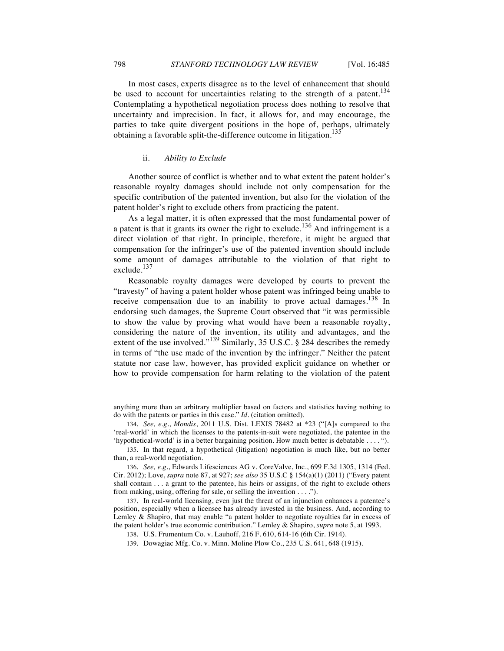In most cases, experts disagree as to the level of enhancement that should be used to account for uncertainties relating to the strength of a patent.<sup>134</sup> Contemplating a hypothetical negotiation process does nothing to resolve that uncertainty and imprecision. In fact, it allows for, and may encourage, the parties to take quite divergent positions in the hope of, perhaps, ultimately obtaining a favorable split-the-difference outcome in litigation.<sup>135</sup>

#### ii. *Ability to Exclude*

Another source of conflict is whether and to what extent the patent holder's reasonable royalty damages should include not only compensation for the specific contribution of the patented invention, but also for the violation of the patent holder's right to exclude others from practicing the patent.

As a legal matter, it is often expressed that the most fundamental power of a patent is that it grants its owner the right to exclude.<sup>136</sup> And infringement is a direct violation of that right. In principle, therefore, it might be argued that compensation for the infringer's use of the patented invention should include some amount of damages attributable to the violation of that right to exclude.<sup>137</sup>

Reasonable royalty damages were developed by courts to prevent the "travesty" of having a patent holder whose patent was infringed being unable to receive compensation due to an inability to prove actual damages.<sup>138</sup> In endorsing such damages, the Supreme Court observed that "it was permissible to show the value by proving what would have been a reasonable royalty, considering the nature of the invention, its utility and advantages, and the extent of the use involved."<sup>139</sup> Similarly, 35 U.S.C. § 284 describes the remedy in terms of "the use made of the invention by the infringer." Neither the patent statute nor case law, however, has provided explicit guidance on whether or how to provide compensation for harm relating to the violation of the patent

139. Dowagiac Mfg. Co. v. Minn. Moline Plow Co., 235 U.S. 641, 648 (1915).

anything more than an arbitrary multiplier based on factors and statistics having nothing to do with the patents or parties in this case." *Id.* (citation omitted).

<sup>134.</sup> *See, e.g.*, *Mondis*, 2011 U.S. Dist. LEXIS 78482 at \*23 ("[A]s compared to the 'real-world' in which the licenses to the patents-in-suit were negotiated, the patentee in the 'hypothetical-world' is in a better bargaining position. How much better is debatable . . . . ").

<sup>135.</sup> In that regard, a hypothetical (litigation) negotiation is much like, but no better than, a real-world negotiation.

<sup>136.</sup> *See, e.g.*, Edwards Lifesciences AG v. CoreValve, Inc., 699 F.3d 1305, 1314 (Fed. Cir. 2012); Love, *supra* note 87, at 927; *see also* 35 U.S.C § 154(a)(1) (2011) ("Every patent shall contain . . . a grant to the patentee, his heirs or assigns, of the right to exclude others from making, using, offering for sale, or selling the invention . . . .").

<sup>137.</sup> In real-world licensing, even just the threat of an injunction enhances a patentee's position, especially when a licensee has already invested in the business. And, according to Lemley & Shapiro, that may enable "a patent holder to negotiate royalties far in excess of the patent holder's true economic contribution." Lemley & Shapiro, *supra* note 5, at 1993.

<sup>138.</sup> U.S. Frumentum Co. v. Lauhoff, 216 F. 610, 614-16 (6th Cir. 1914).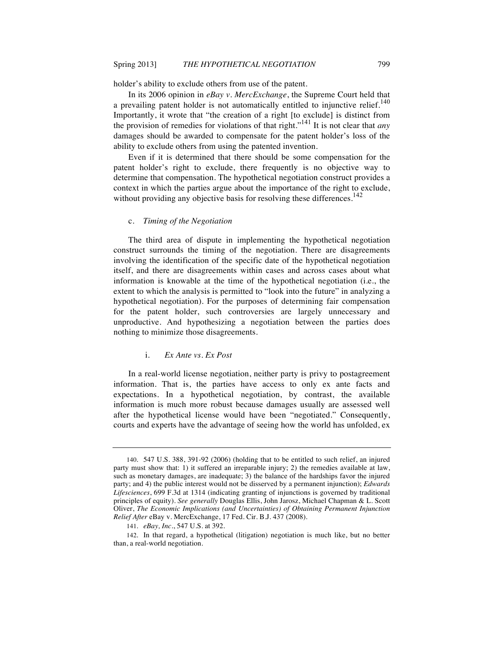holder's ability to exclude others from use of the patent.

In its 2006 opinion in *eBay v. MercExchange*, the Supreme Court held that a prevailing patent holder is not automatically entitled to injunctive relief.<sup>140</sup> Importantly, it wrote that "the creation of a right [to exclude] is distinct from the provision of remedies for violations of that right."<sup>141</sup> It is not clear that *any* damages should be awarded to compensate for the patent holder's loss of the ability to exclude others from using the patented invention.

Even if it is determined that there should be some compensation for the patent holder's right to exclude, there frequently is no objective way to determine that compensation. The hypothetical negotiation construct provides a context in which the parties argue about the importance of the right to exclude, without providing any objective basis for resolving these differences.<sup>142</sup>

## c. *Timing of the Negotiation*

The third area of dispute in implementing the hypothetical negotiation construct surrounds the timing of the negotiation. There are disagreements involving the identification of the specific date of the hypothetical negotiation itself, and there are disagreements within cases and across cases about what information is knowable at the time of the hypothetical negotiation (i.e., the extent to which the analysis is permitted to "look into the future" in analyzing a hypothetical negotiation). For the purposes of determining fair compensation for the patent holder, such controversies are largely unnecessary and unproductive. And hypothesizing a negotiation between the parties does nothing to minimize those disagreements.

#### i. *Ex Ante vs. Ex Post*

In a real-world license negotiation, neither party is privy to postagreement information. That is, the parties have access to only ex ante facts and expectations. In a hypothetical negotiation, by contrast, the available information is much more robust because damages usually are assessed well after the hypothetical license would have been "negotiated." Consequently, courts and experts have the advantage of seeing how the world has unfolded, ex

<sup>140.</sup> 547 U.S. 388, 391-92 (2006) (holding that to be entitled to such relief, an injured party must show that: 1) it suffered an irreparable injury; 2) the remedies available at law, such as monetary damages, are inadequate; 3) the balance of the hardships favor the injured party; and 4) the public interest would not be disserved by a permanent injunction); *Edwards Lifesciences*, 699 F.3d at 1314 (indicating granting of injunctions is governed by traditional principles of equity). *See generally* Douglas Ellis, John Jarosz, Michael Chapman & L. Scott Oliver, *The Economic Implications (and Uncertainties) of Obtaining Permanent Injunction Relief After* eBay v. MercExchange, 17 Fed. Cir. B.J. 437 (2008).

<sup>141.</sup> *eBay, Inc.*, 547 U.S. at 392.

<sup>142.</sup> In that regard, a hypothetical (litigation) negotiation is much like, but no better than, a real-world negotiation.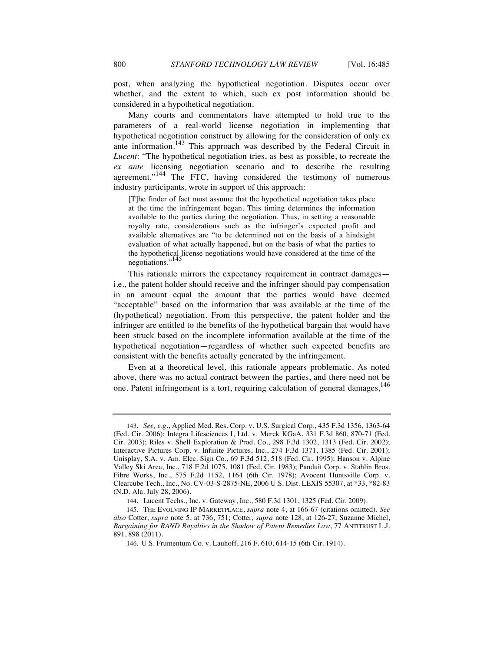post, when analyzing the hypothetical negotiation. Disputes occur over whether, and the extent to which, such ex post information should be considered in a hypothetical negotiation.

Many courts and commentators have attempted to hold true to the parameters of a real-world license negotiation in implementing that hypothetical negotiation construct by allowing for the consideration of only ex ante information.<sup>143</sup> This approach was described by the Federal Circuit in *Lucent*: "The hypothetical negotiation tries, as best as possible, to recreate the *ex ante* licensing negotiation scenario and to describe the resulting agreement."<sup>144</sup> The FTC, having considered the testimony of numerous industry participants, wrote in support of this approach:

[T]he finder of fact must assume that the hypothetical negotiation takes place at the time the infringement began. This timing determines the information available to the parties during the negotiation. Thus, in setting a reasonable royalty rate, considerations such as the infringer's expected profit and available alternatives are "to be determined not on the basis of a hindsight evaluation of what actually happened, but on the basis of what the parties to the hypothetical license negotiations would have considered at the time of the negotiations."<sup>145</sup>

This rationale mirrors the expectancy requirement in contract damages i.e., the patent holder should receive and the infringer should pay compensation in an amount equal the amount that the parties would have deemed "acceptable" based on the information that was available at the time of the (hypothetical) negotiation. From this perspective, the patent holder and the infringer are entitled to the benefits of the hypothetical bargain that would have been struck based on the incomplete information available at the time of the hypothetical negotiation—regardless of whether such expected benefits are consistent with the benefits actually generated by the infringement.

Even at a theoretical level, this rationale appears problematic. As noted above, there was no actual contract between the parties, and there need not be one. Patent infringement is a tort, requiring calculation of general damages,  $146$ 

<sup>143.</sup> *See, e.g*., Applied Med. Res. Corp. v. U.S. Surgical Corp., 435 F.3d 1356, 1363-64 (Fed. Cir. 2006); Integra Lifesciences I, Ltd. v. Merck KGaA, 331 F.3d 860, 870-71 (Fed. Cir. 2003); Riles v. Shell Exploration & Prod. Co., 298 F.3d 1302, 1313 (Fed. Cir. 2002); Interactive Pictures Corp. v. Infinite Pictures, Inc., 274 F.3d 1371, 1385 (Fed. Cir. 2001); Unisplay, S.A. v. Am. Elec. Sign Co., 69 F.3d 512, 518 (Fed. Cir. 1995); Hanson v. Alpine Valley Ski Area, Inc., 718 F.2d 1075, 1081 (Fed. Cir. 1983); Panduit Corp. v. Stahlin Bros. Fibre Works, Inc., 575 F.2d 1152, 1164 (6th Cir. 1978); Avocent Huntsville Corp. v. Clearcube Tech., Inc., No. CV-03-S-2875-NE, 2006 U.S. Dist. LEXIS 55307, at \*33, \*82-83 (N.D. Ala. July 28, 2006).

<sup>144.</sup> Lucent Techs., Inc. v. Gateway, Inc., 580 F.3d 1301, 1325 (Fed. Cir. 2009).

<sup>145.</sup> THE EVOLVING IP MARKETPLACE, *supra* note 4, at 166-67 (citations omitted). *See also* Cotter, *supra* note 5, at 736, 751; Cotter, *supra* note 128, at 126-27; Suzanne Michel, *Bargaining for RAND Royalties in the Shadow of Patent Remedies Law*, 77 ANTITRUST L.J. 891, 898 (2011).

<sup>146.</sup> U.S. Frumentum Co. v. Lauhoff, 216 F. 610, 614-15 (6th Cir. 1914).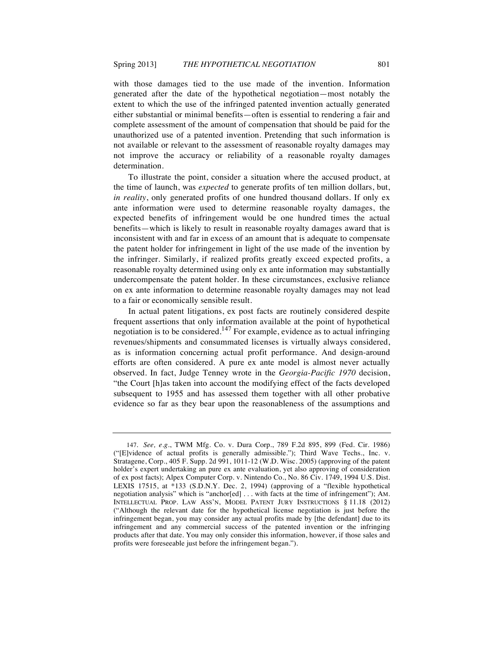with those damages tied to the use made of the invention. Information generated after the date of the hypothetical negotiation—most notably the extent to which the use of the infringed patented invention actually generated either substantial or minimal benefits—often is essential to rendering a fair and complete assessment of the amount of compensation that should be paid for the unauthorized use of a patented invention. Pretending that such information is not available or relevant to the assessment of reasonable royalty damages may not improve the accuracy or reliability of a reasonable royalty damages determination.

To illustrate the point, consider a situation where the accused product, at the time of launch, was *expected* to generate profits of ten million dollars, but, *in reality*, only generated profits of one hundred thousand dollars. If only ex ante information were used to determine reasonable royalty damages, the expected benefits of infringement would be one hundred times the actual benefits—which is likely to result in reasonable royalty damages award that is inconsistent with and far in excess of an amount that is adequate to compensate the patent holder for infringement in light of the use made of the invention by the infringer. Similarly, if realized profits greatly exceed expected profits, a reasonable royalty determined using only ex ante information may substantially undercompensate the patent holder. In these circumstances, exclusive reliance on ex ante information to determine reasonable royalty damages may not lead to a fair or economically sensible result.

In actual patent litigations, ex post facts are routinely considered despite frequent assertions that only information available at the point of hypothetical negotiation is to be considered.<sup>147</sup> For example, evidence as to actual infringing revenues/shipments and consummated licenses is virtually always considered, as is information concerning actual profit performance. And design-around efforts are often considered. A pure ex ante model is almost never actually observed. In fact, Judge Tenney wrote in the *Georgia-Pacific 1970* decision, "the Court [h]as taken into account the modifying effect of the facts developed subsequent to 1955 and has assessed them together with all other probative evidence so far as they bear upon the reasonableness of the assumptions and

<sup>147.</sup> *See, e.g.*, TWM Mfg. Co. v. Dura Corp., 789 F.2d 895, 899 (Fed. Cir. 1986) ("[E]vidence of actual profits is generally admissible."); Third Wave Techs., Inc. v. Stratagene, Corp., 405 F. Supp. 2d 991, 1011-12 (W.D. Wisc. 2005) (approving of the patent holder's expert undertaking an pure ex ante evaluation, yet also approving of consideration of ex post facts); Alpex Computer Corp. v. Nintendo Co., No. 86 Civ. 1749, 1994 U.S. Dist. LEXIS 17515, at \*133 (S.D.N.Y. Dec. 2, 1994) (approving of a "flexible hypothetical negotiation analysis" which is "anchor[ed] . . . with facts at the time of infringement"); AM. INTELLECTUAL PROP. LAW ASS'N, MODEL PATENT JURY INSTRUCTIONS § 11.18 (2012) ("Although the relevant date for the hypothetical license negotiation is just before the infringement began, you may consider any actual profits made by [the defendant] due to its infringement and any commercial success of the patented invention or the infringing products after that date. You may only consider this information, however, if those sales and profits were foreseeable just before the infringement began.").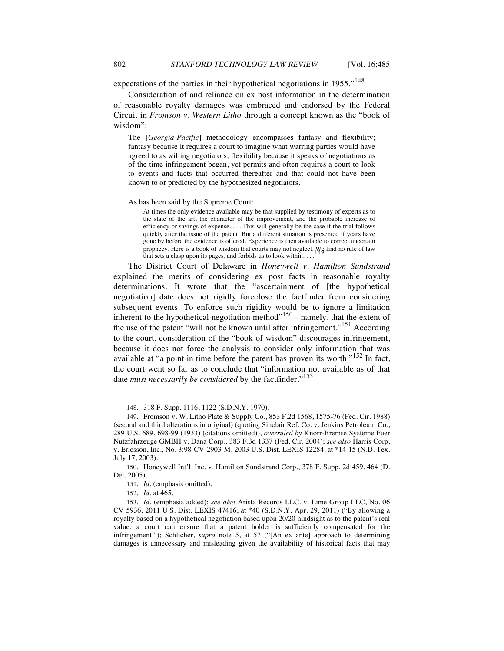expectations of the parties in their hypothetical negotiations in 1955."<sup>148</sup>

Consideration of and reliance on ex post information in the determination of reasonable royalty damages was embraced and endorsed by the Federal Circuit in *Fromson v. Western Litho* through a concept known as the "book of wisdom":

The [*Georgia-Pacific*] methodology encompasses fantasy and flexibility; fantasy because it requires a court to imagine what warring parties would have agreed to as willing negotiators; flexibility because it speaks of negotiations as of the time infringement began, yet permits and often requires a court to look to events and facts that occurred thereafter and that could not have been known to or predicted by the hypothesized negotiators.

As has been said by the Supreme Court:

At times the only evidence available may be that supplied by testimony of experts as to the state of the art, the character of the improvement, and the probable increase of efficiency or savings of expense. . . . This will generally be the case if the trial follows quickly after the issue of the patent. But a different situation is presented if years have gone by before the evidence is offered. Experience is then available to correct uncertain prophecy. Here is a book of wisdom that courts may not neglect. We find no rule of law that categories is neglected in the state of law that sets a clasp upon its pages, and forbids us to look within. . . .

The District Court of Delaware in *Honeywell v. Hamilton Sundstrand* explained the merits of considering ex post facts in reasonable royalty determinations. It wrote that the "ascertainment of [the hypothetical negotiation] date does not rigidly foreclose the factfinder from considering subsequent events. To enforce such rigidity would be to ignore a limitation inherent to the hypothetical negotiation method $^{150}$ —namely, that the extent of the use of the patent "will not be known until after infringement."<sup>151</sup> According to the court, consideration of the "book of wisdom" discourages infringement, because it does not force the analysis to consider only information that was available at "a point in time before the patent has proven its worth."<sup>152</sup> In fact, the court went so far as to conclude that "information not available as of that date *must necessarily be considered* by the factfinder."<sup>153</sup>

<sup>148.</sup> 318 F. Supp. 1116, 1122 (S.D.N.Y. 1970).

<sup>149.</sup> Fromson v. W. Litho Plate & Supply Co., 853 F.2d 1568, 1575-76 (Fed. Cir. 1988) (second and third alterations in original) (quoting Sinclair Ref. Co. v. Jenkins Petroleum Co., 289 U.S. 689, 698-99 (1933) (citations omitted)), *overruled by* Knorr-Bremse Systeme Fuer Nutzfahrzeuge GMBH v. Dana Corp., 383 F.3d 1337 (Fed. Cir. 2004); *see also* Harris Corp. v. Ericsson, Inc., No. 3:98-CV-2903-M, 2003 U.S. Dist. LEXIS 12284, at \*14-15 (N.D. Tex. July 17, 2003).

<sup>150.</sup> Honeywell Int'l, Inc. v. Hamilton Sundstrand Corp., 378 F. Supp. 2d 459, 464 (D. Del. 2005).

<sup>151.</sup> *Id*. (emphasis omitted).

<sup>152.</sup> *Id*. at 465.

<sup>153.</sup> *Id*. (emphasis added); *see also* Arista Records LLC. v. Lime Group LLC, No. 06 CV 5936, 2011 U.S. Dist. LEXIS 47416, at \*40 (S.D.N.Y. Apr. 29, 2011) ("By allowing a royalty based on a hypothetical negotiation based upon 20/20 hindsight as to the patent's real value, a court can ensure that a patent holder is sufficiently compensated for the infringement."); Schlicher, *supra* note 5, at 57 ("[An ex ante] approach to determining damages is unnecessary and misleading given the availability of historical facts that may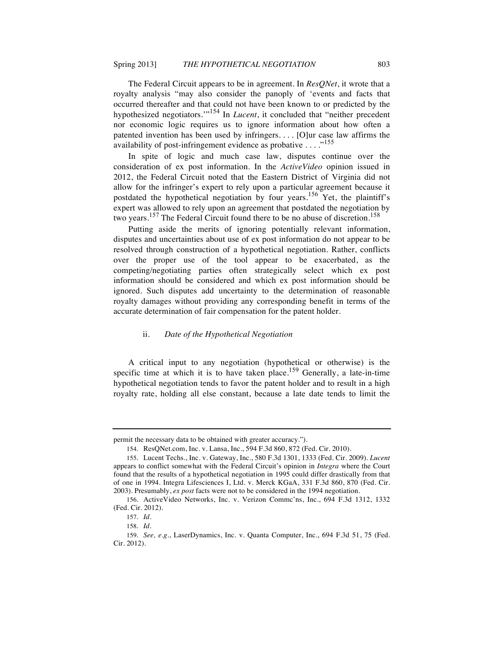The Federal Circuit appears to be in agreement. In *ResQNet*, it wrote that a royalty analysis "may also consider the panoply of 'events and facts that occurred thereafter and that could not have been known to or predicted by the hypothesized negotiators.'"<sup>154</sup> In *Lucent*, it concluded that "neither precedent nor economic logic requires us to ignore information about how often a patented invention has been used by infringers. . . . [O]ur case law affirms the availability of post-infringement evidence as probative  $\dots$ ."<sup>155</sup>

In spite of logic and much case law, disputes continue over the consideration of ex post information. In the *ActiveVideo* opinion issued in 2012, the Federal Circuit noted that the Eastern District of Virginia did not allow for the infringer's expert to rely upon a particular agreement because it postdated the hypothetical negotiation by four years.<sup>156</sup> Yet, the plaintiff's expert was allowed to rely upon an agreement that postdated the negotiation by two years.<sup>157</sup> The Federal Circuit found there to be no abuse of discretion.<sup>158</sup>

Putting aside the merits of ignoring potentially relevant information, disputes and uncertainties about use of ex post information do not appear to be resolved through construction of a hypothetical negotiation. Rather, conflicts over the proper use of the tool appear to be exacerbated, as the competing/negotiating parties often strategically select which ex post information should be considered and which ex post information should be ignored. Such disputes add uncertainty to the determination of reasonable royalty damages without providing any corresponding benefit in terms of the accurate determination of fair compensation for the patent holder.

#### ii. *Date of the Hypothetical Negotiation*

A critical input to any negotiation (hypothetical or otherwise) is the specific time at which it is to have taken place.<sup>159</sup> Generally, a late-in-time hypothetical negotiation tends to favor the patent holder and to result in a high royalty rate, holding all else constant, because a late date tends to limit the

permit the necessary data to be obtained with greater accuracy.").

<sup>154.</sup> ResQNet.com, Inc. v. Lansa, Inc., 594 F.3d 860, 872 (Fed. Cir. 2010).

<sup>155.</sup> Lucent Techs., Inc. v. Gateway, Inc., 580 F.3d 1301, 1333 (Fed. Cir. 2009). *Lucent* appears to conflict somewhat with the Federal Circuit's opinion in *Integra* where the Court found that the results of a hypothetical negotiation in 1995 could differ drastically from that of one in 1994. Integra Lifesciences I, Ltd. v. Merck KGaA, 331 F.3d 860, 870 (Fed. Cir. 2003). Presumably, *ex post* facts were not to be considered in the 1994 negotiation.

<sup>156.</sup> ActiveVideo Networks, Inc. v. Verizon Commc'ns, Inc., 694 F.3d 1312, 1332 (Fed. Cir. 2012).

<sup>157.</sup> *Id.*

<sup>158.</sup> *Id.*

<sup>159.</sup> *See, e.g.*, LaserDynamics, Inc. v. Quanta Computer, Inc., 694 F.3d 51, 75 (Fed. Cir. 2012).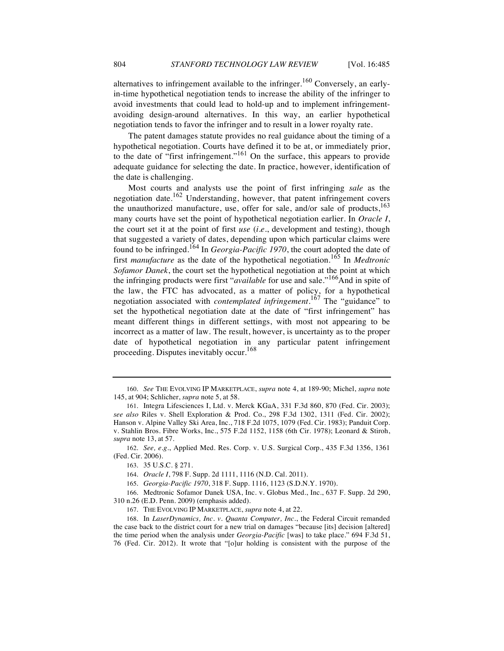The patent damages statute provides no real guidance about the timing of a hypothetical negotiation. Courts have defined it to be at, or immediately prior, to the date of "first infringement."<sup>161</sup> On the surface, this appears to provide adequate guidance for selecting the date. In practice, however, identification of the date is challenging.

Most courts and analysts use the point of first infringing *sale* as the negotiation date.<sup>162</sup> Understanding, however, that patent infringement covers the unauthorized manufacture, use, offer for sale, and/or sale of products, $163$ many courts have set the point of hypothetical negotiation earlier. In *Oracle I*, the court set it at the point of first *use* (*i.e.*, development and testing), though that suggested a variety of dates, depending upon which particular claims were found to be infringed.<sup>164</sup> In *Georgia-Pacific 1970*, the court adopted the date of first *manufacture* as the date of the hypothetical negotiation.<sup>165</sup> In *Medtronic Sofamor Danek*, the court set the hypothetical negotiation at the point at which the infringing products were first "*available* for use and sale."<sup>166</sup>And in spite of the law, the FTC has advocated, as a matter of policy, for a hypothetical negotiation associated with *contemplated infringement*. <sup>167</sup> The "guidance" to set the hypothetical negotiation date at the date of "first infringement" has meant different things in different settings, with most not appearing to be incorrect as a matter of law. The result, however, is uncertainty as to the proper date of hypothetical negotiation in any particular patent infringement proceeding. Disputes inevitably occur.<sup>168</sup>

<sup>160.</sup> *See* THE EVOLVING IP MARKETPLACE, *supra* note 4, at 189-90; Michel, *supra* note 145, at 904; Schlicher, *supra* note 5, at 58.

<sup>161.</sup> Integra Lifesciences I, Ltd. v. Merck KGaA, 331 F.3d 860, 870 (Fed. Cir. 2003); *see also* Riles v. Shell Exploration & Prod. Co., 298 F.3d 1302, 1311 (Fed. Cir. 2002); Hanson v. Alpine Valley Ski Area, Inc., 718 F.2d 1075, 1079 (Fed. Cir. 1983); Panduit Corp. v. Stahlin Bros. Fibre Works, Inc., 575 F.2d 1152, 1158 (6th Cir. 1978); Leonard & Stiroh, *supra* note 13, at 57.

<sup>162.</sup> *See, e.g.*, Applied Med. Res. Corp. v. U.S. Surgical Corp., 435 F.3d 1356, 1361 (Fed. Cir. 2006).

<sup>163.</sup> 35 U.S.C. § 271.

<sup>164.</sup> *Oracle I*, 798 F. Supp. 2d 1111, 1116 (N.D. Cal. 2011).

<sup>165.</sup> *Georgia-Pacific 1970*, 318 F. Supp. 1116, 1123 (S.D.N.Y. 1970).

<sup>166.</sup> Medtronic Sofamor Danek USA, Inc. v. Globus Med., Inc., 637 F. Supp. 2d 290, 310 n.26 (E.D. Penn. 2009) (emphasis added).

<sup>167.</sup> THE EVOLVING IP MARKETPLACE, *supra* note 4, at 22.

<sup>168.</sup> In *LaserDynamics, Inc. v. Quanta Computer, Inc.*, the Federal Circuit remanded the case back to the district court for a new trial on damages "because [its] decision [altered] the time period when the analysis under *Georgia-Pacific* [was] to take place." 694 F.3d 51, 76 (Fed. Cir. 2012). It wrote that "[o]ur holding is consistent with the purpose of the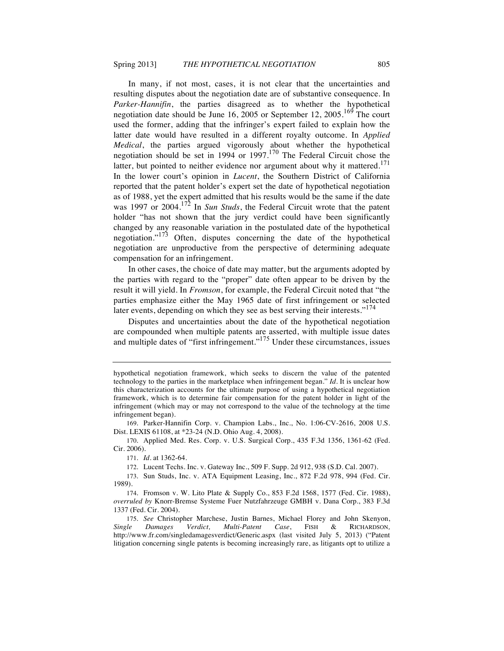In many, if not most, cases, it is not clear that the uncertainties and resulting disputes about the negotiation date are of substantive consequence. In *Parker-Hannifin*, the parties disagreed as to whether the hypothetical negotiation date should be June 16, 2005 or September 12, 2005.<sup>169</sup> The court used the former, adding that the infringer's expert failed to explain how the latter date would have resulted in a different royalty outcome. In *Applied Medical*, the parties argued vigorously about whether the hypothetical negotiation should be set in 1994 or 1997.<sup>170</sup> The Federal Circuit chose the latter, but pointed to neither evidence nor argument about why it mattered.<sup>171</sup> In the lower court's opinion in *Lucent*, the Southern District of California reported that the patent holder's expert set the date of hypothetical negotiation as of 1988, yet the expert admitted that his results would be the same if the date was 1997 or 2004.<sup>172</sup> In *Sun Studs*, the Federal Circuit wrote that the patent holder "has not shown that the jury verdict could have been significantly changed by any reasonable variation in the postulated date of the hypothetical negotiation."<sup>173</sup> Often, disputes concerning the date of the hypothetical negotiation are unproductive from the perspective of determining adequate compensation for an infringement.

In other cases, the choice of date may matter, but the arguments adopted by the parties with regard to the "proper" date often appear to be driven by the result it will yield. In *Fromson*, for example, the Federal Circuit noted that "the parties emphasize either the May 1965 date of first infringement or selected later events, depending on which they see as best serving their interests."<sup>174</sup>

Disputes and uncertainties about the date of the hypothetical negotiation are compounded when multiple patents are asserted, with multiple issue dates and multiple dates of "first infringement."<sup>175</sup> Under these circumstances, issues

hypothetical negotiation framework, which seeks to discern the value of the patented technology to the parties in the marketplace when infringement began." *Id.* It is unclear how this characterization accounts for the ultimate purpose of using a hypothetical negotiation framework, which is to determine fair compensation for the patent holder in light of the infringement (which may or may not correspond to the value of the technology at the time infringement began).

<sup>169.</sup> Parker-Hannifin Corp. v. Champion Labs., Inc., No. 1:06-CV-2616, 2008 U.S. Dist. LEXIS 61108, at \*23-24 (N.D. Ohio Aug. 4, 2008).

<sup>170.</sup> Applied Med. Res. Corp. v. U.S. Surgical Corp., 435 F.3d 1356, 1361-62 (Fed. Cir. 2006).

<sup>171.</sup> *Id*. at 1362-64.

<sup>172.</sup> Lucent Techs. Inc. v. Gateway Inc., 509 F. Supp. 2d 912, 938 (S.D. Cal. 2007).

<sup>173.</sup> Sun Studs, Inc. v. ATA Equipment Leasing, Inc., 872 F.2d 978, 994 (Fed. Cir. 1989).

<sup>174.</sup> Fromson v. W. Lito Plate & Supply Co., 853 F.2d 1568, 1577 (Fed. Cir. 1988), *overruled by* Knorr-Bremse Systeme Fuer Nutzfahrzeuge GMBH v. Dana Corp., 383 F.3d 1337 (Fed. Cir. 2004).

<sup>175.</sup> *See* Christopher Marchese, Justin Barnes, Michael Florey and John Skenyon, *Single Damages Verdict, Multi-Patent Case*, FISH & RICHARDSON*,* http://www.fr.com/singledamagesverdict/Generic.aspx (last visited July 5, 2013) ("Patent litigation concerning single patents is becoming increasingly rare, as litigants opt to utilize a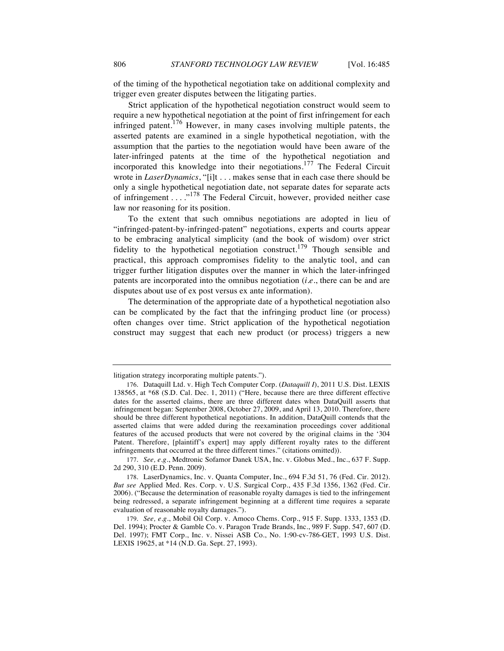of the timing of the hypothetical negotiation take on additional complexity and trigger even greater disputes between the litigating parties.

Strict application of the hypothetical negotiation construct would seem to require a new hypothetical negotiation at the point of first infringement for each infringed patent.<sup>176</sup> However, in many cases involving multiple patents, the asserted patents are examined in a single hypothetical negotiation, with the assumption that the parties to the negotiation would have been aware of the later-infringed patents at the time of the hypothetical negotiation and incorporated this knowledge into their negotiations.<sup>177</sup> The Federal Circuit wrote in *LaserDynamics*, "[i]t . . . makes sense that in each case there should be only a single hypothetical negotiation date, not separate dates for separate acts of infringement . . . . <sup>178</sup> The Federal Circuit, however, provided neither case law nor reasoning for its position.

To the extent that such omnibus negotiations are adopted in lieu of "infringed-patent-by-infringed-patent" negotiations, experts and courts appear to be embracing analytical simplicity (and the book of wisdom) over strict fidelity to the hypothetical negotiation construct.<sup>179</sup> Though sensible and practical, this approach compromises fidelity to the analytic tool, and can trigger further litigation disputes over the manner in which the later-infringed patents are incorporated into the omnibus negotiation (*i.e.*, there can be and are disputes about use of ex post versus ex ante information).

The determination of the appropriate date of a hypothetical negotiation also can be complicated by the fact that the infringing product line (or process) often changes over time. Strict application of the hypothetical negotiation construct may suggest that each new product (or process) triggers a new

litigation strategy incorporating multiple patents.").

<sup>176.</sup> Dataquill Ltd. v. High Tech Computer Corp. (*Dataquill I*), 2011 U.S. Dist. LEXIS 138565, at \*68 (S.D. Cal. Dec. 1, 2011) ("Here, because there are three different effective dates for the asserted claims, there are three different dates when DataQuill asserts that infringement began: September 2008, October 27, 2009, and April 13, 2010. Therefore, there should be three different hypothetical negotiations. In addition, DataQuill contends that the asserted claims that were added during the reexamination proceedings cover additional features of the accused products that were not covered by the original claims in the '304 Patent. Therefore, [plaintiff's expert] may apply different royalty rates to the different infringements that occurred at the three different times." (citations omitted)).

<sup>177.</sup> *See, e.g.*, Medtronic Sofamor Danek USA, Inc. v. Globus Med., Inc., 637 F. Supp. 2d 290, 310 (E.D. Penn. 2009).

<sup>178.</sup> LaserDynamics, Inc. v. Quanta Computer, Inc., 694 F.3d 51, 76 (Fed. Cir. 2012). *But see* Applied Med. Res. Corp. v. U.S. Surgical Corp., 435 F.3d 1356, 1362 (Fed. Cir. 2006). ("Because the determination of reasonable royalty damages is tied to the infringement being redressed, a separate infringement beginning at a different time requires a separate evaluation of reasonable royalty damages.").

<sup>179.</sup> *See, e.g*., Mobil Oil Corp. v. Amoco Chems. Corp., 915 F. Supp. 1333, 1353 (D. Del. 1994); Procter & Gamble Co. v. Paragon Trade Brands, Inc., 989 F. Supp. 547, 607 (D. Del. 1997); FMT Corp., Inc. v. Nissei ASB Co., No. 1:90-cv-786-GET, 1993 U.S. Dist. LEXIS 19625, at \*14 (N.D. Ga. Sept. 27, 1993).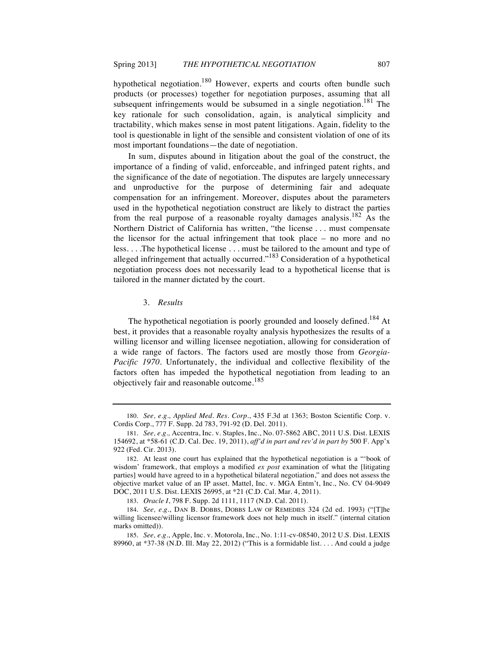hypothetical negotiation.<sup>180</sup> However, experts and courts often bundle such products (or processes) together for negotiation purposes, assuming that all subsequent infringements would be subsumed in a single negotiation.<sup>181</sup> The key rationale for such consolidation, again, is analytical simplicity and tractability, which makes sense in most patent litigations. Again, fidelity to the tool is questionable in light of the sensible and consistent violation of one of its most important foundations—the date of negotiation.

In sum, disputes abound in litigation about the goal of the construct, the importance of a finding of valid, enforceable, and infringed patent rights, and the significance of the date of negotiation. The disputes are largely unnecessary and unproductive for the purpose of determining fair and adequate compensation for an infringement. Moreover, disputes about the parameters used in the hypothetical negotiation construct are likely to distract the parties from the real purpose of a reasonable royalty damages analysis.<sup>182</sup> As the Northern District of California has written, "the license . . . must compensate the licensor for the actual infringement that took place – no more and no less. . . .The hypothetical license . . . must be tailored to the amount and type of alleged infringement that actually occurred. $183$  Consideration of a hypothetical negotiation process does not necessarily lead to a hypothetical license that is tailored in the manner dictated by the court.

#### 3. *Results*

The hypothetical negotiation is poorly grounded and loosely defined.<sup>184</sup> At best, it provides that a reasonable royalty analysis hypothesizes the results of a willing licensor and willing licensee negotiation, allowing for consideration of a wide range of factors. The factors used are mostly those from *Georgia-Pacific 1970*. Unfortunately, the individual and collective flexibility of the factors often has impeded the hypothetical negotiation from leading to an objectively fair and reasonable outcome.<sup>185</sup>

<sup>180.</sup> *See, e.g., Applied Med. Res. Corp.*, 435 F.3d at 1363; Boston Scientific Corp. v. Cordis Corp., 777 F. Supp. 2d 783, 791-92 (D. Del. 2011).

<sup>181.</sup> *See, e.g.,* Accentra, Inc. v. Staples, Inc., No. 07-5862 ABC, 2011 U.S. Dist. LEXIS 154692, at \*58-61 (C.D. Cal. Dec. 19, 2011), *aff'd in part and rev'd in part by* 500 F. App'x 922 (Fed. Cir. 2013).

<sup>182.</sup> At least one court has explained that the hypothetical negotiation is a "'book of wisdom' framework, that employs a modified *ex post* examination of what the [litigating parties] would have agreed to in a hypothetical bilateral negotiation," and does not assess the objective market value of an IP asset. Mattel, Inc. v. MGA Entm't, Inc., No. CV 04-9049 DOC, 2011 U.S. Dist. LEXIS 26995, at \*21 (C.D. Cal. Mar. 4, 2011).

<sup>183.</sup> *Oracle I*, 798 F. Supp. 2d 1111, 1117 (N.D. Cal. 2011).

<sup>184.</sup> *See, e.g.*, DAN B. DOBBS, DOBBS LAW OF REMEDIES 324 (2d ed. 1993) ("[T]he willing licensee/willing licensor framework does not help much in itself." (internal citation marks omitted)).

<sup>185.</sup> *See, e.g.*, Apple, Inc. v. Motorola, Inc., No. 1:11-cv-08540, 2012 U.S. Dist. LEXIS 89960, at \*37-38 (N.D. Ill. May 22, 2012) ("This is a formidable list. . . . And could a judge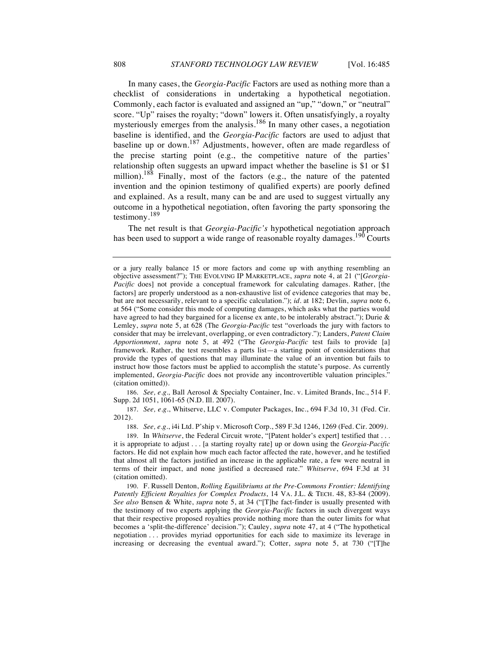In many cases, the *Georgia-Pacific* Factors are used as nothing more than a checklist of considerations in undertaking a hypothetical negotiation. Commonly, each factor is evaluated and assigned an "up," "down," or "neutral" score. "Up" raises the royalty; "down" lowers it. Often unsatisfyingly, a royalty mysteriously emerges from the analysis.<sup>186</sup> In many other cases, a negotiation baseline is identified, and the *Georgia-Pacific* factors are used to adjust that baseline up or down.<sup>187</sup> Adjustments, however, often are made regardless of the precise starting point (e.g., the competitive nature of the parties' relationship often suggests an upward impact whether the baseline is \$1 or \$1 million).<sup>188</sup> Finally, most of the factors (e.g., the nature of the patented invention and the opinion testimony of qualified experts) are poorly defined and explained. As a result, many can be and are used to suggest virtually any outcome in a hypothetical negotiation, often favoring the party sponsoring the testimony.<sup>189</sup>

The net result is that *Georgia-Pacific's* hypothetical negotiation approach has been used to support a wide range of reasonable royalty damages.<sup>190</sup> Courts

186. *See, e.g.,* Ball Aerosol & Specialty Container, Inc. v. Limited Brands, Inc., 514 F. Supp. 2d 1051, 1061-65 (N.D. Ill. 2007).

187. *See, e.g.*, Whitserve, LLC v. Computer Packages, Inc., 694 F.3d 10, 31 (Fed. Cir. 2012).

188. *See, e.g.*, i4i Ltd. P'ship v. Microsoft Corp., 589 F.3d 1246, 1269 (Fed. Cir. 2009*)*.

189. In *Whitserve*, the Federal Circuit wrote, "[Patent holder's expert] testified that . . . it is appropriate to adjust . . . [a starting royalty rate] up or down using the *Georgia-Pacific* factors. He did not explain how much each factor affected the rate, however, and he testified that almost all the factors justified an increase in the applicable rate, a few were neutral in terms of their impact, and none justified a decreased rate." *Whitserve*, 694 F.3d at 31 (citation omitted).

190. F. Russell Denton, *Rolling Equilibriums at the Pre-Commons Frontier: Identifying Patently Efficient Royalties for Complex Products*, 14 VA. J.L. & TECH. 48, 83-84 (2009). *See also* Bensen & White, *supra* note 5, at 34 ("[T]he fact-finder is usually presented with the testimony of two experts applying the *Georgia-Pacific* factors in such divergent ways that their respective proposed royalties provide nothing more than the outer limits for what becomes a 'split-the-difference' decision."); Cauley, *supra* note 47, at 4 ("The hypothetical negotiation . . . provides myriad opportunities for each side to maximize its leverage in increasing or decreasing the eventual award."); Cotter, *supra* note 5, at 730 ("[T]he

or a jury really balance 15 or more factors and come up with anything resembling an objective assessment?"); THE EVOLVING IP MARKETPLACE, *supra* note 4, at 21 ("[*Georgia-Pacific* does] not provide a conceptual framework for calculating damages. Rather, [the factors] are properly understood as a non-exhaustive list of evidence categories that may be, but are not necessarily, relevant to a specific calculation."); *id.* at 182; Devlin, *supra* note 6, at 564 ("Some consider this mode of computing damages, which asks what the parties would have agreed to had they bargained for a license ex ante, to be intolerably abstract."); Durie & Lemley, *supra* note 5, at 628 (The *Georgia-Pacific* test "overloads the jury with factors to consider that may be irrelevant, overlapping, or even contradictory."); Landers, *Patent Claim Apportionment*, *supra* note 5, at 492 ("The *Georgia-Pacific* test fails to provide [a] framework. Rather, the test resembles a parts list—a starting point of considerations that provide the types of questions that may illuminate the value of an invention but fails to instruct how those factors must be applied to accomplish the statute's purpose. As currently implemented, *Georgia-Pacific* does not provide any incontrovertible valuation principles." (citation omitted)).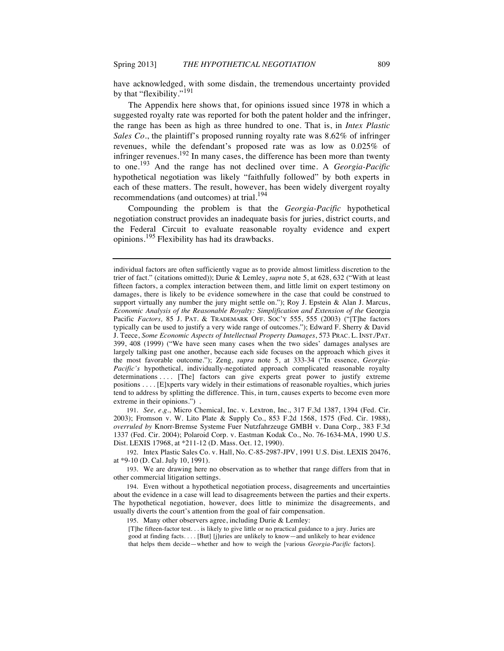have acknowledged, with some disdain, the tremendous uncertainty provided by that "flexibility."<sup>191</sup>

The Appendix here shows that, for opinions issued since 1978 in which a suggested royalty rate was reported for both the patent holder and the infringer, the range has been as high as three hundred to one. That is, in *Intex Plastic Sales Co.*, the plaintiff's proposed running royalty rate was 8.62% of infringer revenues, while the defendant's proposed rate was as low as 0.025% of infringer revenues.<sup>192</sup> In many cases, the difference has been more than twenty to one. <sup>193</sup> And the range has not declined over time. A *Georgia-Pacific* hypothetical negotiation was likely "faithfully followed" by both experts in each of these matters. The result, however, has been widely divergent royalty recommendations (and outcomes) at trial.<sup>194</sup>

Compounding the problem is that the *Georgia-Pacific* hypothetical negotiation construct provides an inadequate basis for juries, district courts, and the Federal Circuit to evaluate reasonable royalty evidence and expert opinions.<sup>195</sup> Flexibility has had its drawbacks.

191. *See, e.g*., Micro Chemical, Inc. v. Lextron, Inc., 317 F.3d 1387, 1394 (Fed. Cir. 2003); Fromson v. W. Lito Plate & Supply Co., 853 F.2d 1568, 1575 (Fed. Cir. 1988), *overruled by* Knorr-Bremse Systeme Fuer Nutzfahrzeuge GMBH v. Dana Corp., 383 F.3d 1337 (Fed. Cir. 2004); Polaroid Corp. v. Eastman Kodak Co., No. 76-1634-MA, 1990 U.S. Dist. LEXIS 17968, at \*211-12 (D. Mass. Oct. 12, 1990).

192. Intex Plastic Sales Co. v. Hall, No. C-85-2987-JPV, 1991 U.S. Dist. LEXIS 20476, at \*9-10 (D. Cal. July 10, 1991).

193. We are drawing here no observation as to whether that range differs from that in other commercial litigation settings.

194. Even without a hypothetical negotiation process, disagreements and uncertainties about the evidence in a case will lead to disagreements between the parties and their experts. The hypothetical negotiation, however, does little to minimize the disagreements, and usually diverts the court's attention from the goal of fair compensation.

195. Many other observers agree, including Durie & Lemley:

[T]he fifteen-factor test. . . is likely to give little or no practical guidance to a jury. Juries are good at finding facts. . . . [But] [j]uries are unlikely to know—and unlikely to hear evidence that helps them decide—whether and how to weigh the [various *Georgia-Pacific* factors].

individual factors are often sufficiently vague as to provide almost limitless discretion to the trier of fact." (citations omitted)); Durie & Lemley, *supra* note 5, at 628, 632 ("With at least fifteen factors, a complex interaction between them, and little limit on expert testimony on damages, there is likely to be evidence somewhere in the case that could be construed to support virtually any number the jury might settle on."); Roy J. Epstein & Alan J. Marcus, *Economic Analysis of the Reasonable Royalty: Simplification and Extension of the Georgia* Pacific *Factors,* 85 J. PAT. & TRADEMARK OFF. SOC'Y 555, 555 (2003) ("[T]he factors typically can be used to justify a very wide range of outcomes."); Edward F. Sherry & David J. Teece, *Some Economic Aspects of Intellectual Property Damages*, 573 PRAC. L. INST./PAT. 399, 408 (1999) ("We have seen many cases when the two sides' damages analyses are largely talking past one another, because each side focuses on the approach which gives it the most favorable outcome."); Zeng, *supra* note 5, at 333-34 ("In essence, *Georgia-Pacific's* hypothetical, individually-negotiated approach complicated reasonable royalty determinations .... [The] factors can give experts great power to justify extreme positions . . . . [E]xperts vary widely in their estimations of reasonable royalties, which juries tend to address by splitting the difference. This, in turn, causes experts to become even more extreme in their opinions.").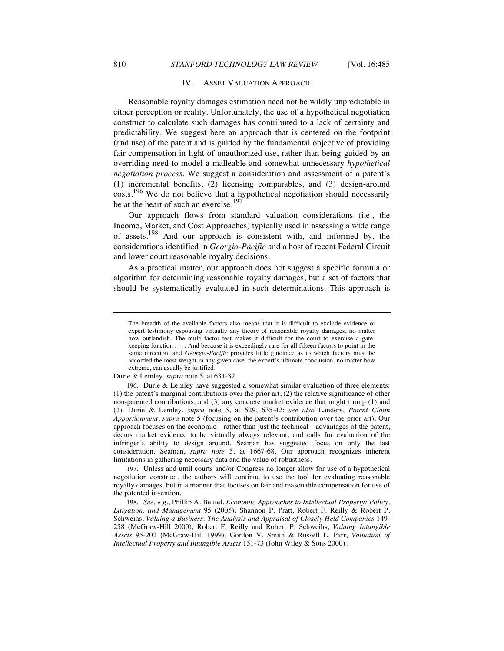#### IV. ASSET VALUATION APPROACH

Reasonable royalty damages estimation need not be wildly unpredictable in either perception or reality. Unfortunately, the use of a hypothetical negotiation construct to calculate such damages has contributed to a lack of certainty and predictability. We suggest here an approach that is centered on the footprint (and use) of the patent and is guided by the fundamental objective of providing fair compensation in light of unauthorized use, rather than being guided by an overriding need to model a malleable and somewhat unnecessary *hypothetical negotiation process*. We suggest a consideration and assessment of a patent's (1) incremental benefits, (2) licensing comparables, and (3) design-around costs.<sup>196</sup> We do not believe that a hypothetical negotiation should necessarily be at the heart of such an exercise.<sup>197</sup>

Our approach flows from standard valuation considerations (i.e., the Income, Market, and Cost Approaches) typically used in assessing a wide range of assets.<sup>198</sup> And our approach is consistent with, and informed by, the considerations identified in *Georgia-Pacific* and a host of recent Federal Circuit and lower court reasonable royalty decisions.

As a practical matter, our approach does not suggest a specific formula or algorithm for determining reasonable royalty damages, but a set of factors that should be systematically evaluated in such determinations. This approach is

Durie & Lemley, *supra* note 5, at 631-32.

197. Unless and until courts and/or Congress no longer allow for use of a hypothetical negotiation construct, the authors will continue to use the tool for evaluating reasonable royalty damages, but in a manner that focuses on fair and reasonable compensation for use of the patented invention.

198. *See, e.g.*, Phillip A. Beutel, *Economic Approaches to Intellectual Property: Policy, Litigation, and Management* 95 (2005); Shannon P. Pratt, Robert F. Reilly & Robert P. Schweihs, *Valuing a Business: The Analysis and Appraisal of Closely Held Companies* 149- 258 (McGraw-Hill 2000); Robert F. Reilly and Robert P. Schweihs, *Valuing Intangible Assets* 95-202 (McGraw-Hill 1999); Gordon V. Smith & Russell L. Parr, *Valuation of Intellectual Property and Intangible Assets* 151-73 (John Wiley & Sons 2000) .

The breadth of the available factors also means that it is difficult to exclude evidence or expert testimony espousing virtually any theory of reasonable royalty damages, no matter how outlandish. The multi-factor test makes it difficult for the court to exercise a gatekeeping function . . . . And because it is exceedingly rare for all fifteen factors to point in the same direction, and *Georgia-Pacific* provides little guidance as to which factors must be accorded the most weight in any given case, the expert's ultimate conclusion, no matter how extreme, can usually be justified.

<sup>196.</sup> Durie & Lemley have suggested a somewhat similar evaluation of three elements: (1) the patent's marginal contributions over the prior art, (2) the relative significance of other non-patented contributions, and (3) any concrete market evidence that might trump (1) and (2). Durie & Lemley, *supra* note 5, at 629, 635-42; *see also* Landers, *Patent Claim Apportionment*, *supra* note 5 (focusing on the patent's contribution over the prior art). Our approach focuses on the economic—rather than just the technical—advantages of the patent, deems market evidence to be virtually always relevant, and calls for evaluation of the infringer's ability to design around. Seaman has suggested focus on only the last consideration. Seaman, *supra note* 5, at 1667-68. Our approach recognizes inherent limitations in gathering necessary data and the value of robustness.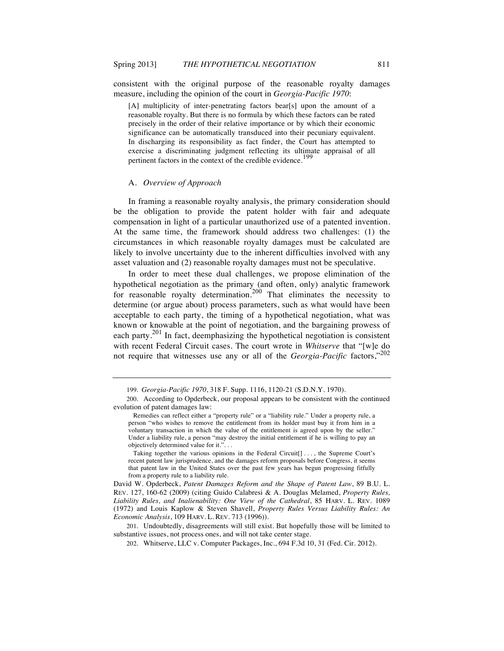consistent with the original purpose of the reasonable royalty damages measure, including the opinion of the court in *Georgia-Pacific 1970*:

[A] multiplicity of inter-penetrating factors bear[s] upon the amount of a reasonable royalty. But there is no formula by which these factors can be rated precisely in the order of their relative importance or by which their economic significance can be automatically transduced into their pecuniary equivalent. In discharging its responsibility as fact finder, the Court has attempted to exercise a discriminating judgment reflecting its ultimate appraisal of all pertinent factors in the context of the credible evidence.<sup>199</sup>

#### A. *Overview of Approach*

In framing a reasonable royalty analysis, the primary consideration should be the obligation to provide the patent holder with fair and adequate compensation in light of a particular unauthorized use of a patented invention. At the same time, the framework should address two challenges: (1) the circumstances in which reasonable royalty damages must be calculated are likely to involve uncertainty due to the inherent difficulties involved with any asset valuation and (2) reasonable royalty damages must not be speculative.

In order to meet these dual challenges, we propose elimination of the hypothetical negotiation as the primary (and often, only) analytic framework for reasonable royalty determination.<sup>200</sup> That eliminates the necessity to determine (or argue about) process parameters, such as what would have been acceptable to each party, the timing of a hypothetical negotiation, what was known or knowable at the point of negotiation, and the bargaining prowess of each party.<sup>201</sup> In fact, deemphasizing the hypothetical negotiation is consistent with recent Federal Circuit cases. The court wrote in *Whitserve* that "[w]e do not require that witnesses use any or all of the *Georgia-Pacific* factors,"<sup>202</sup>

Taking together the various opinions in the Federal Circuit[] . . . , the Supreme Court's recent patent law jurisprudence, and the damages reform proposals before Congress, it seems that patent law in the United States over the past few years has begun progressing fitfully from a property rule to a liability rule.

201. Undoubtedly, disagreements will still exist. But hopefully those will be limited to substantive issues, not process ones, and will not take center stage.

<sup>199</sup>*. Georgia-Pacific 1970*, 318 F. Supp. 1116, 1120-21 (S.D.N.Y. 1970).

<sup>200.</sup> According to Opderbeck, our proposal appears to be consistent with the continued evolution of patent damages law:

Remedies can reflect either a "property rule" or a "liability rule." Under a property rule, a person "who wishes to remove the entitlement from its holder must buy it from him in a voluntary transaction in which the value of the entitlement is agreed upon by the seller." Under a liability rule, a person "may destroy the initial entitlement if he is willing to pay an objectively determined value for it.". . .

David W. Opderbeck, *Patent Damages Reform and the Shape of Patent Law*, 89 B.U. L. REV. 127, 160-62 (2009) (citing Guido Calabresi & A. Douglas Melamed, *Property Rules, Liability Rules, and Inalienability: One View of the Cathedral*, 85 HARV. L. REV. 1089 (1972) and Louis Kaplow & Steven Shavell, *Property Rules Versus Liability Rules: An Economic Analysis*, 109 HARV. L. REV. 713 (1996)).

<sup>202.</sup> Whitserve, LLC v. Computer Packages, Inc., 694 F.3d 10, 31 (Fed. Cir. 2012).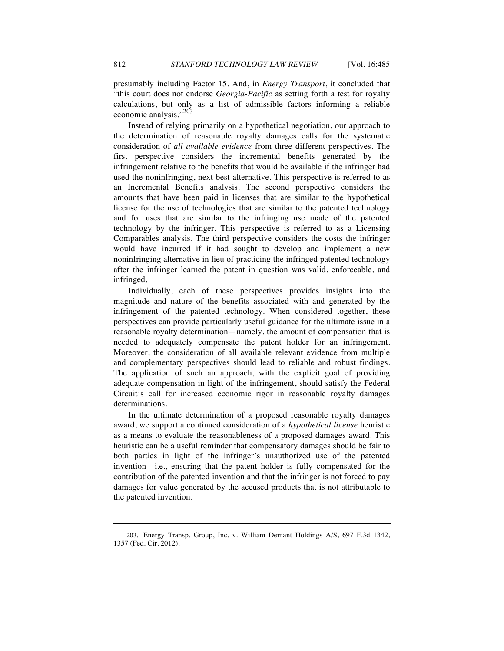presumably including Factor 15. And, in *Energy Transport*, it concluded that "this court does not endorse *Georgia-Pacific* as setting forth a test for royalty calculations, but only as a list of admissible factors informing a reliable economic analysis."<sup>203</sup>

Instead of relying primarily on a hypothetical negotiation, our approach to the determination of reasonable royalty damages calls for the systematic consideration of *all available evidence* from three different perspectives. The first perspective considers the incremental benefits generated by the infringement relative to the benefits that would be available if the infringer had used the noninfringing, next best alternative. This perspective is referred to as an Incremental Benefits analysis. The second perspective considers the amounts that have been paid in licenses that are similar to the hypothetical license for the use of technologies that are similar to the patented technology and for uses that are similar to the infringing use made of the patented technology by the infringer. This perspective is referred to as a Licensing Comparables analysis. The third perspective considers the costs the infringer would have incurred if it had sought to develop and implement a new noninfringing alternative in lieu of practicing the infringed patented technology after the infringer learned the patent in question was valid, enforceable, and infringed.

Individually, each of these perspectives provides insights into the magnitude and nature of the benefits associated with and generated by the infringement of the patented technology. When considered together, these perspectives can provide particularly useful guidance for the ultimate issue in a reasonable royalty determination—namely, the amount of compensation that is needed to adequately compensate the patent holder for an infringement. Moreover, the consideration of all available relevant evidence from multiple and complementary perspectives should lead to reliable and robust findings. The application of such an approach, with the explicit goal of providing adequate compensation in light of the infringement, should satisfy the Federal Circuit's call for increased economic rigor in reasonable royalty damages determinations.

In the ultimate determination of a proposed reasonable royalty damages award, we support a continued consideration of a *hypothetical license* heuristic as a means to evaluate the reasonableness of a proposed damages award. This heuristic can be a useful reminder that compensatory damages should be fair to both parties in light of the infringer's unauthorized use of the patented invention—i.e., ensuring that the patent holder is fully compensated for the contribution of the patented invention and that the infringer is not forced to pay damages for value generated by the accused products that is not attributable to the patented invention.

<sup>203.</sup> Energy Transp. Group, Inc. v. William Demant Holdings A/S, 697 F.3d 1342, 1357 (Fed. Cir. 2012).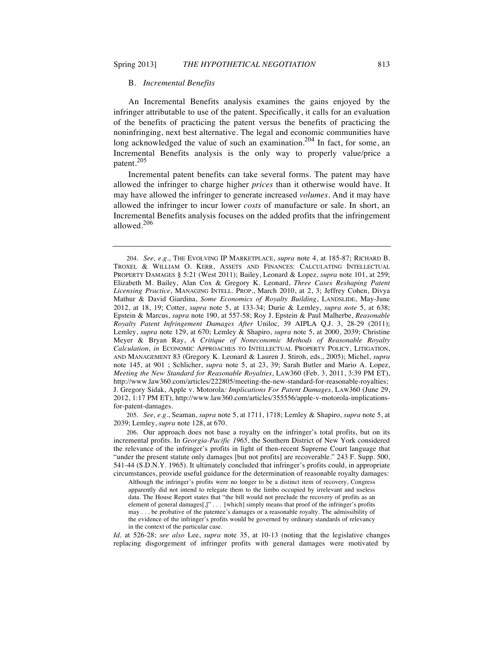#### B. *Incremental Benefits*

An Incremental Benefits analysis examines the gains enjoyed by the infringer attributable to use of the patent. Specifically, it calls for an evaluation of the benefits of practicing the patent versus the benefits of practicing the noninfringing, next best alternative. The legal and economic communities have long acknowledged the value of such an examination.<sup>204</sup> In fact, for some, an Incremental Benefits analysis is the only way to properly value/price a patent.<sup>205</sup>

Incremental patent benefits can take several forms. The patent may have allowed the infringer to charge higher *prices* than it otherwise would have. It may have allowed the infringer to generate increased *volumes*. And it may have allowed the infringer to incur lower *costs* of manufacture or sale. In short, an Incremental Benefits analysis focuses on the added profits that the infringement allowed.<sup>206</sup>

205. *See, e.g.*, Seaman, *supra* note 5, at 1711, 1718; Lemley & Shapiro, *supra* note 5, at 2039; Lemley, *supra* note 128, at 670.

206. Our approach does not base a royalty on the infringer's total profits, but on its incremental profits. In *Georgia-Pacific 1965*, the Southern District of New York considered the relevance of the infringer's profits in light of then-recent Supreme Court language that "under the present statute only damages [but not profits] are recoverable." 243 F. Supp. 500, 541-44 (S.D.N.Y. 1965). It ultimately concluded that infringer's profits could, in appropriate circumstances, provide useful guidance for the determination of reasonable royalty damages:

Although the infringer's profits were no longer to be a distinct item of recovery, Congress apparently did not intend to relegate them to the limbo occupied by irrelevant and useless data. The House Report states that "the bill would not preclude the recovery of profits as an element of general damages[,]" . . . [which] simply means that proof of the infringer's profits may . . . be probative of the patentee's damages or a reasonable royalty. The admissibility of the evidence of the infringer's profits would be governed by ordinary standards of relevancy in the context of the particular case.

*Id.* at 526-28; *see also* Lee, *supra* note 35, at 10-13 (noting that the legislative changes replacing disgorgement of infringer profits with general damages were motivated by

<sup>204.</sup> *See, e.g.*, THE EVOLVING IP MARKETPLACE, *supra* note 4, at 185-87; RICHARD B. TROXEL & WILLIAM O. KERR, ASSETS AND FINANCES: CALCULATING INTELLECTUAL PROPERTY DAMAGES § 5:21 (West 2011); Bailey, Leonard & Lopez, *supra* note 101, at 259; Elizabeth M. Bailey, Alan Cox & Gregory K. Leonard, *Three Cases Reshaping Patent Licensing Practice*, MANAGING INTELL. PROP., March 2010, at 2, 3; Jeffrey Cohen, Divya Mathur & David Giardina, *Some Economics of Royalty Building*, LANDSLIDE, May-June 2012, at 18, 19; Cotter, *supra* note 5, at 133-34; Durie & Lemley, *supra note* 5, at 638; Epstein & Marcus, *supra* note 190, at 557-58; Roy J. Epstein & Paul Malherbe, *Reasonable Royalty Patent Infringement Damages After* Uniloc*,* 39 AIPLA Q.J. 3, 28-29 (2011); Lemley, *supra* note 129, at 670; Lemley & Shapiro, *supra* note 5, at 2000, 2039; Christine Meyer & Bryan Ray, *A Critique of Noneconomic Methods of Reasonable Royalty Calculation*, *in* ECONOMIC APPROACHES TO INTELLECTUAL PROPERTY POLICY, LITIGATION, AND MANAGEMENT 83 (Gregory K. Leonard & Lauren J. Stiroh, eds., 2005); Michel, *supra* note 145, at 901 ; Schlicher, *supra* note 5, at 23, 39; Sarah Butler and Mario A. Lopez, *Meeting the New Standard for Reasonable Royalties*, LAW360 (Feb. 3, 2011, 3:39 PM ET), http://www.law360.com/articles/222805/meeting-the-new-standard-for-reasonable-royalties; J. Gregory Sidak, Apple v. Motorola*: Implications For Patent Damages*, LAW360 (June 29, 2012, 1:17 PM ET), http://www.law360.com/articles/355556/apple-v-motorola-implicationsfor-patent-damages.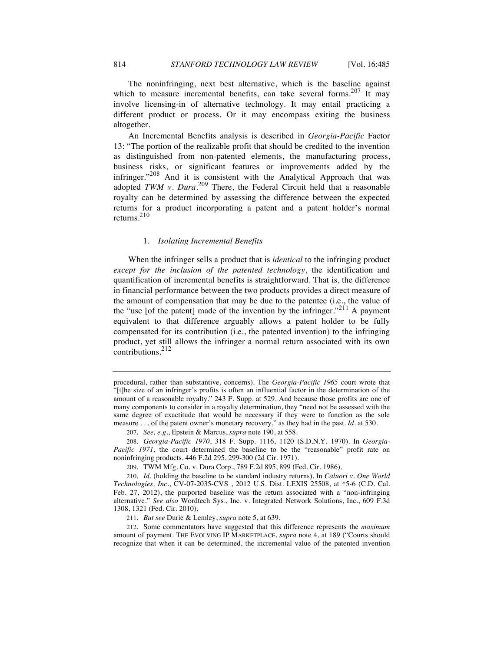The noninfringing, next best alternative, which is the baseline against which to measure incremental benefits, can take several forms.<sup>207</sup> It may involve licensing-in of alternative technology. It may entail practicing a different product or process. Or it may encompass exiting the business altogether.

An Incremental Benefits analysis is described in *Georgia-Pacific* Factor 13: "The portion of the realizable profit that should be credited to the invention as distinguished from non-patented elements, the manufacturing process, business risks, or significant features or improvements added by the infringer."<sup>208</sup> And it is consistent with the Analytical Approach that was adopted *TWM v. Dura*. <sup>209</sup> There, the Federal Circuit held that a reasonable royalty can be determined by assessing the difference between the expected returns for a product incorporating a patent and a patent holder's normal returns.<sup>210</sup>

#### 1. *Isolating Incremental Benefits*

When the infringer sells a product that is *identical* to the infringing product *except for the inclusion of the patented technology*, the identification and quantification of incremental benefits is straightforward. That is, the difference in financial performance between the two products provides a direct measure of the amount of compensation that may be due to the patentee (i.e., the value of the "use [of the patent] made of the invention by the infringer."<sup>211</sup> A payment equivalent to that difference arguably allows a patent holder to be fully compensated for its contribution (i.e., the patented invention) to the infringing product, yet still allows the infringer a normal return associated with its own contributions.<sup>212</sup>

procedural, rather than substantive, concerns). The *Georgia-Pacific 1965* court wrote that "[t]he size of an infringer's profits is often an influential factor in the determination of the amount of a reasonable royalty." 243 F. Supp. at 529. And because those profits are one of many components to consider in a royalty determination, they "need not be assessed with the same degree of exactitude that would be necessary if they were to function as the sole measure . . . of the patent owner's monetary recovery," as they had in the past. *Id.* at 530.

<sup>207.</sup> *See, e.g.*, Epstein & Marcus, *supra* note 190, at 558.

<sup>208.</sup> *Georgia-Pacific 1970*, 318 F. Supp. 1116, 1120 (S.D.N.Y. 1970). In *Georgia-Pacific 1971*, the court determined the baseline to be the "reasonable" profit rate on noninfringing products. 446 F.2d 295, 299-300 (2d Cir. 1971).

<sup>209.</sup> TWM Mfg. Co. v. Dura Corp., 789 F.2d 895, 899 (Fed. Cir. 1986).

<sup>210.</sup> *Id.* (holding the baseline to be standard industry returns). In *Caluori v. One World Technologies, Inc.*, CV-07-2035-CVS , 2012 U.S. Dist. LEXIS 25508, at \*5-6 (C.D. Cal. Feb. 27, 2012), the purported baseline was the return associated with a "non-infringing alternative." *See also* Wordtech Sys., Inc. v. Integrated Network Solutions, Inc., 609 F.3d 1308, 1321 (Fed. Cir. 2010).

<sup>211.</sup> *But see* Durie & Lemley, *supra* note 5, at 639.

<sup>212.</sup> Some commentators have suggested that this difference represents the *maximum* amount of payment. THE EVOLVING IP MARKETPLACE, *supra* note 4, at 189 ("Courts should recognize that when it can be determined, the incremental value of the patented invention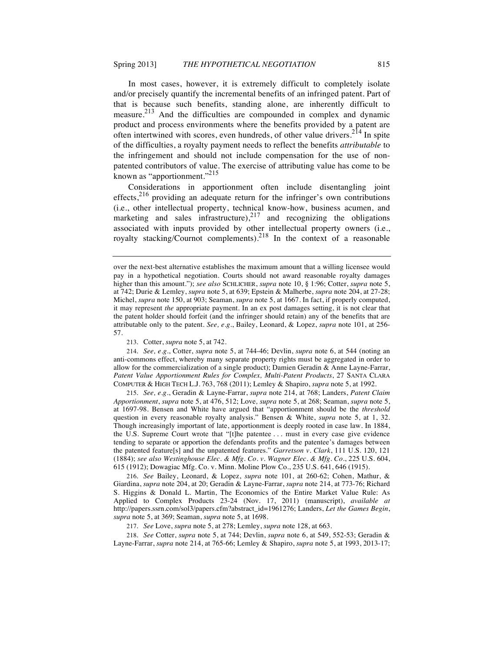In most cases, however, it is extremely difficult to completely isolate and/or precisely quantify the incremental benefits of an infringed patent. Part of that is because such benefits, standing alone, are inherently difficult to measure.<sup>213</sup> And the difficulties are compounded in complex and dynamic product and process environments where the benefits provided by a patent are often intertwined with scores, even hundreds, of other value drivers.<sup>214</sup> In spite of the difficulties, a royalty payment needs to reflect the benefits *attributable* to the infringement and should not include compensation for the use of nonpatented contributors of value. The exercise of attributing value has come to be known as "apportionment."<sup>215</sup>

Considerations in apportionment often include disentangling joint effects, $2^{16}$  providing an adequate return for the infringer's own contributions (i.e., other intellectual property, technical know-how, business acumen, and marketing and sales infrastructure),<sup>217</sup> and recognizing the obligations associated with inputs provided by other intellectual property owners (i.e., royalty stacking/Cournot complements).<sup>218</sup> In the context of a reasonable

213. Cotter, *supra* note 5, at 742.

214. *See, e.g.*, Cotter, *supra* note 5, at 744-46; Devlin, *supra* note 6, at 544 (noting an anti-commons effect, whereby many separate property rights must be aggregated in order to allow for the commercialization of a single product); Damien Geradin & Anne Layne-Farrar, *Patent Value Apportionment Rules for Complex, Multi-Patent Products*, 27 SANTA CLARA COMPUTER & HIGH TECH L.J. 763, 768 (2011); Lemley & Shapiro, *supra* note 5, at 1992.

215. *See, e.g.*, Geradin & Layne-Farrar, *supra* note 214, at 768; Landers, *Patent Claim Apportionment*, *supra* note 5, at 476, 512; Love*, supra* note 5, at 268; Seaman, *supra* note 5, at 1697-98. Bensen and White have argued that "apportionment should be the *threshold* question in every reasonable royalty analysis." Bensen & White, *supra* note 5, at 1, 32. Though increasingly important of late, apportionment is deeply rooted in case law. In 1884, the U.S. Supreme Court wrote that "[t]he patentee . . . must in every case give evidence tending to separate or apportion the defendants profits and the patentee's damages between the patented feature[s] and the unpatented features." *Garretson v. Clark*, 111 U.S. 120, 121 (1884); *see also Westinghouse Elec. & Mfg. Co. v. Wagner Elec. & Mfg. Co.*, 225 U.S. 604, 615 (1912); Dowagiac Mfg. Co. v. Minn. Moline Plow Co., 235 U.S. 641, 646 (1915).

216. *See* Bailey, Leonard, & Lopez, *supra* note 101, at 260-62; Cohen, Mathur, & Giardina, *supra* note 204, at 20; Geradin & Layne-Farrar, *supra* note 214, at 773-76; Richard S. Higgins & Donald L. Martin, The Economics of the Entire Market Value Rule: As Applied to Complex Products 23-24 (Nov. 17, 2011) (manuscript), *available at* http://papers.ssrn.com/sol3/papers.cfm?abstract\_id=1961276; Landers, *Let the Games Begin*, *supra* note 5, at 369; Seaman, *supra* note 5, at 1698.

217. *See* Love, *supra* note 5, at 278; Lemley, *supra* note 128, at 663.

218. *See* Cotter, *supra* note 5, at 744; Devlin, *supra* note 6, at 549, 552-53; Geradin & Layne-Farrar, *supra* note 214, at 765-66; Lemley & Shapiro, *supra* note 5, at 1993, 2013-17;

over the next-best alternative establishes the maximum amount that a willing licensee would pay in a hypothetical negotiation. Courts should not award reasonable royalty damages higher than this amount."); *see also* SCHLICHER, *supra* note 10, § 1:96; Cotter, *supra* note 5, at 742; Durie & Lemley, *supra* note 5, at 639; Epstein & Malherbe, *supra* note 204, at 27-28; Michel, *supra* note 150, at 903; Seaman, *supra* note 5, at 1667. In fact, if properly computed, it may represent *the* appropriate payment. In an ex post damages setting, it is not clear that the patent holder should forfeit (and the infringer should retain) any of the benefits that are attributable only to the patent. *See, e.g.*, Bailey, Leonard, & Lopez, *supra* note 101, at 256- 57.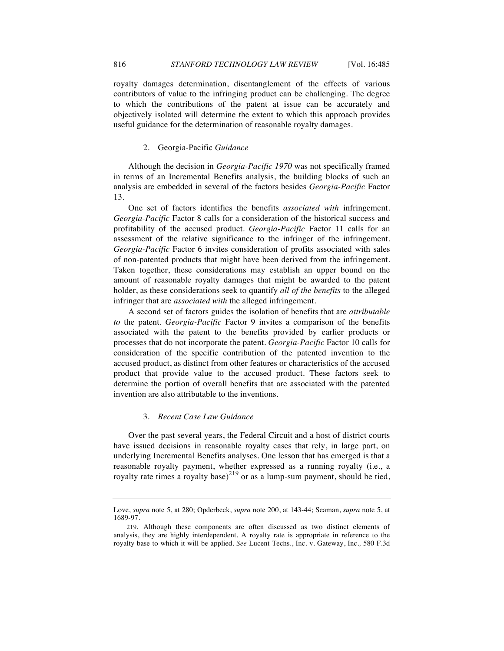royalty damages determination, disentanglement of the effects of various contributors of value to the infringing product can be challenging. The degree to which the contributions of the patent at issue can be accurately and objectively isolated will determine the extent to which this approach provides useful guidance for the determination of reasonable royalty damages.

#### 2. Georgia-Pacific *Guidance*

Although the decision in *Georgia-Pacific 1970* was not specifically framed in terms of an Incremental Benefits analysis, the building blocks of such an analysis are embedded in several of the factors besides *Georgia-Pacific* Factor 13.

One set of factors identifies the benefits *associated with* infringement. *Georgia-Pacific* Factor 8 calls for a consideration of the historical success and profitability of the accused product. *Georgia-Pacific* Factor 11 calls for an assessment of the relative significance to the infringer of the infringement. *Georgia-Pacific* Factor 6 invites consideration of profits associated with sales of non-patented products that might have been derived from the infringement. Taken together, these considerations may establish an upper bound on the amount of reasonable royalty damages that might be awarded to the patent holder, as these considerations seek to quantify *all of the benefits* to the alleged infringer that are *associated with* the alleged infringement.

A second set of factors guides the isolation of benefits that are *attributable to* the patent. *Georgia-Pacific* Factor 9 invites a comparison of the benefits associated with the patent to the benefits provided by earlier products or processes that do not incorporate the patent. *Georgia-Pacific* Factor 10 calls for consideration of the specific contribution of the patented invention to the accused product, as distinct from other features or characteristics of the accused product that provide value to the accused product. These factors seek to determine the portion of overall benefits that are associated with the patented invention are also attributable to the inventions.

## 3. *Recent Case Law Guidance*

Over the past several years, the Federal Circuit and a host of district courts have issued decisions in reasonable royalty cases that rely, in large part, on underlying Incremental Benefits analyses. One lesson that has emerged is that a reasonable royalty payment, whether expressed as a running royalty (i.e., a royalty rate times a royalty base)<sup>219</sup> or as a lump-sum payment, should be tied,

Love, *supra* note 5, at 280; Opderbeck, *supra* note 200, at 143-44; Seaman, *supra* note 5, at 1689-97.

<sup>219.</sup> Although these components are often discussed as two distinct elements of analysis, they are highly interdependent. A royalty rate is appropriate in reference to the royalty base to which it will be applied. *See* Lucent Techs., Inc. v. Gateway, Inc.*,* 580 F.3d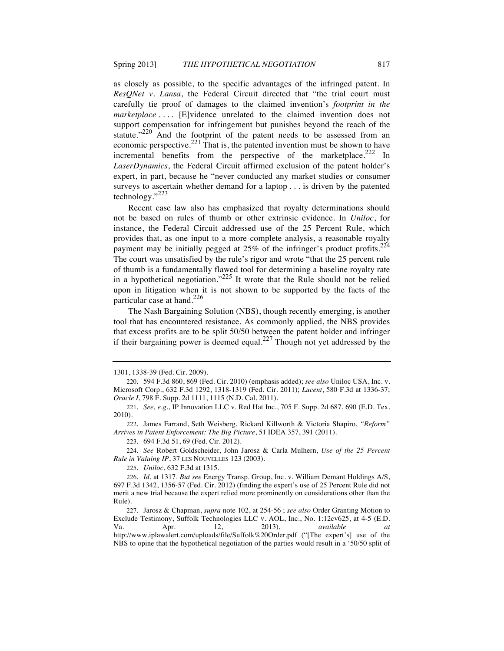as closely as possible, to the specific advantages of the infringed patent. In *ResQNet v. Lansa*, the Federal Circuit directed that "the trial court must carefully tie proof of damages to the claimed invention's *footprint in the marketplace* .... [E]vidence unrelated to the claimed invention does not support compensation for infringement but punishes beyond the reach of the statute."<sup>220</sup> And the footprint of the patent needs to be assessed from an economic perspective.<sup>221</sup> That is, the patented invention must be shown to have incremental benefits from the perspective of the marketplace. $222$  In *LaserDynamics*, the Federal Circuit affirmed exclusion of the patent holder's expert, in part, because he "never conducted any market studies or consumer surveys to ascertain whether demand for a laptop . . . is driven by the patented technology."<sup>223</sup>

Recent case law also has emphasized that royalty determinations should not be based on rules of thumb or other extrinsic evidence. In *Uniloc*, for instance, the Federal Circuit addressed use of the 25 Percent Rule, which provides that, as one input to a more complete analysis, a reasonable royalty payment may be initially pegged at  $25\%$  of the infringer's product profits.<sup>224</sup> The court was unsatisfied by the rule's rigor and wrote "that the 25 percent rule of thumb is a fundamentally flawed tool for determining a baseline royalty rate in a hypothetical negotiation.<sup> $225$ </sup> It wrote that the Rule should not be relied upon in litigation when it is not shown to be supported by the facts of the particular case at hand.<sup>226</sup>

The Nash Bargaining Solution (NBS), though recently emerging, is another tool that has encountered resistance. As commonly applied, the NBS provides that excess profits are to be split 50/50 between the patent holder and infringer if their bargaining power is deemed equal.<sup>227</sup> Though not yet addressed by the

224. *See* Robert Goldscheider, John Jarosz & Carla Mulhern, *Use of the 25 Percent Rule in Valuing IP*, 37 LES NOUVELLES 123 (2003).

225. *Uniloc*, 632 F.3d at 1315.

<sup>1301, 1338-39</sup> (Fed. Cir. 2009).

<sup>220.</sup> 594 F.3d 860, 869 (Fed. Cir. 2010) (emphasis added); *see also* Uniloc USA, Inc. v. Microsoft Corp., 632 F.3d 1292, 1318-1319 (Fed. Cir. 2011); *Lucent*, 580 F.3d at 1336-37; *Oracle I*, 798 F. Supp. 2d 1111, 1115 (N.D. Cal. 2011).

<sup>221.</sup> *See, e.g*., IP Innovation LLC v. Red Hat Inc., 705 F. Supp. 2d 687, 690 (E.D. Tex. 2010).

<sup>222.</sup> James Farrand, Seth Weisberg, Rickard Killworth & Victoria Shapiro, *"Reform" Arrives in Patent Enforcement: The Big Picture*, 51 IDEA 357, 391 (2011).

<sup>223.</sup> 694 F.3d 51, 69 (Fed. Cir. 2012).

<sup>226.</sup> *Id.* at 1317. *But see* Energy Transp. Group, Inc. v. William Demant Holdings A/S, 697 F.3d 1342, 1356-57 (Fed. Cir. 2012) (finding the expert's use of 25 Percent Rule did not merit a new trial because the expert relied more prominently on considerations other than the Rule).

<sup>227.</sup> Jarosz & Chapman, *supra* note 102, at 254-56 ; *see also* Order Granting Motion to Exclude Testimony, Suffolk Technologies LLC v. AOL, Inc., No. 1:12cv625, at 4-5 (E.D. Va. Apr. 12, 2013), *available at* http://www.iplawalert.com/uploads/file/Suffolk%20Order.pdf ("[The expert's] use of the NBS to opine that the hypothetical negotiation of the parties would result in a '50/50 split of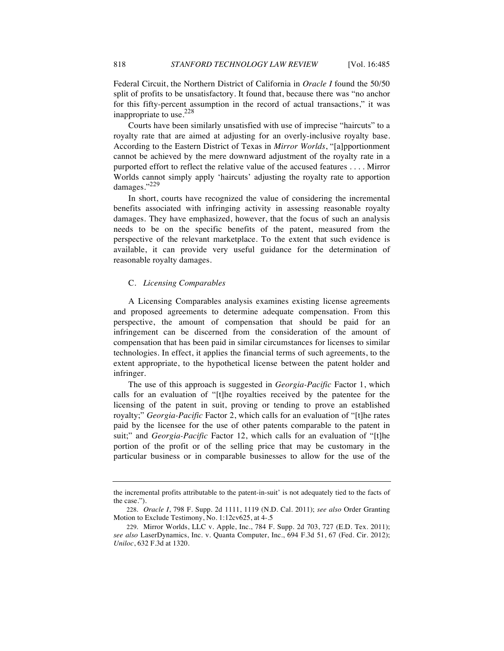Federal Circuit, the Northern District of California in *Oracle I* found the 50/50 split of profits to be unsatisfactory. It found that, because there was "no anchor for this fifty-percent assumption in the record of actual transactions," it was inappropriate to use. $228$ 

Courts have been similarly unsatisfied with use of imprecise "haircuts" to a royalty rate that are aimed at adjusting for an overly-inclusive royalty base. According to the Eastern District of Texas in *Mirror Worlds*, "[a]pportionment cannot be achieved by the mere downward adjustment of the royalty rate in a purported effort to reflect the relative value of the accused features . . . . Mirror Worlds cannot simply apply 'haircuts' adjusting the royalty rate to apportion damages."<sup>229</sup>

In short, courts have recognized the value of considering the incremental benefits associated with infringing activity in assessing reasonable royalty damages. They have emphasized, however, that the focus of such an analysis needs to be on the specific benefits of the patent, measured from the perspective of the relevant marketplace. To the extent that such evidence is available, it can provide very useful guidance for the determination of reasonable royalty damages.

#### C. *Licensing Comparables*

A Licensing Comparables analysis examines existing license agreements and proposed agreements to determine adequate compensation. From this perspective, the amount of compensation that should be paid for an infringement can be discerned from the consideration of the amount of compensation that has been paid in similar circumstances for licenses to similar technologies. In effect, it applies the financial terms of such agreements, to the extent appropriate, to the hypothetical license between the patent holder and infringer.

The use of this approach is suggested in *Georgia-Pacific* Factor 1, which calls for an evaluation of "[t]he royalties received by the patentee for the licensing of the patent in suit, proving or tending to prove an established royalty;" *Georgia-Pacific* Factor 2, which calls for an evaluation of "[t]he rates paid by the licensee for the use of other patents comparable to the patent in suit;" and *Georgia-Pacific* Factor 12, which calls for an evaluation of "[t]he portion of the profit or of the selling price that may be customary in the particular business or in comparable businesses to allow for the use of the

the incremental profits attributable to the patent-in-suit' is not adequately tied to the facts of the case.").

<sup>228.</sup> *Oracle I*, 798 F. Supp. 2d 1111, 1119 (N.D. Cal. 2011); *see also* Order Granting Motion to Exclude Testimony, No. 1:12cv625, at 4-.5

<sup>229.</sup> Mirror Worlds, LLC v. Apple, Inc., 784 F. Supp. 2d 703, 727 (E.D. Tex. 2011); *see also* LaserDynamics, Inc. v. Quanta Computer, Inc., 694 F.3d 51, 67 (Fed. Cir. 2012); *Uniloc*, 632 F.3d at 1320.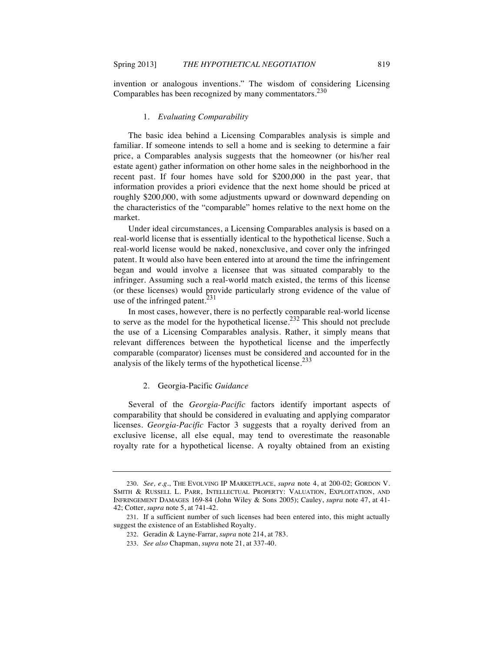invention or analogous inventions." The wisdom of considering Licensing Comparables has been recognized by many commentators.<sup>230</sup>

#### 1. *Evaluating Comparability*

The basic idea behind a Licensing Comparables analysis is simple and familiar. If someone intends to sell a home and is seeking to determine a fair price, a Comparables analysis suggests that the homeowner (or his/her real estate agent) gather information on other home sales in the neighborhood in the recent past. If four homes have sold for \$200,000 in the past year, that information provides a priori evidence that the next home should be priced at roughly \$200,000, with some adjustments upward or downward depending on the characteristics of the "comparable" homes relative to the next home on the market.

Under ideal circumstances, a Licensing Comparables analysis is based on a real-world license that is essentially identical to the hypothetical license. Such a real-world license would be naked, nonexclusive, and cover only the infringed patent. It would also have been entered into at around the time the infringement began and would involve a licensee that was situated comparably to the infringer. Assuming such a real-world match existed, the terms of this license (or these licenses) would provide particularly strong evidence of the value of use of the infringed patent. $^{231}$ 

In most cases, however, there is no perfectly comparable real-world license to serve as the model for the hypothetical license.<sup>232</sup> This should not preclude the use of a Licensing Comparables analysis. Rather, it simply means that relevant differences between the hypothetical license and the imperfectly comparable (comparator) licenses must be considered and accounted for in the analysis of the likely terms of the hypothetical license.<sup>233</sup>

## 2. Georgia-Pacific *Guidance*

Several of the *Georgia-Pacific* factors identify important aspects of comparability that should be considered in evaluating and applying comparator licenses. *Georgia-Pacific* Factor 3 suggests that a royalty derived from an exclusive license, all else equal, may tend to overestimate the reasonable royalty rate for a hypothetical license. A royalty obtained from an existing

<sup>230.</sup> *See, e.g*., THE EVOLVING IP MARKETPLACE, *supra* note 4, at 200-02; GORDON V. SMITH & RUSSELL L. PARR, INTELLECTUAL PROPERTY: VALUATION, EXPLOITATION, AND INFRINGEMENT DAMAGES 169-84 (John Wiley & Sons 2005); Cauley, *supra* note 47, at 41- 42; Cotter, *supra* note 5, at 741-42.

<sup>231.</sup> If a sufficient number of such licenses had been entered into, this might actually suggest the existence of an Established Royalty.

<sup>232.</sup> Geradin & Layne-Farrar, *supra* note 214, at 783.

<sup>233.</sup> *See also* Chapman, *supra* note 21, at 337-40.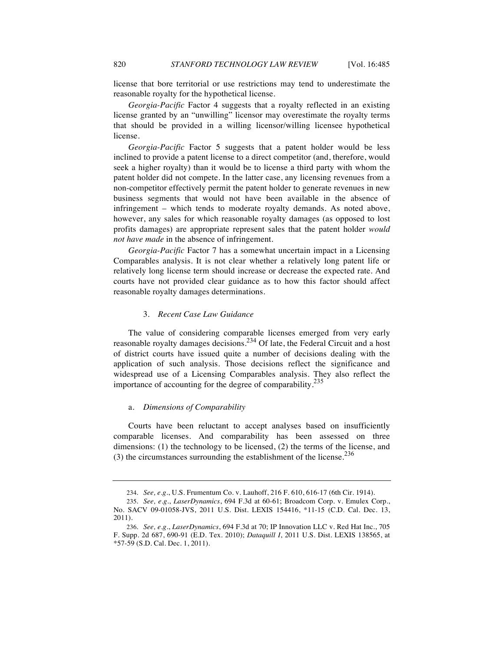license that bore territorial or use restrictions may tend to underestimate the reasonable royalty for the hypothetical license.

*Georgia-Pacific* Factor 4 suggests that a royalty reflected in an existing license granted by an "unwilling" licensor may overestimate the royalty terms that should be provided in a willing licensor/willing licensee hypothetical license.

*Georgia-Pacific* Factor 5 suggests that a patent holder would be less inclined to provide a patent license to a direct competitor (and, therefore, would seek a higher royalty) than it would be to license a third party with whom the patent holder did not compete. In the latter case, any licensing revenues from a non-competitor effectively permit the patent holder to generate revenues in new business segments that would not have been available in the absence of infringement – which tends to moderate royalty demands. As noted above, however, any sales for which reasonable royalty damages (as opposed to lost profits damages) are appropriate represent sales that the patent holder *would not have made* in the absence of infringement.

*Georgia-Pacific* Factor 7 has a somewhat uncertain impact in a Licensing Comparables analysis. It is not clear whether a relatively long patent life or relatively long license term should increase or decrease the expected rate. And courts have not provided clear guidance as to how this factor should affect reasonable royalty damages determinations.

#### 3. *Recent Case Law Guidance*

The value of considering comparable licenses emerged from very early reasonable royalty damages decisions.<sup>234</sup> Of late, the Federal Circuit and a host of district courts have issued quite a number of decisions dealing with the application of such analysis. Those decisions reflect the significance and widespread use of a Licensing Comparables analysis. They also reflect the importance of accounting for the degree of comparability.<sup>235</sup>

#### a. *Dimensions of Comparability*

Courts have been reluctant to accept analyses based on insufficiently comparable licenses. And comparability has been assessed on three dimensions: (1) the technology to be licensed, (2) the terms of the license, and (3) the circumstances surrounding the establishment of the license. $236$ 

<sup>234.</sup> *See, e.g.*, U.S. Frumentum Co. v. Lauhoff, 216 F. 610, 616-17 (6th Cir. 1914).

<sup>235.</sup> *See, e.g.*, *LaserDynamics*, 694 F.3d at 60-61; Broadcom Corp. v. Emulex Corp., No. SACV 09-01058-JVS, 2011 U.S. Dist. LEXIS 154416, \*11-15 (C.D. Cal. Dec. 13, 2011).

<sup>236.</sup> *See, e.g.*, *LaserDynamics*, 694 F.3d at 70; IP Innovation LLC v. Red Hat Inc., 705 F. Supp. 2d 687, 690-91 (E.D. Tex. 2010); *Dataquill I*, 2011 U.S. Dist. LEXIS 138565, at  $*57-59$  (S.D. Cal. Dec. 1, 2011).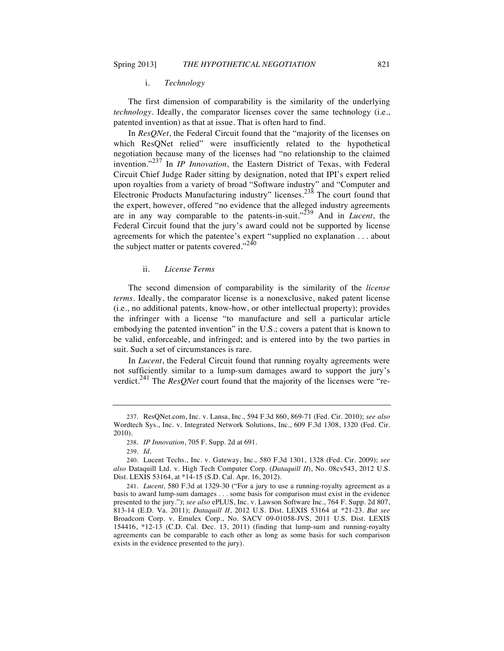#### i. *Technology*

The first dimension of comparability is the similarity of the underlying *technology*. Ideally, the comparator licenses cover the same technology (i.e., patented invention) as that at issue. That is often hard to find.

In *ResQNet*, the Federal Circuit found that the "majority of the licenses on which ResQNet relied" were insufficiently related to the hypothetical negotiation because many of the licenses had "no relationship to the claimed invention."<sup>237</sup> In *IP Innovation*, the Eastern District of Texas, with Federal Circuit Chief Judge Rader sitting by designation, noted that IPI's expert relied upon royalties from a variety of broad "Software industry" and "Computer and Electronic Products Manufacturing industry" licenses.<sup>238</sup> The court found that the expert, however, offered "no evidence that the alleged industry agreements are in any way comparable to the patents-in-suit."<sup>239</sup> And in *Lucent*, the Federal Circuit found that the jury's award could not be supported by license agreements for which the patentee's expert "supplied no explanation . . . about the subject matter or patents covered." $240$ 

#### ii. *License Terms*

The second dimension of comparability is the similarity of the *license terms*. Ideally, the comparator license is a nonexclusive, naked patent license (i.e., no additional patents, know-how, or other intellectual property); provides the infringer with a license "to manufacture and sell a particular article embodying the patented invention" in the U.S.; covers a patent that is known to be valid, enforceable, and infringed; and is entered into by the two parties in suit. Such a set of circumstances is rare.

In *Lucent*, the Federal Circuit found that running royalty agreements were not sufficiently similar to a lump-sum damages award to support the jury's verdict.<sup>241</sup> The *ResQNet* court found that the majority of the licenses were "re-

<sup>237.</sup> ResQNet.com, Inc. v. Lansa, Inc., 594 F.3d 860, 869-71 (Fed. Cir. 2010); *see also*  Wordtech Sys., Inc. v. Integrated Network Solutions, Inc., 609 F.3d 1308, 1320 (Fed. Cir. 2010).

<sup>238.</sup> *IP Innovation*, 705 F. Supp. 2d at 691.

<sup>239.</sup> *Id*.

<sup>240.</sup> Lucent Techs., Inc. v. Gateway, Inc.*,* 580 F.3d 1301, 1328 (Fed. Cir. 2009); *see also* Dataquill Ltd. v. High Tech Computer Corp. (*Dataquill II*), No. 08cv543, 2012 U.S. Dist. LEXIS 53164, at \*14-15 (S.D. Cal. Apr. 16, 2012).

<sup>241.</sup> *Lucent,* 580 F.3d at 1329-30 ("For a jury to use a running-royalty agreement as a basis to award lump-sum damages . . . some basis for comparison must exist in the evidence presented to the jury."); *see also* ePLUS, Inc. v. Lawson Software Inc., 764 F. Supp. 2d 807, 813-14 (E.D. Va. 2011); *Dataquill II*, 2012 U.S. Dist. LEXIS 53164 at \*21-23. *But see* Broadcom Corp. v. Emulex Corp., No. SACV 09-01058-JVS, 2011 U.S. Dist. LEXIS 154416, \*12-13 (C.D. Cal. Dec. 13, 2011) (finding that lump-sum and running-royalty agreements can be comparable to each other as long as some basis for such comparison exists in the evidence presented to the jury).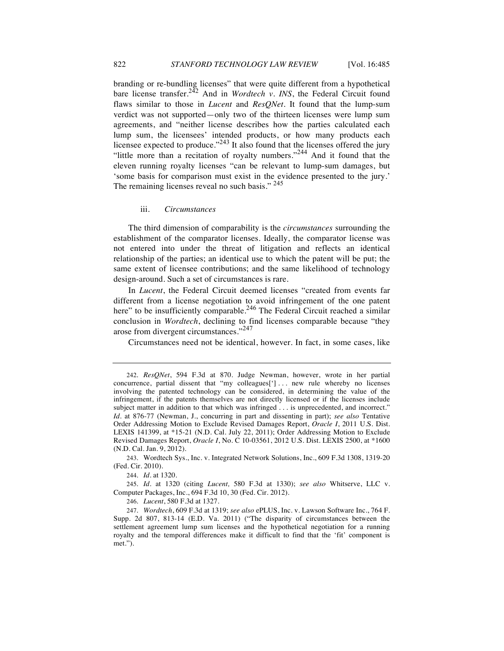branding or re-bundling licenses" that were quite different from a hypothetical bare license transfer.<sup>242</sup> And in *Wordtech v. INS*, the Federal Circuit found flaws similar to those in *Lucent* and *ResQNet*. It found that the lump-sum verdict was not supported—only two of the thirteen licenses were lump sum agreements, and "neither license describes how the parties calculated each lump sum, the licensees' intended products, or how many products each licensee expected to produce." $^{243}$  It also found that the licenses offered the jury "little more than a recitation of royalty numbers."<sup>244</sup> And it found that the eleven running royalty licenses "can be relevant to lump-sum damages, but 'some basis for comparison must exist in the evidence presented to the jury.' The remaining licenses reveal no such basis." 245

#### iii. *Circumstances*

The third dimension of comparability is the *circumstances* surrounding the establishment of the comparator licenses. Ideally, the comparator license was not entered into under the threat of litigation and reflects an identical relationship of the parties; an identical use to which the patent will be put; the same extent of licensee contributions; and the same likelihood of technology design-around. Such a set of circumstances is rare.

In *Lucent*, the Federal Circuit deemed licenses "created from events far different from a license negotiation to avoid infringement of the one patent here" to be insufficiently comparable.<sup>246</sup> The Federal Circuit reached a similar conclusion in *Wordtech*, declining to find licenses comparable because "they arose from divergent circumstances."<sup>247</sup>

Circumstances need not be identical, however. In fact, in some cases, like

243. Wordtech Sys., Inc. v. Integrated Network Solutions, Inc., 609 F.3d 1308, 1319-20 (Fed. Cir. 2010).

244. *Id*. at 1320.

245. *Id*. at 1320 (citing *Lucent,* 580 F.3d at 1330); *see also* Whitserve, LLC v. Computer Packages, Inc., 694 F.3d 10, 30 (Fed. Cir. 2012).

246. *Lucent*, 580 F.3d at 1327.

<sup>242.</sup> *ResQNet*, 594 F.3d at 870. Judge Newman, however, wrote in her partial concurrence, partial dissent that "my colleagues['] . . . new rule whereby no licenses involving the patented technology can be considered, in determining the value of the infringement, if the patents themselves are not directly licensed or if the licenses include subject matter in addition to that which was infringed . . . is unprecedented, and incorrect." *Id*. at 876-77 (Newman, J., concurring in part and dissenting in part); *see also* Tentative Order Addressing Motion to Exclude Revised Damages Report, *Oracle I*, 2011 U.S. Dist. LEXIS 141399, at \*15-21 (N.D. Cal. July 22, 2011); Order Addressing Motion to Exclude Revised Damages Report, *Oracle I*, No. C 10-03561, 2012 U.S. Dist. LEXIS 2500, at \*1600 (N.D. Cal. Jan. 9, 2012).

<sup>247.</sup> *Wordtech*, 609 F.3d at 1319; *see also* ePLUS, Inc. v. Lawson Software Inc., 764 F. Supp. 2d 807, 813-14 (E.D. Va. 2011) ("The disparity of circumstances between the settlement agreement lump sum licenses and the hypothetical negotiation for a running royalty and the temporal differences make it difficult to find that the 'fit' component is met.").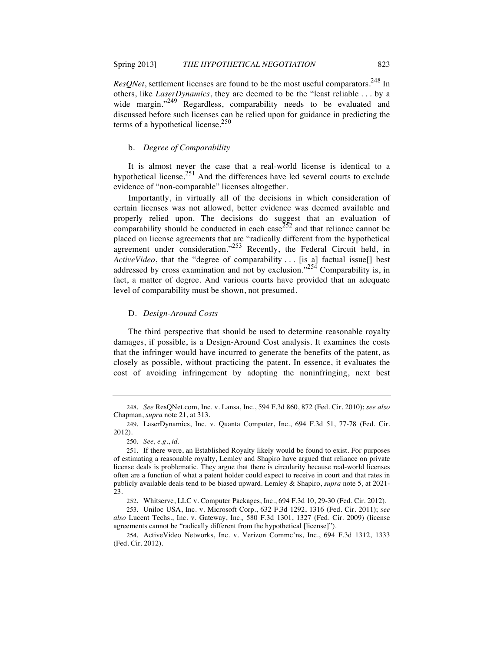*ResQNet*, settlement licenses are found to be the most useful comparators.<sup>248</sup> In others, like *LaserDynamics*, they are deemed to be the "least reliable . . . by a wide margin."<sup>249</sup> Regardless, comparability needs to be evaluated and discussed before such licenses can be relied upon for guidance in predicting the terms of a hypothetical license. $250$ 

#### b. *Degree of Comparability*

It is almost never the case that a real-world license is identical to a hypothetical license.<sup>251</sup> And the differences have led several courts to exclude evidence of "non-comparable" licenses altogether.

Importantly, in virtually all of the decisions in which consideration of certain licenses was not allowed, better evidence was deemed available and properly relied upon. The decisions do suggest that an evaluation of comparability should be conducted in each case  $252$  and that reliance cannot be placed on license agreements that are "radically different from the hypothetical agreement under consideration." $253$  Recently, the Federal Circuit held, in *ActiveVideo*, that the "degree of comparability . . . [is a] factual issue[] best addressed by cross examination and not by exclusion."<sup>254</sup> Comparability is, in fact, a matter of degree. And various courts have provided that an adequate level of comparability must be shown, not presumed.

#### D. *Design-Around Costs*

The third perspective that should be used to determine reasonable royalty damages, if possible, is a Design-Around Cost analysis. It examines the costs that the infringer would have incurred to generate the benefits of the patent, as closely as possible, without practicing the patent. In essence, it evaluates the cost of avoiding infringement by adopting the noninfringing, next best

<sup>248.</sup> *See* ResQNet.com, Inc. v. Lansa, Inc., 594 F.3d 860, 872 (Fed. Cir. 2010); *see also* Chapman, *supra* note 21, at 313.

<sup>249.</sup> LaserDynamics, Inc. v. Quanta Computer, Inc., 694 F.3d 51, 77-78 (Fed. Cir. 2012).

<sup>250.</sup> *See, e.g*., *id*.

<sup>251.</sup> If there were, an Established Royalty likely would be found to exist. For purposes of estimating a reasonable royalty, Lemley and Shapiro have argued that reliance on private license deals is problematic. They argue that there is circularity because real-world licenses often are a function of what a patent holder could expect to receive in court and that rates in publicly available deals tend to be biased upward. Lemley & Shapiro, *supra* note 5, at 2021- 23.

<sup>252.</sup> Whitserve, LLC v. Computer Packages, Inc., 694 F.3d 10, 29-30 (Fed. Cir. 2012).

<sup>253.</sup> Uniloc USA, Inc. v. Microsoft Corp., 632 F.3d 1292, 1316 (Fed. Cir. 2011); *see also* Lucent Techs., Inc. v. Gateway, Inc.*,* 580 F.3d 1301, 1327 (Fed. Cir. 2009) (license agreements cannot be "radically different from the hypothetical [license]").

<sup>254.</sup> ActiveVideo Networks, Inc. v. Verizon Commc'ns, Inc., 694 F.3d 1312, 1333 (Fed. Cir. 2012).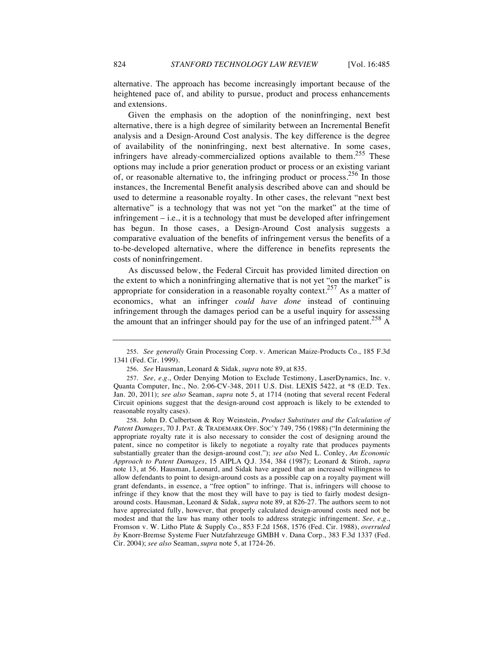alternative. The approach has become increasingly important because of the heightened pace of, and ability to pursue, product and process enhancements and extensions.

Given the emphasis on the adoption of the noninfringing, next best alternative, there is a high degree of similarity between an Incremental Benefit analysis and a Design-Around Cost analysis. The key difference is the degree of availability of the noninfringing, next best alternative. In some cases, infringers have already-commercialized options available to them.<sup>255</sup> These options may include a prior generation product or process or an existing variant of, or reasonable alternative to, the infringing product or process.  $256$  In those instances, the Incremental Benefit analysis described above can and should be used to determine a reasonable royalty. In other cases, the relevant "next best alternative" is a technology that was not yet "on the market" at the time of infringement  $-$  i.e., it is a technology that must be developed after infringement has begun. In those cases, a Design-Around Cost analysis suggests a comparative evaluation of the benefits of infringement versus the benefits of a to-be-developed alternative, where the difference in benefits represents the costs of noninfringement.

As discussed below, the Federal Circuit has provided limited direction on the extent to which a noninfringing alternative that is not yet "on the market" is appropriate for consideration in a reasonable royalty context.<sup>257</sup> As a matter of economics, what an infringer *could have done* instead of continuing infringement through the damages period can be a useful inquiry for assessing the amount that an infringer should pay for the use of an infringed patent.<sup>258</sup> A

<sup>255.</sup> *See generally* Grain Processing Corp. v. American Maize-Products Co., 185 F.3d 1341 (Fed. Cir. 1999).

<sup>256.</sup> *See* Hausman, Leonard & Sidak, *supra* note 89, at 835.

<sup>257.</sup> *See, e.g.*, Order Denying Motion to Exclude Testimony, LaserDynamics, Inc. v. Quanta Computer, Inc., No. 2:06-CV-348, 2011 U.S. Dist. LEXIS 5422, at \*8 (E.D. Tex. Jan. 20, 2011); *see also* Seaman, *supra* note 5, at 1714 (noting that several recent Federal Circuit opinions suggest that the design-around cost approach is likely to be extended to reasonable royalty cases).

<sup>258.</sup> John D. Culbertson & Roy Weinstein, *Product Substitutes and the Calculation of Patent Damages*, 70 J. PAT. & TRADEMARK OFF. SOC'Y 749, 756 (1988) ("In determining the appropriate royalty rate it is also necessary to consider the cost of designing around the patent, since no competitor is likely to negotiate a royalty rate that produces payments substantially greater than the design-around cost."); *see also* Ned L. Conley, *An Economic Approach to Patent Damages*, 15 AIPLA Q.J. 354, 384 (1987); Leonard & Stiroh, *supra*  note 13, at 56. Hausman, Leonard, and Sidak have argued that an increased willingness to allow defendants to point to design-around costs as a possible cap on a royalty payment will grant defendants, in essence, a "free option" to infringe. That is, infringers will choose to infringe if they know that the most they will have to pay is tied to fairly modest designaround costs. Hausman, Leonard & Sidak, *supra* note 89, at 826-27. The authors seem to not have appreciated fully, however, that properly calculated design-around costs need not be modest and that the law has many other tools to address strategic infringement. *See, e.g.*, Fromson v. W. Litho Plate & Supply Co., 853 F.2d 1568, 1576 (Fed. Cir. 1988), *overruled by* Knorr-Bremse Systeme Fuer Nutzfahrzeuge GMBH v. Dana Corp., 383 F.3d 1337 (Fed. Cir. 2004); *see also* Seaman, *supra* note 5, at 1724-26.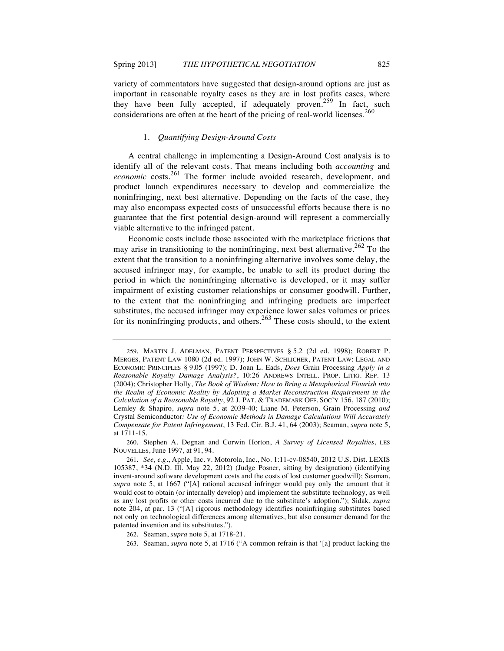variety of commentators have suggested that design-around options are just as important in reasonable royalty cases as they are in lost profits cases, where they have been fully accepted, if adequately proven.<sup>259</sup> In fact, such considerations are often at the heart of the pricing of real-world licenses.<sup>260</sup>

#### 1. *Quantifying Design-Around Costs*

A central challenge in implementing a Design-Around Cost analysis is to identify all of the relevant costs. That means including both *accounting* and *economic* costs.<sup>261</sup> The former include avoided research, development, and product launch expenditures necessary to develop and commercialize the noninfringing, next best alternative. Depending on the facts of the case, they may also encompass expected costs of unsuccessful efforts because there is no guarantee that the first potential design-around will represent a commercially viable alternative to the infringed patent.

Economic costs include those associated with the marketplace frictions that may arise in transitioning to the noninfringing, next best alternative.<sup>262</sup> To the extent that the transition to a noninfringing alternative involves some delay, the accused infringer may, for example, be unable to sell its product during the period in which the noninfringing alternative is developed, or it may suffer impairment of existing customer relationships or consumer goodwill. Further, to the extent that the noninfringing and infringing products are imperfect substitutes, the accused infringer may experience lower sales volumes or prices for its noninfringing products, and others.<sup>263</sup> These costs should, to the extent

262. Seaman, *supra* note 5, at 1718-21.

263. Seaman, *supra* note 5, at 1716 ("A common refrain is that '[a] product lacking the

<sup>259.</sup> MARTIN J. ADELMAN, PATENT PERSPECTIVES § 5.2 (2d ed. 1998); ROBERT P. MERGES, PATENT LAW 1080 (2d ed. 1997); JOHN W. SCHLICHER, PATENT LAW: LEGAL AND ECONOMIC PRINCIPLES § 9.05 (1997); D. Joan L. Eads, *Does* Grain Processing *Apply in a Reasonable Royalty Damage Analysis?*, 10:26 ANDREWS INTELL. PROP. LITIG. REP. 13 (2004); Christopher Holly, *The Book of Wisdom: How to Bring a Metaphorical Flourish into the Realm of Economic Reality by Adopting a Market Reconstruction Requirement in the Calculation of a Reasonable Royalty*, 92 J. PAT. & TRADEMARK OFF. SOC'Y 156, 187 (2010); Lemley & Shapiro, *supra* note 5, at 2039-40; Liane M. Peterson, Grain Processing *and*  Crystal Semiconductor*: Use of Economic Methods in Damage Calculations Will Accurately Compensate for Patent Infringement*, 13 Fed. Cir. B.J. 41, 64 (2003); Seaman, *supra* note 5, at 1711-15.

<sup>260.</sup> Stephen A. Degnan and Corwin Horton, *A Survey of Licensed Royalties*, LES NOUVELLES, June 1997, at 91, 94.

<sup>261.</sup> *See, e.g.*, Apple, Inc. v. Motorola, Inc., No. 1:11-cv-08540, 2012 U.S. Dist. LEXIS 105387, \*34 (N.D. Ill. May 22, 2012) (Judge Posner, sitting by designation) (identifying invent-around software development costs and the costs of lost customer goodwill); Seaman, *supra* note 5, at 1667 ("[A] rational accused infringer would pay only the amount that it would cost to obtain (or internally develop) and implement the substitute technology, as well as any lost profits or other costs incurred due to the substitute's adoption."); Sidak, *supra*  note 204, at par. 13 ("[A] rigorous methodology identifies noninfringing substitutes based not only on technological differences among alternatives, but also consumer demand for the patented invention and its substitutes.").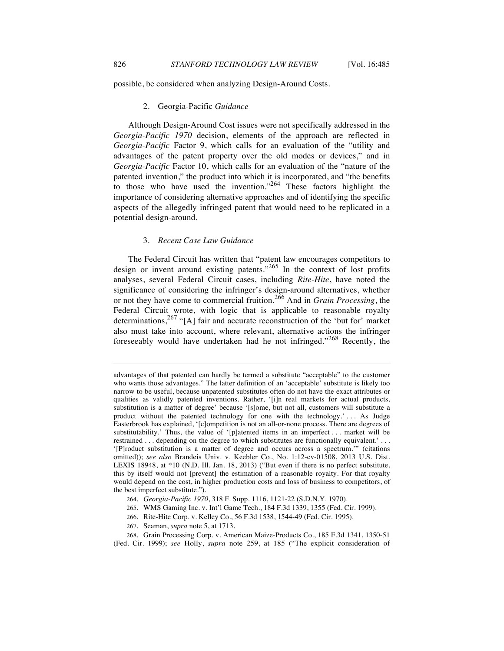possible, be considered when analyzing Design-Around Costs.

#### 2. Georgia-Pacific *Guidance*

Although Design-Around Cost issues were not specifically addressed in the *Georgia-Pacific 1970* decision, elements of the approach are reflected in *Georgia-Pacific* Factor 9, which calls for an evaluation of the "utility and advantages of the patent property over the old modes or devices," and in *Georgia-Pacific* Factor 10, which calls for an evaluation of the "nature of the patented invention," the product into which it is incorporated, and "the benefits to those who have used the invention."<sup>264</sup> These factors highlight the importance of considering alternative approaches and of identifying the specific aspects of the allegedly infringed patent that would need to be replicated in a potential design-around.

## 3. *Recent Case Law Guidance*

The Federal Circuit has written that "patent law encourages competitors to design or invent around existing patents."<sup>265</sup> In the context of lost profits analyses, several Federal Circuit cases, including *Rite-Hite*, have noted the significance of considering the infringer's design-around alternatives, whether or not they have come to commercial fruition.<sup>266</sup> And in *Grain Processing*, the Federal Circuit wrote, with logic that is applicable to reasonable royalty determinations,  $267$  "[A] fair and accurate reconstruction of the 'but for' market also must take into account, where relevant, alternative actions the infringer foreseeably would have undertaken had he not infringed."<sup>268</sup> Recently, the

- 265. WMS Gaming Inc. v. Int'l Game Tech., 184 F.3d 1339, 1355 (Fed. Cir. 1999).
- 266. Rite-Hite Corp. v. Kelley Co., 56 F.3d 1538, 1544-49 (Fed. Cir. 1995).
- 267. Seaman, *supra* note 5, at 1713.

advantages of that patented can hardly be termed a substitute "acceptable" to the customer who wants those advantages." The latter definition of an 'acceptable' substitute is likely too narrow to be useful, because unpatented substitutes often do not have the exact attributes or qualities as validly patented inventions. Rather, '[i]n real markets for actual products, substitution is a matter of degree' because '[s]ome, but not all, customers will substitute a product without the patented technology for one with the technology.' . . . As Judge Easterbrook has explained, '[c]ompetition is not an all-or-none process. There are degrees of substitutability.' Thus, the value of '[p]atented items in an imperfect . . . market will be restrained . . . depending on the degree to which substitutes are functionally equivalent.' . . . '[P]roduct substitution is a matter of degree and occurs across a spectrum.'" (citations omitted)); *see also* Brandeis Univ. v. Keebler Co., No. 1:12-cv-01508, 2013 U.S. Dist. LEXIS 18948, at \*10 (N.D. Ill. Jan. 18, 2013) ("But even if there is no perfect substitute, this by itself would not [prevent] the estimation of a reasonable royalty. For that royalty would depend on the cost, in higher production costs and loss of business to competitors, of the best imperfect substitute.").

<sup>264.</sup> *Georgia-Pacific 1970*, 318 F. Supp. 1116, 1121-22 (S.D.N.Y. 1970).

<sup>268.</sup> Grain Processing Corp. v. American Maize-Products Co., 185 F.3d 1341, 1350-51 (Fed. Cir. 1999); *see* Holly, *supra* note 259, at 185 ("The explicit consideration of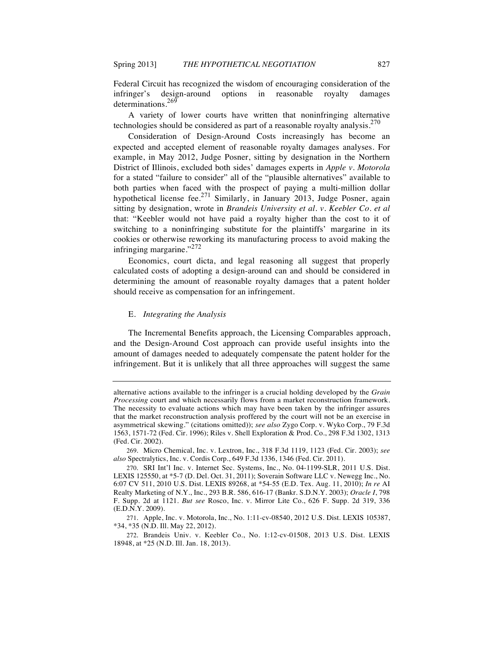Federal Circuit has recognized the wisdom of encouraging consideration of the infringer's design-around options in reasonable royalty damages determinations.<sup>269</sup>

A variety of lower courts have written that noninfringing alternative technologies should be considered as part of a reasonable royalty analysis.<sup>270</sup>

Consideration of Design-Around Costs increasingly has become an expected and accepted element of reasonable royalty damages analyses. For example, in May 2012, Judge Posner, sitting by designation in the Northern District of Illinois, excluded both sides' damages experts in *Apple v. Motorola* for a stated "failure to consider" all of the "plausible alternatives" available to both parties when faced with the prospect of paying a multi-million dollar hypothetical license fee.<sup>271</sup> Similarly, in January 2013, Judge Posner, again sitting by designation, wrote in *Brandeis University et al. v. Keebler Co. et al* that: "Keebler would not have paid a royalty higher than the cost to it of switching to a noninfringing substitute for the plaintiffs' margarine in its cookies or otherwise reworking its manufacturing process to avoid making the infringing margarine."<sup>272</sup>

Economics, court dicta, and legal reasoning all suggest that properly calculated costs of adopting a design-around can and should be considered in determining the amount of reasonable royalty damages that a patent holder should receive as compensation for an infringement.

### E. *Integrating the Analysis*

The Incremental Benefits approach, the Licensing Comparables approach, and the Design-Around Cost approach can provide useful insights into the amount of damages needed to adequately compensate the patent holder for the infringement. But it is unlikely that all three approaches will suggest the same

alternative actions available to the infringer is a crucial holding developed by the *Grain Processing* court and which necessarily flows from a market reconstruction framework. The necessity to evaluate actions which may have been taken by the infringer assures that the market reconstruction analysis proffered by the court will not be an exercise in asymmetrical skewing." (citations omitted)); *see also* Zygo Corp. v. Wyko Corp., 79 F.3d 1563, 1571-72 (Fed. Cir. 1996); Riles v. Shell Exploration & Prod. Co., 298 F.3d 1302, 1313 (Fed. Cir. 2002).

<sup>269.</sup> Micro Chemical, Inc. v. Lextron, Inc., 318 F.3d 1119, 1123 (Fed. Cir. 2003); *see also* Spectralytics, Inc. v. Cordis Corp., 649 F.3d 1336, 1346 (Fed. Cir. 2011).

<sup>270.</sup> SRI Int'l Inc. v. Internet Sec. Systems, Inc., No. 04-1199-SLR, 2011 U.S. Dist. LEXIS 125550, at \*5-7 (D. Del. Oct. 31, 2011); Soverain Software LLC v. Newegg Inc., No. 6:07 CV 511, 2010 U.S. Dist. LEXIS 89268, at \*54-55 (E.D. Tex. Aug. 11, 2010); *In re* AI Realty Marketing of N.Y., Inc., 293 B.R. 586, 616-17 (Bankr. S.D.N.Y. 2003); *Oracle I*, 798 F. Supp. 2d at 1121. *But see* Rosco, Inc. v. Mirror Lite Co., 626 F. Supp. 2d 319, 336 (E.D.N.Y. 2009).

<sup>271.</sup> Apple, Inc. v. Motorola, Inc., No. 1:11-cv-08540, 2012 U.S. Dist. LEXIS 105387, \*34, \*35 (N.D. Ill. May 22, 2012).

<sup>272.</sup> Brandeis Univ. v. Keebler Co., No. 1:12-cv-01508, 2013 U.S. Dist. LEXIS 18948, at \*25 (N.D. Ill. Jan. 18, 2013).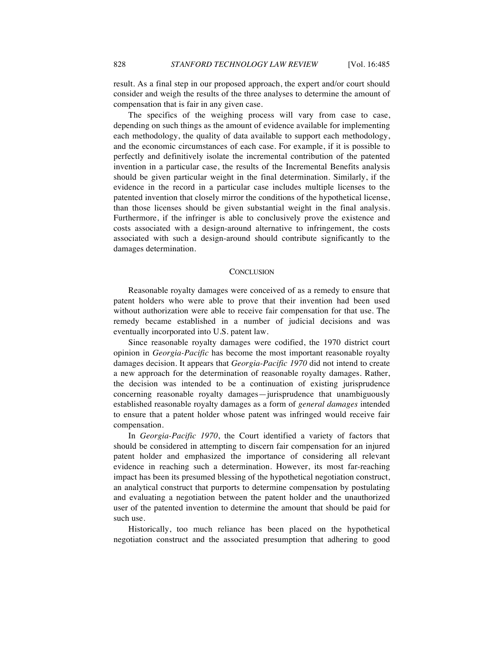result. As a final step in our proposed approach, the expert and/or court should consider and weigh the results of the three analyses to determine the amount of compensation that is fair in any given case.

The specifics of the weighing process will vary from case to case, depending on such things as the amount of evidence available for implementing each methodology, the quality of data available to support each methodology, and the economic circumstances of each case. For example, if it is possible to perfectly and definitively isolate the incremental contribution of the patented invention in a particular case, the results of the Incremental Benefits analysis should be given particular weight in the final determination. Similarly, if the evidence in the record in a particular case includes multiple licenses to the patented invention that closely mirror the conditions of the hypothetical license, than those licenses should be given substantial weight in the final analysis. Furthermore, if the infringer is able to conclusively prove the existence and costs associated with a design-around alternative to infringement, the costs associated with such a design-around should contribute significantly to the damages determination.

#### **CONCLUSION**

Reasonable royalty damages were conceived of as a remedy to ensure that patent holders who were able to prove that their invention had been used without authorization were able to receive fair compensation for that use. The remedy became established in a number of judicial decisions and was eventually incorporated into U.S. patent law.

Since reasonable royalty damages were codified, the 1970 district court opinion in *Georgia-Pacific* has become the most important reasonable royalty damages decision. It appears that *Georgia-Pacific 1970* did not intend to create a new approach for the determination of reasonable royalty damages. Rather, the decision was intended to be a continuation of existing jurisprudence concerning reasonable royalty damages—jurisprudence that unambiguously established reasonable royalty damages as a form of *general damages* intended to ensure that a patent holder whose patent was infringed would receive fair compensation.

In *Georgia-Pacific 1970*, the Court identified a variety of factors that should be considered in attempting to discern fair compensation for an injured patent holder and emphasized the importance of considering all relevant evidence in reaching such a determination. However, its most far-reaching impact has been its presumed blessing of the hypothetical negotiation construct, an analytical construct that purports to determine compensation by postulating and evaluating a negotiation between the patent holder and the unauthorized user of the patented invention to determine the amount that should be paid for such use.

Historically, too much reliance has been placed on the hypothetical negotiation construct and the associated presumption that adhering to good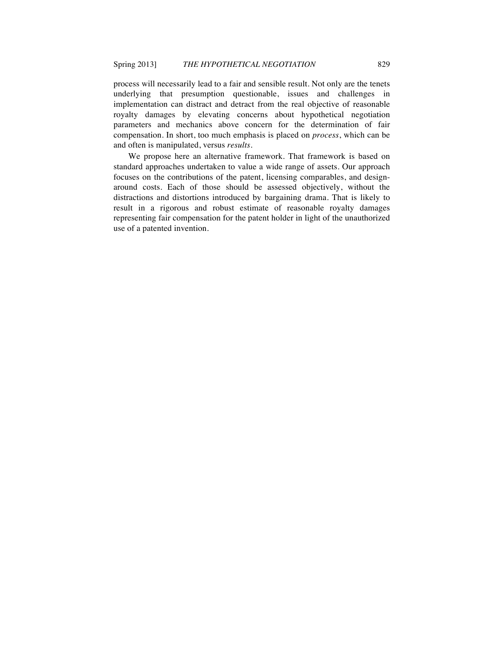process will necessarily lead to a fair and sensible result. Not only are the tenets underlying that presumption questionable, issues and challenges in implementation can distract and detract from the real objective of reasonable royalty damages by elevating concerns about hypothetical negotiation parameters and mechanics above concern for the determination of fair compensation. In short, too much emphasis is placed on *process*, which can be and often is manipulated, versus *results*.

We propose here an alternative framework. That framework is based on standard approaches undertaken to value a wide range of assets. Our approach focuses on the contributions of the patent, licensing comparables, and designaround costs. Each of those should be assessed objectively, without the distractions and distortions introduced by bargaining drama. That is likely to result in a rigorous and robust estimate of reasonable royalty damages representing fair compensation for the patent holder in light of the unauthorized use of a patented invention.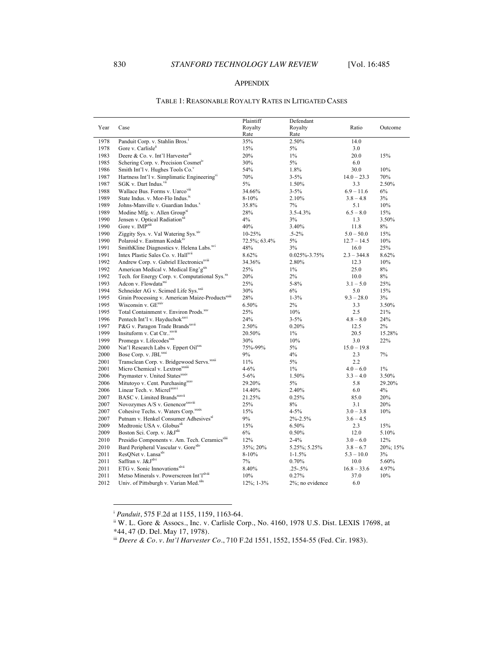## APPENDIX

## TABLE 1: REASONABLE ROYALTY RATES IN LITIGATED CASES

| Year | Case                                                         | Plaintiff<br>Royalty | Defendant<br>Royalty | Ratio         | Outcome  |
|------|--------------------------------------------------------------|----------------------|----------------------|---------------|----------|
|      |                                                              | Rate                 | Rate                 |               |          |
| 1978 | Panduit Corp. v. Stahlin Bros. <sup>1</sup>                  | 35%                  | 2.50%                | 14.0          |          |
| 1978 | Gore v. Carlisle <sup>ii</sup>                               | 15%                  | 5%                   | 3.0           |          |
| 1983 | Deere & Co. v. Int'l Harvester"                              | 20%                  | $1\%$                | 20.0          | 15%      |
| 1985 | Schering Corp. v. Precision Cosmet <sup>iv</sup>             | 30%                  | 5%                   | 6.0           |          |
| 1986 | Smith Int'l v. Hughes Tools Co."                             | 54%                  | 1.8%                 | 30.0          | 10%      |
| 1987 | Hartness Int'l v. Simplimatic Engineering <sup>vi</sup>      | 70%                  | $3 - 5%$             | $14.0 - 23.3$ | 70%      |
| 1987 | SGK v. Dart Indus. <sup>vii</sup>                            | 5%                   | 1.50%                | 3.3           | 2.50%    |
| 1988 | Wallace Bus. Forms v. Uarcoviii                              | 34.66%               | $3 - 5\%$            | $6.9 - 11.6$  | 6%       |
| 1989 | State Indus. v. Mor-Flo Indus. <sup>ix</sup>                 | $8 - 10%$            | 2.10%                | $3.8 - 4.8$   | 3%       |
| 1989 | Johns-Manville v. Guardian Indus. <sup>x</sup>               | 35.8%                | 7%                   | 5.1           | 10%      |
| 1989 | Modine Mfg. v. Allen Group <sup>xi</sup>                     | 28%                  | $3.5 - 4.3\%$        | $6.5 - 8.0$   | 15%      |
| 1990 | Jensen v. Optical Radiation <sup>xii</sup>                   | 4%                   | 3%                   | 1.3           | 3.50%    |
| 1990 | Gore v. IMP <sup>xiii</sup>                                  | 40%                  | 3.40%                | 11.8          | $8\%$    |
| 1990 | Ziggity Sys. v. Val Watering Sys. <sup>xiv</sup>             | $10 - 25%$           | $.5 - 2\%$           | $5.0 - 50.0$  | 15%      |
| 1990 | Polaroid v. Eastman Kodak <sup>xv</sup>                      | 72.5%; 63.4%         | $5\%$                | $12.7 - 14.5$ | 10%      |
| 1991 | SmithKline Diagnostics v. Helena Labs. <sup>xvi</sup>        | 48%                  | 3%                   | 16.0          | 25%      |
| 1991 | Intex Plastic Sales Co. v. Hallxvii                          | 8.62%                | 0.025%-3.75%         | $2.3 - 344.8$ | 8.62%    |
| 1992 | Andrew Corp. v. Gabriel Electronics <sup>xviii</sup>         | 34.36%               | 2.80%                | 12.3          | 10%      |
| 1992 | American Medical v. Medical Eng'g <sup>xx</sup>              | 25%                  | $1\%$                | 25.0          | 8%       |
| 1992 | Tech. for Energy Corp. v. Computational Sys. <sup>xx</sup>   | 20%                  | $2\%$                | 10.0          | 8%       |
| 1993 | Adcon v. Flowdata <sup>xxi</sup>                             | 25%                  | $5 - 8\%$            | $3.1 - 5.0$   | 25%      |
| 1994 | Schneider AG v. Scimed Life Sys. <sup>xxii</sup>             | 30%                  | 6%                   | 5.0           | 15%      |
| 1995 | Grain Processing v. American Maize-Products <sup>xxiii</sup> | 28%                  | $1 - 3\%$            | $9.3 - 28.0$  | 3%       |
| 1995 | Wisconsin v. GE <sup>xxiv</sup>                              | 6.50%                | 2%                   | 3.3           | 3.50%    |
| 1995 | Total Containment v. Environ Prods. <sup>xxv</sup>           | 25%                  | 10%                  | 2.5           | 21%      |
| 1996 | Pentech Int'l v. Hayduchok <sup>xxvi</sup>                   | 24%                  | $3 - 5\%$            | $4.8 - 8.0$   | 24%      |
| 1997 | P&G v. Paragon Trade Brands <sup>xxvii</sup>                 | 2.50%                | 0.20%                | 12.5          | 2%       |
| 1999 | Insituform v. Cat Ctr XXViii                                 | 20.50%               | $1\%$                | 20.5          | 15.28%   |
| 1999 | Promega v. Lifecodes <sup>xxix</sup>                         | 30%                  | 10%                  | 3.0           | 22%      |
| 2000 | Nat'l Research Labs v. Eppert Oilxxx                         | 75%-99%              | $5\%$                | $15.0 - 19.8$ |          |
| 2000 | Bose Corp. v. JBL <sup>xxxi</sup>                            | 9%                   | 4%                   | 2.3           | 7%       |
| 2001 | Transclean Corp. v. Bridgewood Servs. <sup>xxxii</sup>       | 11%                  | 5%                   | 2.2           |          |
| 2001 | Micro Chemical v. Lextron <sup>xxiii</sup>                   | $4 - 6\%$            | $1\%$                | $4.0 - 6.0$   | $1\%$    |
| 2006 | Paymaster v. United Statesxxxiv                              | $5 - 6\%$            | 1.50%                | $3.3 - 4.0$   | 3.50%    |
| 2006 | Mitutoyo v. Cent. Purchasing <sup>xxxv</sup>                 | 29.20%               | 5%                   | 5.8           | 29.20%   |
| 2006 | Linear Tech. v. Micrelxxxvi                                  | 14.40%               | 2.40%                | 6.0           | 4%       |
| 2007 | BASC v. Limited Brands <sup>xxxvn</sup>                      | 21.25%               | 0.25%                | 85.0          | 20%      |
| 2007 | Novozymes A/S v. Genencor <sup>xxxviii</sup>                 | 25%                  | 8%                   | 3.1           | 20%      |
| 2007 | Cohesive Techs. v. Waters Corp.xxxx                          | 15%                  | $4 - 5%$             | $3.0 - 3.8$   | 10%      |
| 2007 | Putnam v. Henkel Consumer Adhesives <sup>xl</sup>            | 9%                   | $2\% - 2.5\%$        | $3.6 - 4.5$   |          |
| 2009 | Medtronic USA v. Globus <sup>xli</sup>                       | 15%                  | 6.50%                | 2.3           | 15%      |
| 2009 | Boston Sci. Corp. v. J&Jxlii                                 | 6%                   | 0.50%                | 12.0          | 5.10%    |
| 2010 | Presidio Components v. Am. Tech. Ceramics <sup>xliii</sup>   | 12%                  | $2 - 4\%$            | $3.0 - 6.0$   | 12%      |
| 2010 | Bard Peripheral Vascular v. Gore <sup>xliv</sup>             | 35%; 20%             | 5.25%; 5.25%         | $3.8 - 6.7$   | 20%; 15% |
| 2011 | ResONet v. Lansa <sup>xlv</sup>                              | $8 - 10%$            | $1 - 1.5%$           | $5.3 - 10.0$  | 3%       |
| 2011 | Saffran v. J&J <sup>xlvi</sup>                               | 7%                   | 0.70%                | 10.0          | 5.60%    |
| 2011 | ETG v. Sonic Innovations <sup>xlvii</sup>                    | 8.40%                | $.25 - .5%$          | $16.8 - 33.6$ | 4.97%    |
| 2011 | Metso Minerals v. Powerscreen Int'l <sup>xlviii</sup>        | 10%                  | 0.27%                | 37.0          | 10%      |
| 2012 | Univ. of Pittsburgh v. Varian Med. <sup>xlix</sup>           | 12%; 1-3%            | $2\%$ ; no evidence  | 6.0           |          |

<sup>i</sup> *Panduit*, 575 F.2d at 1155, 1159, 1163-64.

 $\overline{a}$ 

ii W. L. Gore & Assocs., Inc. v. Carlisle Corp., No. 4160, 1978 U.S. Dist. LEXIS 17698, at \*44, 47 (D. Del. May 17, 1978).

iii *Deere & Co. v. Int'l Harvester Co.*, 710 F.2d 1551, 1552, 1554-55 (Fed. Cir. 1983).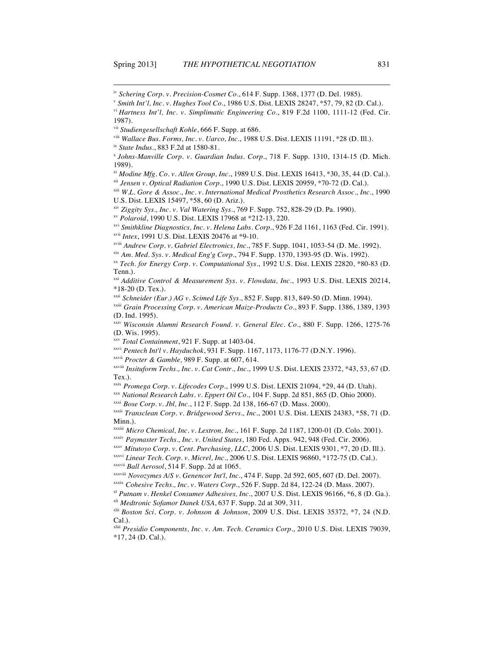$\overline{a}$ 

xiv *Ziggity Sys., Inc. v. Val Watering Sys.*, 769 F. Supp. 752, 828-29 (D. Pa. 1990).

xv *Polaroid*, 1990 U.S. Dist. LEXIS 17968 at \*212-13, 220.

xxix *Promega Corp. v. Lifecodes Corp.*, 1999 U.S. Dist. LEXIS 21094, \*29, 44 (D. Utah).

- xxxiv *Paymaster Techs., Inc. v. United States*, 180 Fed. Appx. 942, 948 (Fed. Cir. 2006).
- xxxv *Mitutoyo Corp. v. Cent. Purchasing, LLC*, 2006 U.S. Dist. LEXIS 9301, \*7, 20 (D. Ill.).

xxxvi *Linear Tech. Corp. v. Micrel, Inc.*, 2006 U.S. Dist. LEXIS 96860, \*172-75 (D. Cal.). xxxvii *Ball Aerosol*, 514 F. Supp. 2d at 1065.

iv *Schering Corp. v. Precision-Cosmet Co.*, 614 F. Supp. 1368, 1377 (D. Del. 1985).

<sup>v</sup> *Smith Int'l, Inc. v. Hughes Tool Co.*, 1986 U.S. Dist. LEXIS 28247, \*57, 79, 82 (D. Cal.).

vi *Hartness Int'l, Inc. v. Simplimatic Engineering Co.*, 819 F.2d 1100, 1111-12 (Fed. Cir. 1987).

vii *Studiengesellschaft Kohle*, 666 F. Supp. at 686.

viii *Wallace Bus. Forms, Inc. v. Uarco, Inc.*, 1988 U.S. Dist. LEXIS 11191, \*28 (D. Ill.).

ix *State Indus.*, 883 F.2d at 1580-81.

<sup>x</sup> *Johns-Manville Corp. v. Guardian Indus. Corp.*, 718 F. Supp. 1310, 1314-15 (D. Mich. 1989).

xi *Modine Mfg. Co. v. Allen Group, Inc.*, 1989 U.S. Dist. LEXIS 16413, \*30, 35, 44 (D. Cal.). xii *Jensen v. Optical Radiation Corp.*, 1990 U.S. Dist. LEXIS 20959, \*70-72 (D. Cal.).

xiii *W.L. Gore & Assoc., Inc. v. International Medical Prosthetics Research Assoc., Inc.*, 1990 U.S. Dist. LEXIS 15497, \*58, 60 (D. Ariz.).

xvi *Smithkline Diagnostics, Inc. v. Helena Labs. Corp.*, 926 F.2d 1161, 1163 (Fed. Cir. 1991). xvii *Intex*, 1991 U.S. Dist. LEXIS 20476 at \*9-10.

xviii *Andrew Corp. v. Gabriel Electronics, Inc.*, 785 F. Supp. 1041, 1053-54 (D. Me. 1992).

xix *Am. Med. Sys. v. Medical Eng'g Corp.*, 794 F. Supp. 1370, 1393-95 (D. Wis. 1992).

xx *Tech. for Energy Corp. v. Computational Sys.*, 1992 U.S. Dist. LEXIS 22820, \*80-83 (D. Tenn.).

xxi *Additive Control & Measurement Sys. v. Flowdata, Inc.*, 1993 U.S. Dist. LEXIS 20214, \*18-20 (D. Tex.).

xxii *Schneider (Eur.) AG v. Scimed Life Sys.*, 852 F. Supp. 813, 849-50 (D. Minn. 1994).

xxiii *Grain Processing Corp. v. American Maize-Products Co.*, 893 F. Supp. 1386, 1389, 1393 (D. Ind. 1995).

xxiv *Wisconsin Alumni Research Found. v. General Elec. Co.*, 880 F. Supp. 1266, 1275-76 (D. Wis. 1995).

xxv *Total Containment*, 921 F. Supp. at 1403-04.

xxvi *Pentech Int'l v. Hayduchok*, 931 F. Supp. 1167, 1173, 1176-77 (D.N.Y. 1996).

xxvii *Procter & Gamble,* 989 F. Supp. at 607, 614.

xxviii *Insituform Techs., Inc. v. Cat Contr., Inc.*, 1999 U.S. Dist. LEXIS 23372, \*43, 53, 67 (D. Tex.).

xxx *National Research Labs. v. Eppert Oil Co.*, 104 F. Supp. 2d 851, 865 (D. Ohio 2000).

xxxi *Bose Corp. v. Jbl, Inc.*, 112 F. Supp. 2d 138, 166-67 (D. Mass. 2000).

xxxii *Transclean Corp. v. Bridgewood Servs., Inc.*, 2001 U.S. Dist. LEXIS 24383, \*58, 71 (D. Minn.).

xxxiii *Micro Chemical, Inc. v. Lextron, Inc.*, 161 F. Supp. 2d 1187, 1200-01 (D. Colo. 2001).

xxxviii *Novozymes A/S v. Genencor Int'l, Inc.*, 474 F. Supp. 2d 592, 605, 607 (D. Del. 2007). xxxix *Cohesive Techs., Inc. v. Waters Corp.*, 526 F. Supp. 2d 84, 122-24 (D. Mass. 2007).

xl *Putnam v. Henkel Consumer Adhesives, Inc.*, 2007 U.S. Dist. LEXIS 96166, \*6, 8 (D. Ga.). xli *Medtronic Sofamor Danek USA*, 637 F. Supp. 2d at 309, 311.

xlii *Boston Sci. Corp. v. Johnson & Johnson*, 2009 U.S. Dist. LEXIS 35372, \*7, 24 (N.D. Cal.).

xliii *Presidio Components, Inc. v. Am. Tech. Ceramics Corp.*, 2010 U.S. Dist. LEXIS 79039, \*17, 24 (D. Cal.).